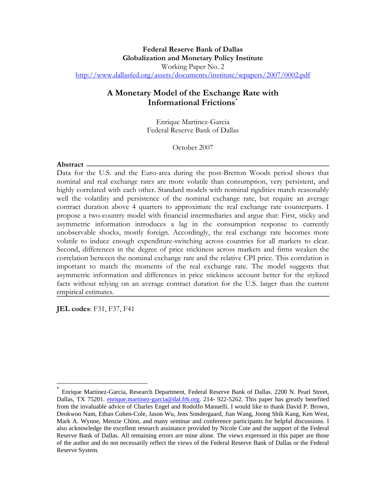## **A Monetary Model of the Exchange Rate with Informational Frictions**\*

Enrique Martinez-Garcia Federal Reserve Bank of Dallas

October 2007

## **Abstract**

Data for the U.S. and the Euro-area during the post-Bretton Woods period shows that nominal and real exchange rates are more volatile than consumption, very persistent, and highly correlated with each other. Standard models with nominal rigidities match reasonably well the volatility and persistence of the nominal exchange rate, but require an average contract duration above 4 quarters to approximate the real exchange rate counterparts. I propose a two-country model with financial intermediaries and argue that: First, sticky and asymmetric information introduces a lag in the consumption response to currently unobservable shocks, mostly foreign. Accordingly, the real exchange rate becomes more volatile to induce enough expenditure-switching across countries for all markets to clear. Second, differences in the degree of price stickiness across markets and firms weaken the correlation between the nominal exchange rate and the relative CPI price. This correlation is important to match the moments of the real exchange rate. The model suggests that asymmetric information and differences in price stickiness account better for the stylized facts without relying on an average contract duration for the U.S. larger than the current empirical estimates.

**JEL codes**: F31, F37, F41

 $\overline{a}$ 

Enrique Martinez-Garcia, Research Department, Federal Reserve Bank of Dallas. 2200 N. Pearl Street, Dallas, TX 75201. enrique.martinez-garcia@dal.frb.org. 214- 922-5262. This paper has greatly benefited from the invaluable advice of Charles Engel and Rodolfo Manuelli. I would like to thank David P. Brown, Deokwoo Nam, Ethan Cohen-Cole, Jason Wu, Jens Sondergaard, Jian Wang, Joong Shik Kang, Ken West, Mark A. Wynne, Menzie Chinn, and many seminar and conference participants for helpful discussions. I also acknowledge the excellent research assistance provided by Nicole Cote and the support of the Federal Reserve Bank of Dallas. All remaining errors are mine alone. The views expressed in this paper are those of the author and do not necessarily reflect the views of the Federal Reserve Bank of Dallas or the Federal Reserve System.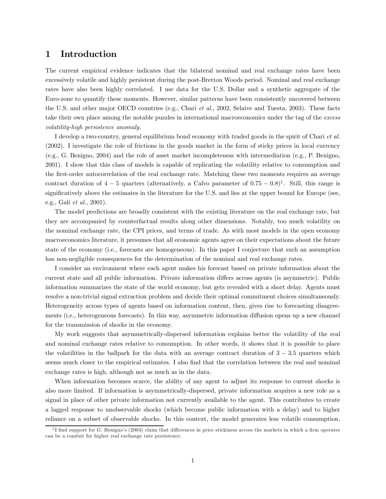## 1 Introduction

The current empirical evidence indicates that the bilateral nominal and real exchange rates have been excessively volatile and highly persistent during the post-Bretton Woods period. Nominal and real exchange rates have also been highly correlated. I use data for the U.S. Dollar and a synthetic aggregate of the Euro-zone to quantify these moments. However, similar patterns have been consistently uncovered between the U.S. and other major OECD countries (e.g., Chari et al., 2002, Selaive and Tuesta, 2003). These facts take their own place among the notable puzzles in international macroeconomics under the tag of the excess volatility-high persistence anomaly.

I develop a two-country, general equilibrium bond economy with traded goods in the spirit of Chari et al. (2002). I investigate the role of frictions in the goods market in the form of sticky prices in local currency (e.g., G. Benigno, 2004) and the role of asset market incompleteness with intermediation (e.g., P. Benigno, 2001). I show that this class of models is capable of replicating the volatility relative to consumption and the first-order autocorrelation of the real exchange rate. Matching these two moments requires an average contract duration of  $4-5$  quarters (alternatively, a Calvo parameter of  $0.75-0.8$ )<sup>1</sup>. Still, this range is significatively above the estimates in the literature for the U.S. and lies at the upper bound for Europe (see, e.g., Galí et al., 2001).

The model predictions are broadly consistent with the existing literature on the real exchange rate, but they are accompanied by counterfactual results along other dimensions. Notably, too much volatility on the nominal exchange rate, the CPI prices, and terms of trade. As with most models in the open economy macroeconomics literature, it presumes that all economic agents agree on their expectations about the future state of the economy (i.e., forecasts are homogeneous). In this paper I conjecture that such an assumption has non-negligible consequences for the determination of the nominal and real exchange rates.

I consider an environment where each agent makes his forecast based on private information about the current state and all public information. Private information differs across agents (is asymmetric). Public information summarizes the state of the world economy, but gets revealed with a short delay. Agents must resolve a non-trivial signal extraction problem and decide their optimal commitment choices simultaneously. Heterogeneity across types of agents based on information content, then, gives rise to forecasting disagreements (i.e., heterogeneous forecasts). In this way, asymmetric information diffusion opens up a new channel for the transmission of shocks in the economy.

My work suggests that asymmetrically-dispersed information explains better the volatility of the real and nominal exchange rates relative to consumption. In other words, it shows that it is possible to place the volatilities in the ballpark for the data with an average contract duration of  $3 - 3.5$  quarters which seems much closer to the empirical estimates. I also find that the correlation between the real and nominal exchange rates is high, although not as much as in the data.

When information becomes scarce, the ability of any agent to adjust its response to current shocks is also more limited. If information is asymmetrically-dispersed, private information acquires a new role as a signal in place of other private information not currently available to the agent. This contributes to create a lagged response to unobservable shocks (which become public information with a delay) and to higher reliance on a subset of observable shocks. In this context, the model generates less volatile consumption,

<sup>&</sup>lt;sup>1</sup>I find support for G. Benigno's (2004) claim that differences in price stickiness across the markets in which a firm operates can be a conduit for higher real exchange rate persistence.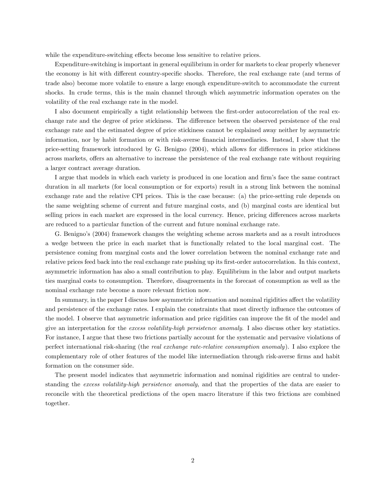while the expenditure-switching effects become less sensitive to relative prices.

Expenditure-switching is important in general equilibrium in order for markets to clear properly whenever the economy is hit with different country-specific shocks. Therefore, the real exchange rate (and terms of trade also) become more volatile to ensure a large enough expenditure-switch to accommodate the current shocks. In crude terms, this is the main channel through which asymmetric information operates on the volatility of the real exchange rate in the model.

I also document empirically a tight relationship between the first-order autocorrelation of the real exchange rate and the degree of price stickiness. The difference between the observed persistence of the real exchange rate and the estimated degree of price stickiness cannot be explained away neither by asymmetric information, nor by habit formation or with risk-averse financial intermediaries. Instead, I show that the price-setting framework introduced by G. Benigno (2004), which allows for differences in price stickiness across markets, offers an alternative to increase the persistence of the real exchange rate without requiring a larger contract average duration.

I argue that models in which each variety is produced in one location and firm's face the same contract duration in all markets (for local consumption or for exports) result in a strong link between the nominal exchange rate and the relative CPI prices. This is the case because: (a) the price-setting rule depends on the same weighting scheme of current and future marginal costs, and (b) marginal costs are identical but selling prices in each market are expressed in the local currency. Hence, pricing differences across markets are reduced to a particular function of the current and future nominal exchange rate.

G. Benigno's (2004) framework changes the weighting scheme across markets and as a result introduces a wedge between the price in each market that is functionally related to the local marginal cost. The persistence coming from marginal costs and the lower correlation between the nominal exchange rate and relative prices feed back into the real exchange rate pushing up its first-order autocorrelation. In this context, asymmetric information has also a small contribution to play. Equilibrium in the labor and output markets ties marginal costs to consumption. Therefore, disagreements in the forecast of consumption as well as the nominal exchange rate become a more relevant friction now.

In summary, in the paper I discuss how asymmetric information and nominal rigidities affect the volatility and persistence of the exchange rates. I explain the constraints that most directly influence the outcomes of the model. I observe that asymmetric information and price rigidities can improve the fit of the model and give an interpretation for the excess volatility-high persistence anomaly. I also discuss other key statistics. For instance, I argue that these two frictions partially account for the systematic and pervasive violations of perfect international risk-sharing (the real exchange rate-relative consumption anomaly). I also explore the complementary role of other features of the model like intermediation through risk-averse firms and habit formation on the consumer side.

The present model indicates that asymmetric information and nominal rigidities are central to understanding the excess volatility-high persistence anomaly, and that the properties of the data are easier to reconcile with the theoretical predictions of the open macro literature if this two frictions are combined together.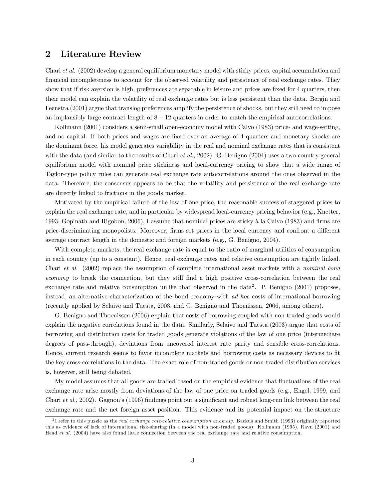## 2 Literature Review

Chari et al. (2002) develop a general equilibrium monetary model with sticky prices, capital accumulation and financial incompleteness to account for the observed volatility and persistence of real exchange rates. They show that if risk aversion is high, preferences are separable in leisure and prices are fixed for 4 quarters, then their model can explain the volatility of real exchange rates but is less persistent than the data. Bergin and Feenstra (2001) argue that translog preferences amplify the persistence of shocks, but they still need to impose an implausibly large contract length of  $8 - 12$  quarters in order to match the empirical autocorrelations.

Kollmann (2001) considers a semi-small open-economy model with Calvo (1983) price- and wage-setting, and no capital. If both prices and wages are fixed over an average of 4 quarters and monetary shocks are the dominant force, his model generates variability in the real and nominal exchange rates that is consistent with the data (and similar to the results of Chari *et al.*, 2002). G. Benigno (2004) uses a two-country general equilibrium model with nominal price stickiness and local-currency pricing to show that a wide range of Taylor-type policy rules can generate real exchange rate autocorrelations around the ones observed in the data. Therefore, the consensus appears to be that the volatility and persistence of the real exchange rate are directly linked to frictions in the goods market.

Motivated by the empirical failure of the law of one price, the reasonable success of staggered prices to explain the real exchange rate, and in particular by widespread local-currency pricing behavior (e.g., Knetter, 1993, Gopinath and Rigobon, 2006), I assume that nominal prices are sticky à la Calvo (1983) and firms are price-discriminating monopolists. Moreover, firms set prices in the local currency and confront a different average contract length in the domestic and foreign markets (e.g., G. Benigno, 2004).

With complete markets, the real exchange rate is equal to the ratio of marginal utilities of consumption in each country (up to a constant). Hence, real exchange rates and relative consumption are tightly linked. Chari et al. (2002) replace the assumption of complete international asset markets with a nominal bond economy to break the connection, but they still find a high positive cross-correlation between the real exchange rate and relative consumption unlike that observed in the data<sup>2</sup>. P. Benigno  $(2001)$  proposes, instead, an alternative characterization of the bond economy with ad hoc costs of international borrowing (recently applied by Selaive and Tuesta, 2003, and G. Benigno and Thoenissen, 2006, among others).

G. Benigno and Thoenissen (2006) explain that costs of borrowing coupled with non-traded goods would explain the negative correlations found in the data. Similarly, Selaive and Tuesta (2003) argue that costs of borrowing and distribution costs for traded goods generate violations of the law of one price (intermediate degrees of pass-through), deviations from uncovered interest rate parity and sensible cross-correlations. Hence, current research seems to favor incomplete markets and borrowing costs as necessary devices to fit the key cross-correlations in the data. The exact role of non-traded goods or non-traded distribution services is, however, still being debated.

My model assumes that all goods are traded based on the empirical evidence that fluctuations of the real exchange rate arise mostly from deviations of the law of one price on traded goods (e.g., Engel, 1999, and Chari et al., 2002). Gagnon's (1996) findings point out a significant and robust long-run link between the real exchange rate and the net foreign asset position. This evidence and its potential impact on the structure

 $2$ I refer to this puzzle as the *real exchange rate-relative consumption anomaly*. Backus and Smith (1993) originally reported this as evidence of lack of international risk-sharing (in a model with non-traded goods). Kollmann (1995), Ravn (2001) and Head et al. (2004) have also found little connection between the real exchange rate and relative consumption.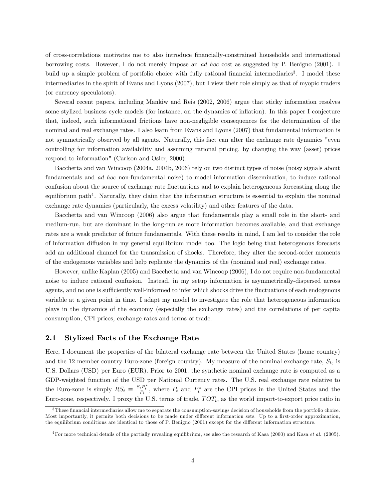of cross-correlations motivates me to also introduce financially-constrained households and international borrowing costs. However, I do not merely impose an ad hoc cost as suggested by P. Benigno (2001). I build up a simple problem of portfolio choice with fully rational financial intermediaries<sup>3</sup>. I model these intermediaries in the spirit of Evans and Lyons (2007), but I view their role simply as that of myopic traders (or currency speculators).

Several recent papers, including Mankiw and Reis (2002, 2006) argue that sticky information resolves some stylized business cycle models (for instance, on the dynamics of inflation). In this paper I conjecture that, indeed, such informational frictions have non-negligible consequences for the determination of the nominal and real exchange rates. I also learn from Evans and Lyons (2007) that fundamental information is not symmetrically observed by all agents. Naturally, this fact can alter the exchange rate dynamics "even controlling for information availability and assuming rational pricing, by changing the way (asset) prices respond to information" (Carlson and Osler, 2000).

Bacchetta and van Wincoop (2004a, 2004b, 2006) rely on two distinct types of noise (noisy signals about fundamentals and ad hoc non-fundamental noise) to model information dissemination, to induce rational confusion about the source of exchange rate fluctuations and to explain heterogeneous forecasting along the equilibrium path<sup>4</sup>. Naturally, they claim that the information structure is essential to explain the nominal exchange rate dynamics (particularly, the excess volatility) and other features of the data.

Bacchetta and van Wincoop (2006) also argue that fundamentals play a small role in the short- and medium-run, but are dominant in the long-run as more information becomes available, and that exchange rates are a weak predictor of future fundamentals. With these results in mind, I am led to consider the role of information diffusion in my general equilibrium model too. The logic being that heterogenous forecasts add an additional channel for the transmission of shocks. Therefore, they alter the second-order moments of the endogenous variables and help replicate the dynamics of the (nominal and real) exchange rates.

However, unlike Kaplan (2005) and Bacchetta and van Wincoop (2006), I do not require non-fundamental noise to induce rational confusion. Instead, in my setup information is asymmetrically-dispersed across agents, and no one is sufficiently well-informed to infer which shocks drive the fluctuations of each endogenous variable at a given point in time. I adapt my model to investigate the role that heterogeneous information plays in the dynamics of the economy (especially the exchange rates) and the correlations of per capita consumption, CPI prices, exchange rates and terms of trade.

#### 2.1 Stylized Facts of the Exchange Rate

Here, I document the properties of the bilateral exchange rate between the United States (home country) and the 12 member country Euro-zone (foreign country). My measure of the nominal exchange rate,  $S_t$ , is U.S. Dollars (USD) per Euro (EUR). Prior to 2001, the synthetic nominal exchange rate is computed as a GDP-weighted function of the USD per National Currency rates. The U.S. real exchange rate relative to the Euro-zone is simply  $RS_t \equiv \frac{S_t P_t^*}{P_t}$ , where  $P_t$  and  $P_t^*$  are the CPI prices in the United States and the Euro-zone, respectively. I proxy the U.S. terms of trade,  $TOT_t$ , as the world import-to-export price ratio in

 $3$ These financial intermediaries allow me to separate the consumption-savings decision of households from the portfolio choice. Most importantly, it permits both decisions to be made under different information sets. Up to a first-order approximation, the equilibrium conditions are identical to those of P. Benigno (2001) except for the different information structure.

<sup>&</sup>lt;sup>4</sup>For more technical details of the partially revealing equilibrium, see also the research of Kasa (2000) and Kasa *et al.* (2005).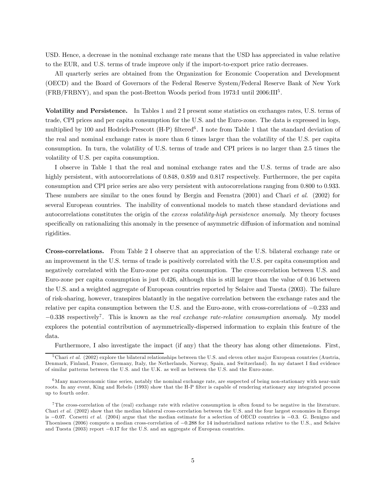USD. Hence, a decrease in the nominal exchange rate means that the USD has appreciated in value relative to the EUR, and U.S. terms of trade improve only if the import-to-export price ratio decreases.

All quarterly series are obtained from the Organization for Economic Cooperation and Development (OECD) and the Board of Governors of the Federal Reserve System/Federal Reserve Bank of New York (FRB/FRBNY), and span the post-Bretton Woods period from 1973:I until 2006:III5 .

Volatility and Persistence. In Tables 1 and 2 I present some statistics on exchanges rates, U.S. terms of trade, CPI prices and per capita consumption for the U.S. and the Euro-zone. The data is expressed in logs, multiplied by 100 and Hodrick-Prescott  $(H-P)$  filtered<sup>6</sup>. I note from Table 1 that the standard deviation of the real and nominal exchange rates is more than 6 times larger than the volatility of the U.S. per capita consumption. In turn, the volatility of U.S. terms of trade and CPI prices is no larger than 2.5 times the volatility of U.S. per capita consumption.

I observe in Table 1 that the real and nominal exchange rates and the U.S. terms of trade are also highly persistent, with autocorrelations of 0.848, 0.859 and 0.817 respectively. Furthermore, the per capita consumption and CPI price series are also very persistent with autocorrelations ranging from 0.800 to 0.933. These numbers are similar to the ones found by Bergin and Feenstra (2001) and Chari et al. (2002) for several European countries. The inability of conventional models to match these standard deviations and autocorrelations constitutes the origin of the excess volatility-high persistence anomaly. My theory focuses specifically on rationalizing this anomaly in the presence of asymmetric diffusion of information and nominal rigidities.

Cross-correlations. From Table 2 I observe that an appreciation of the U.S. bilateral exchange rate or an improvement in the U.S. terms of trade is positively correlated with the U.S. per capita consumption and negatively correlated with the Euro-zone per capita consumption. The cross-correlation between U.S. and Euro-zone per capita consumption is just 0.426, although this is still larger than the value of 0.16 between the U.S. and a weighted aggregate of European countries reported by Selaive and Tuesta (2003). The failure of risk-sharing, however, transpires blatantly in the negative correlation between the exchange rates and the relative per capita consumption between the U.S. and the Euro-zone, with cross-correlations of −0.233 and  $-0.338$  respectively<sup>7</sup>. This is known as the *real exchange rate-relative consumption anomaly*. My model explores the potential contribution of asymmetrically-dispersed information to explain this feature of the data.

Furthermore, I also investigate the impact (if any) that the theory has along other dimensions. First,

 $5$ Chari et al. (2002) explore the bilateral relationships between the U.S. and eleven other major European countries (Austria, Denmark, Finland, France, Germany, Italy, the Netherlands, Norway, Spain, and Switzerland). In my dataset I find evidence of similar patterns between the U.S. and the U.K. as well as between the U.S. and the Euro-zone.

 $6$ Many macroeconomic time series, notably the nominal exchange rate, are suspected of being non-stationary with near-unit roots. In any event, King and Rebelo (1993) show that the H-P filter is capable of rendering stationary any integrated process up to fourth order.

<sup>&</sup>lt;sup>7</sup>The cross-correlation of the (real) exchange rate with relative consumption is often found to be negative in the literature. Chari et al. (2002) show that the median bilateral cross-correlation between the U.S. and the four largest economies in Europe is −0.07. Corsetti et al. (2004) argue that the median estimate for a selection of OECD countries is −0.3. G. Benigno and Thoenissen (2006) compute a median cross-correlation of −0.288 for 14 industrialized nations relative to the U.S., and Selaive and Tuesta (2003) report −0.17 for the U.S. and an aggregate of European countries.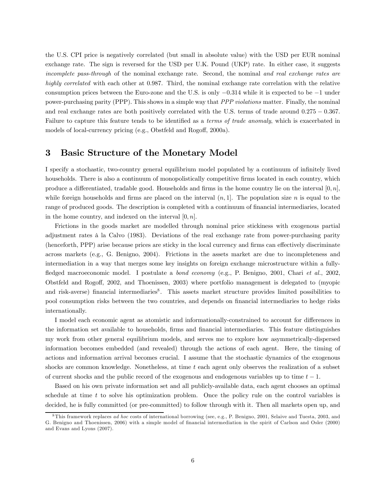the U.S. CPI price is negatively correlated (but small in absolute value) with the USD per EUR nominal exchange rate. The sign is reversed for the USD per U.K. Pound (UKP) rate. In either case, it suggests incomplete pass-through of the nominal exchange rate. Second, the nominal and real exchange rates are highly correlated with each other at 0.987. Third, the nominal exchange rate correlation with the relative consumption prices between the Euro-zone and the U.S. is only −0.314 while it is expected to be −1 under power-purchasing parity (PPP). This shows in a simple way that PPP violations matter. Finally, the nominal and real exchange rates are both positively correlated with the U.S. terms of trade around 0.275 − 0.367. Failure to capture this feature tends to be identified as a *terms of trade anomaly*, which is exacerbated in models of local-currency pricing (e.g., Obstfeld and Rogoff, 2000a).

## 3 Basic Structure of the Monetary Model

I specify a stochastic, two-country general equilibrium model populated by a continuum of infinitely lived households. There is also a continuum of monopolistically competitive firms located in each country, which produce a differentiated, tradable good. Households and firms in the home country lie on the interval  $[0, n]$ , while foreign households and firms are placed on the interval  $(n, 1]$ . The population size n is equal to the range of produced goods. The description is completed with a continuum of financial intermediaries, located in the home country, and indexed on the interval  $[0, n]$ .

Frictions in the goods market are modelled through nominal price stickiness with exogenous partial adjustment rates à la Calvo (1983). Deviations of the real exchange rate from power-purchasing parity (henceforth, PPP) arise because prices are sticky in the local currency and firms can effectively discriminate across markets (e.g., G. Benigno, 2004). Frictions in the assets market are due to incompleteness and intermediation in a way that merges some key insights on foreign exchange microstructure within a fullyfledged macroeconomic model. I postulate a bond economy (e.g., P. Benigno, 2001, Chari et al., 2002, Obstfeld and Rogoff, 2002, and Thoenissen, 2003) where portfolio management is delegated to (myopic and risk-averse) financial intermediaries<sup>8</sup>. This assets market structure provides limited possibilities to pool consumption risks between the two countries, and depends on financial intermediaries to hedge risks internationally.

I model each economic agent as atomistic and informationally-constrained to account for differences in the information set available to households, firms and financial intermediaries. This feature distinguishes my work from other general equilibrium models, and serves me to explore how asymmetrically-dispersed information becomes embedded (and revealed) through the actions of each agent. Here, the timing of actions and information arrival becomes crucial. I assume that the stochastic dynamics of the exogenous shocks are common knowledge. Nonetheless, at time t each agent only observes the realization of a subset of current shocks and the public record of the exogenous and endogenous variables up to time  $t - 1$ .

Based on his own private information set and all publicly-available data, each agent chooses an optimal schedule at time  $t$  to solve his optimization problem. Once the policy rule on the control variables is decided, he is fully committed (or pre-committed) to follow through with it. Then all markets open up, and

 $8$ This framework replaces ad hoc costs of international borrowing (see, e.g., P. Benigno, 2001, Selaive and Tuesta, 2003, and G. Benigno and Thoenissen, 2006) with a simple model of financial intermediation in the spirit of Carlson and Osler (2000) and Evans and Lyons (2007).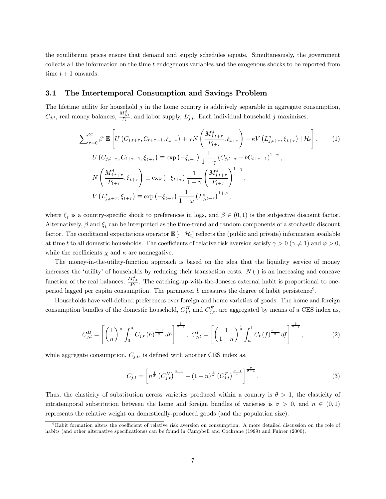the equilibrium prices ensure that demand and supply schedules equate. Simultaneously, the government collects all the information on the time t endogenous variables and the exogenous shocks to be reported from time  $t + 1$  onwards.

#### 3.1 The Intertemporal Consumption and Savings Problem

The lifetime utility for household  $j$  in the home country is additively separable in aggregate consumption,  $C_{j,t}$ , real money balances,  $\frac{M_{j,t}^d}{P_t}$ , and labor supply,  $L_{j,t}^s$ . Each individual household j maximizes,

$$
\sum_{\tau=0}^{\infty} \beta^{\tau} \mathbb{E} \left[ U \left( C_{j,t+\tau}, C_{t+\tau-1}, \xi_{t+\tau} \right) + \chi N \left( \frac{M_{j,t+\tau}^{d}}{P_{t+\tau}}, \xi_{t+\tau} \right) - \kappa V \left( L_{j,t+\tau}^{s}, \xi_{t+\tau} \right) \mid \mathcal{H}_{t} \right], \qquad (1)
$$
  
\n
$$
U \left( C_{j,t+\tau}, C_{t+\tau-1}, \xi_{t+\tau} \right) \equiv \exp \left( -\xi_{t+\tau} \right) \frac{1}{1-\gamma} \left( C_{j,t+\tau} - b C_{t+\tau-1} \right)^{1-\gamma},
$$
  
\n
$$
N \left( \frac{M_{j,t+\tau}^{d}}{P_{t+\tau}}, \xi_{t+\tau} \right) \equiv \exp \left( -\xi_{t+\tau} \right) \frac{1}{1-\gamma} \left( \frac{M_{j,t+\tau}^{d}}{P_{t+\tau}} \right)^{1-\gamma},
$$
  
\n
$$
V \left( L_{j,t+\tau}^{s}, \xi_{t+\tau} \right) \equiv \exp \left( -\xi_{t+\tau} \right) \frac{1}{1+\varphi} \left( L_{j,t+\tau}^{s} \right)^{1+\varphi},
$$

where  $\xi_t$  is a country-specific shock to preferences in logs, and  $\beta \in (0,1)$  is the subjective discount factor. Alternatively,  $\beta$  and  $\xi_t$  can be interpreted as the time-trend and random components of a stochastic discount factor. The conditional expectations operator  $\mathbb{E}[\cdot|\mathcal{H}_t]$  reflects the (public and private) information available at time t to all domestic households. The coefficients of relative risk aversion satisfy  $\gamma > 0$  ( $\gamma \neq 1$ ) and  $\varphi > 0$ , while the coefficients  $\chi$  and  $\kappa$  are nonnegative.

The money-in-the-utility-function approach is based on the idea that the liquidity service of money increases the 'utility' of households by reducing their transaction costs.  $N(\cdot)$  is an increasing and concave function of the real balances,  $\frac{M_{j,t}^d}{P_t}$ . The catching-up-with-the-Joneses external habit is proportional to oneperiod lagged per capita consumption. The parameter b measures the degree of habit persistence<sup>9</sup>.

Households have well-defined preferences over foreign and home varieties of goods. The home and foreign consumption bundles of the domestic household,  $C_{j,t}^H$  and  $C_{j,t}^F$ , are aggregated by means of a CES index as,

$$
C_{j,t}^{H} = \left[ \left( \frac{1}{n} \right)^{\frac{1}{\theta}} \int_{0}^{n} C_{j,t} \left( h \right)^{\frac{\theta-1}{\theta}} dh \right]^{\frac{\theta}{\theta-1}}, \ C_{j,t}^{F} = \left[ \left( \frac{1}{1-n} \right)^{\frac{1}{\theta}} \int_{n}^{1} C_{t} \left( f \right)^{\frac{\theta-1}{\theta}} df \right]^{\frac{\theta}{\theta-1}}, \tag{2}
$$

while aggregate consumption,  $C_{j,t}$ , is defined with another CES index as,

$$
C_{j,t} = \left[ n^{\frac{1}{\sigma}} \left( C_{j,t}^H \right)^{\frac{\sigma-1}{\sigma}} + (1-n)^{\frac{1}{\sigma}} \left( C_{j,t}^F \right)^{\frac{\sigma-1}{\sigma}} \right]^{\frac{\sigma}{\sigma-1}}.
$$
\n(3)

Thus, the elasticity of substitution across varieties produced within a country is  $\theta > 1$ , the elasticity of intratemporal substitution between the home and foreign bundles of varieties is  $\sigma > 0$ , and  $n \in (0,1)$ represents the relative weight on domestically-produced goods (and the population size).

<sup>9</sup>Habit formation alters the coefficient of relative risk aversion on consumption. A more detailed discussion on the role of habits (and other alternative specifications) can be found in Campbell and Cochrane (1999) and Fuhrer (2000).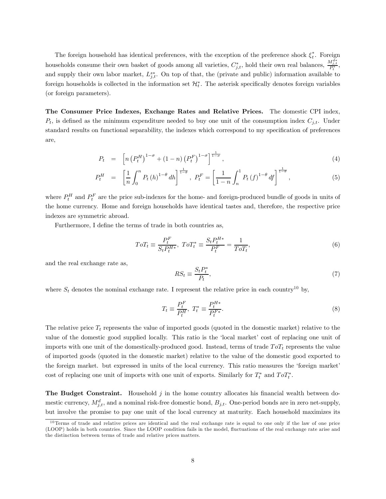The foreign household has identical preferences, with the exception of the preference shock  $\xi_t^*$ . Foreign households consume their own basket of goods among all varieties,  $C_{j,t}^*$ , hold their own real balances,  $\frac{M_{j,t}^{d*}}{P_t^*}$ , and supply their own labor market,  $L_{j,t}^{s*}$ . On top of that, the (private and public) information available to foreign households is collected in the information set  $\mathcal{H}_t^*$ . The asterisk specifically denotes foreign variables (or foreign parameters).

The Consumer Price Indexes, Exchange Rates and Relative Prices. The domestic CPI index,  $P_t$ , is defined as the minimum expenditure needed to buy one unit of the consumption index  $C_{j,t}$ . Under standard results on functional separability, the indexes which correspond to my specification of preferences are,

$$
P_t = \left[ n \left( P_t^H \right)^{1-\sigma} + (1-n) \left( P_t^F \right)^{1-\sigma} \right]^{\frac{1}{1-\sigma}}, \tag{4}
$$

$$
P_t^H = \left[\frac{1}{n} \int_0^n P_t(h)^{1-\theta} dh\right]^{\frac{1}{1-\theta}}, \ P_t^F = \left[\frac{1}{1-n} \int_n^1 P_t(f)^{1-\theta} df\right]^{\frac{1}{1-\theta}}, \tag{5}
$$

where  $P_t^H$  and  $P_t^F$  are the price sub-indexes for the home- and foreign-produced bundle of goods in units of the home currency. Home and foreign households have identical tastes and, therefore, the respective price indexes are symmetric abroad.

Furthermore, I define the terms of trade in both countries as,

$$
T o T_t \equiv \frac{P_t^F}{S_t P_t^{H*}}, \ T o T_t^* \equiv \frac{S_t P_t^{H*}}{P_t^F} = \frac{1}{T o T_t},\tag{6}
$$

and the real exchange rate as,

$$
RS_t \equiv \frac{S_t P_t^*}{P_t},\tag{7}
$$

where  $S_t$  denotes the nominal exchange rate. I represent the relative price in each country<sup>10</sup> by,

$$
T_t \equiv \frac{P_t^F}{P_t^H}, \ T_t^* \equiv \frac{P_t^{H*}}{P_t^{F*}}.\tag{8}
$$

The relative price  $T_t$  represents the value of imported goods (quoted in the domestic market) relative to the value of the domestic good supplied locally. This ratio is the 'local market' cost of replacing one unit of imports with one unit of the domestically-produced good. Instead, terms of trade  $T \sigma T_t$  represents the value of imported goods (quoted in the domestic market) relative to the value of the domestic good exported to the foreign market. but expressed in units of the local currency. This ratio measures the 'foreign market' cost of replacing one unit of imports with one unit of exports. Similarly for  $T_t^*$  and  $ToT_t^*$ .

The Budget Constraint. Household  $j$  in the home country allocates his financial wealth between domestic currency,  $M_{j,t}^d$ , and a nominal risk-free domestic bond,  $B_{j,t}$ . One-period bonds are in zero net-supply, but involve the promise to pay one unit of the local currency at maturity. Each household maximizes its

 $10$ Terms of trade and relative prices are identical and the real exchange rate is equal to one only if the law of one price (LOOP) holds in both countries. Since the LOOP condition fails in the model, fluctuations of the real exchange rate arise and the distinction between terms of trade and relative prices matters.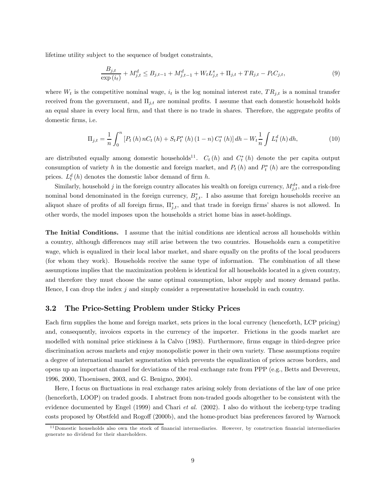lifetime utility subject to the sequence of budget constraints,

$$
\frac{B_{j,t}}{\exp(i_t)} + M_{j,t}^d \le B_{j,t-1} + M_{j,t-1}^d + W_t L_{j,t}^s + \Pi_{j,t} + T R_{j,t} - P_t C_{j,t},\tag{9}
$$

where  $W_t$  is the competitive nominal wage,  $i_t$  is the log nominal interest rate,  $TR_{j,t}$  is a nominal transfer received from the government, and  $\Pi_{j,t}$  are nominal profits. I assume that each domestic household holds an equal share in every local firm, and that there is no trade in shares. Therefore, the aggregate profits of domestic firms, i.e.

$$
\Pi_{j,t} = \frac{1}{n} \int_0^n \left[ P_t(h) n C_t(h) + S_t P_t^*(h) (1 - n) C_t^*(h) \right] dh - W_t \frac{1}{n} \int L_t^d(h) dh,
$$
\n(10)

are distributed equally among domestic households<sup>11</sup>.  $C_t(h)$  and  $C_t^*(h)$  denote the per capita output consumption of variety h in the domestic and foreign market, and  $P_t(h)$  and  $P_t^*(h)$  are the corresponding prices.  $L_t^d(h)$  denotes the domestic labor demand of firm h.

Similarly, household j in the foreign country allocates his wealth on foreign currency,  $M_{j,t}^{d*}$ , and a risk-free nominal bond denominated in the foreign currency,  $B_{j,t}^*$ . I also assume that foreign households receive an aliquot share of profits of all foreign firms,  $\Pi_{j,t}^*$ , and that trade in foreign firms' shares is not allowed. In other words, the model imposes upon the households a strict home bias in asset-holdings.

The Initial Conditions. I assume that the initial conditions are identical across all households within a country, although differences may still arise between the two countries. Households earn a competitive wage, which is equalized in their local labor market, and share equally on the profits of the local producers (for whom they work). Households receive the same type of information. The combination of all these assumptions implies that the maximization problem is identical for all households located in a given country, and therefore they must choose the same optimal consumption, labor supply and money demand paths. Hence, I can drop the index  $j$  and simply consider a representative household in each country.

#### 3.2 The Price-Setting Problem under Sticky Prices

Each firm supplies the home and foreign market, sets prices in the local currency (henceforth, LCP pricing) and, consequently, invoices exports in the currency of the importer. Frictions in the goods market are modelled with nominal price stickiness à la Calvo (1983). Furthermore, firms engage in third-degree price discrimination across markets and enjoy monopolistic power in their own variety. These assumptions require a degree of international market segmentation which prevents the equalization of prices across borders, and opens up an important channel for deviations of the real exchange rate from PPP (e.g., Betts and Devereux, 1996, 2000, Thoenissen, 2003, and G. Benigno, 2004).

Here, I focus on fluctuations in real exchange rates arising solely from deviations of the law of one price (henceforth, LOOP) on traded goods. I abstract from non-traded goods altogether to be consistent with the evidence documented by Engel (1999) and Chari et al. (2002). I also do without the iceberg-type trading costs proposed by Obstfeld and Rogoff (2000b), and the home-product bias preferences favored by Warnock

<sup>1 1</sup>Domestic households also own the stock of financial intermediaries. However, by construction financial intermediaries generate no dividend for their shareholders.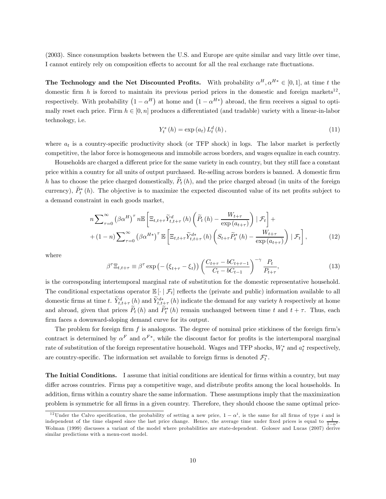(2003). Since consumption baskets between the U.S. and Europe are quite similar and vary little over time, I cannot entirely rely on composition effects to account for all the real exchange rate fluctuations.

The Technology and the Net Discounted Profits. With probability  $\alpha^H, \alpha^{H*} \in [0, 1]$ , at time t the domestic firm h is forced to maintain its previous period prices in the domestic and foreign markets<sup>12</sup>. respectively. With probability  $(1 - \alpha^H)$  at home and  $(1 - \alpha^{H*})$  abroad, the firm receives a signal to optimally reset each price. Firm  $h \in [0, n]$  produces a differentiated (and tradable) variety with a linear-in-labor technology, i.e.

$$
Y_{t}^{s}(h) = \exp(a_{t}) L_{t}^{d}(h), \qquad (11)
$$

where  $a_t$  is a country-specific productivity shock (or TFP shock) in logs. The labor market is perfectly competitive, the labor force is homogeneous and immobile across borders, and wages equalize in each country.

Households are charged a different price for the same variety in each country, but they still face a constant price within a country for all units of output purchased. Re-selling across borders is banned. A domestic firm h has to choose the price charged domestically,  $\tilde{P}_t(h)$ , and the price charged abroad (in units of the foreign currency),  $P_t^*(h)$ . The objective is to maximize the expected discounted value of its net profits subject to a demand constraint in each goods market,

$$
n\sum_{\tau=0}^{\infty} \left(\beta \alpha^{H}\right)^{\tau} n \mathbb{E}\left[\Xi_{t,t+\tau} \widetilde{Y}_{t,t+\tau}^{d}\left(h\right) \left(\widetilde{P}_{t}\left(h\right)-\frac{W_{t+\tau}}{\exp\left(a_{t+\tau}\right)}\right) \mid \mathcal{F}_{t}\right]+\n+ (1-n)\sum_{\tau=0}^{\infty} \left(\beta \alpha^{H*}\right)^{\tau} \mathbb{E}\left[\Xi_{t,t+\tau} \widetilde{Y}_{t,t+\tau}^{d*}\left(h\right) \left(S_{t+\tau} \widetilde{P}_{t}^{*}\left(h\right)-\frac{W_{t+\tau}}{\exp\left(a_{t+\tau}\right)}\right) \mid \mathcal{F}_{t}\right],
$$
\n(12)

where

$$
\beta^{\tau} \Xi_{t,t+\tau} \equiv \beta^{\tau} \exp\left(-\left(\xi_{t+\tau} - \xi_{t}\right)\right) \left(\frac{C_{t+\tau} - bC_{t+\tau-1}}{C_{t} - bC_{t-1}}\right)^{-\gamma} \frac{P_{t}}{P_{t+\tau}},\tag{13}
$$

is the corresponding intertemporal marginal rate of substitution for the domestic representative household. The conditional expectations operator  $\mathbb{E}[\cdot|\mathcal{F}_t]$  reflects the (private and public) information available to all domestic firms at time t.  $\tilde{Y}_{t,t+\tau}^d(h)$  and  $\tilde{Y}_{t,t+\tau}^d(h)$  indicate the demand for any variety h respectively at home and abroad, given that prices  $P_t(h)$  and  $P_t^*(h)$  remain unchanged between time t and  $t + \tau$ . Thus, each firm faces a downward-sloping demand curve for its output.

The problem for foreign firm  $f$  is analogous. The degree of nominal price stickiness of the foreign firm's contract is determined by  $\alpha^F$  and  $\alpha^{F*}$ , while the discount factor for profits is the intertemporal marginal rate of substitution of the foreign representative household. Wages and TFP shocks,  $W_t^*$  and  $a_t^*$  respectively, are country-specific. The information set available to foreign firms is denoted  $\mathcal{F}_t^*$ .

The Initial Conditions. I assume that initial conditions are identical for firms within a country, but may differ across countries. Firms pay a competitive wage, and distribute profits among the local households. In addition, firms within a country share the same information. These assumptions imply that the maximization problem is symmetric for all firms in a given country. Therefore, they should choose the same optimal price-

<sup>&</sup>lt;sup>12</sup>Under the Calvo specification, the probability of setting a new price,  $1 - \alpha^i$ , is the same for all firms of type i and is independent of the time elapsed since the last price change. Hence, the average time under fixed prices is equal to  $\frac{1}{1-\alpha^i}$ . Wolman (1999) discusses a variant of the model where probabilities are state-dependent. Golosov and Lucas (2007) derive similar predictions with a menu-cost model.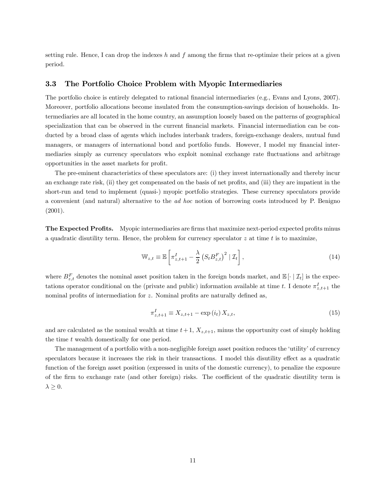setting rule. Hence, I can drop the indexes h and f among the firms that re-optimize their prices at a given period.

#### 3.3 The Portfolio Choice Problem with Myopic Intermediaries

The portfolio choice is entirely delegated to rational financial intermediaries (e.g., Evans and Lyons, 2007). Moreover, portfolio allocations become insulated from the consumption-savings decision of households. Intermediaries are all located in the home country, an assumption loosely based on the patterns of geographical specialization that can be observed in the current financial markets. Financial intermediation can be conducted by a broad class of agents which includes interbank traders, foreign-exchange dealers, mutual fund managers, or managers of international bond and portfolio funds. However, I model my financial intermediaries simply as currency speculators who exploit nominal exchange rate fluctuations and arbitrage opportunities in the asset markets for profit.

The pre-eminent characteristics of these speculators are: (i) they invest internationally and thereby incur an exchange rate risk, (ii) they get compensated on the basis of net profits, and (iii) they are impatient in the short-run and tend to implement (quasi-) myopic portfolio strategies. These currency speculators provide a convenient (and natural) alternative to the ad hoc notion of borrowing costs introduced by P. Benigno (2001).

The Expected Profits. Myopic intermediaries are firms that maximize next-period expected profits minus a quadratic disutility term. Hence, the problem for currency speculator  $z$  at time  $t$  is to maximize,

$$
\mathbb{W}_{z,t} \equiv \mathbb{E}\left[\pi_{z,t+1}^I - \frac{\lambda}{2} \left(S_t B_{z,t}^F\right)^2 \mid \mathcal{I}_t\right],\tag{14}
$$

where  $B_{z,t}^F$  denotes the nominal asset position taken in the foreign bonds market, and  $\mathbb{E}[\cdot | \mathcal{I}_t]$  is the expectations operator conditional on the (private and public) information available at time t. I denote  $\pi^I_{z,t+1}$  the nominal profits of intermediation for z. Nominal profits are naturally defined as,

$$
\pi_{z,t+1}^I \equiv X_{z,t+1} - \exp(i_t) X_{z,t},
$$
\n(15)

and are calculated as the nominal wealth at time  $t+1$ ,  $X_{z,t+1}$ , minus the opportunity cost of simply holding the time t wealth domestically for one period.

The management of a portfolio with a non-negligible foreign asset position reduces the 'utility' of currency speculators because it increases the risk in their transactions. I model this disutility effect as a quadratic function of the foreign asset position (expressed in units of the domestic currency), to penalize the exposure of the firm to exchange rate (and other foreign) risks. The coefficient of the quadratic disutility term is  $\lambda \geq 0$ .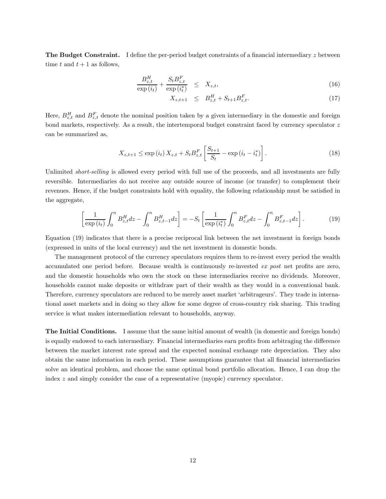The Budget Constraint. I define the per-period budget constraints of a financial intermediary z between time t and  $t + 1$  as follows,

$$
\frac{B_{z,t}^H}{\exp(i_t)} + \frac{S_t B_{z,t}^F}{\exp(i_t^*)} \leq X_{z,t},
$$
\n(16)

$$
X_{z,t+1} \leq B_{z,t}^H + S_{t+1} B_{z,t}^F. \tag{17}
$$

Here,  $B_{z,t}^H$  and  $B_{z,t}^F$  denote the nominal position taken by a given intermediary in the domestic and foreign bond markets, respectively. As a result, the intertemporal budget constraint faced by currency speculator z can be summarized as,

$$
X_{z,t+1} \le \exp(i_t) \, X_{z,t} + S_t B_{z,t}^F \left[ \frac{S_{t+1}}{S_t} - \exp(i_t - i_t^*) \right]. \tag{18}
$$

Unlimited *short-selling* is allowed every period with full use of the proceeds, and all investments are fully reversible. Intermediaries do not receive any outside source of income (or transfer) to complement their revenues. Hence, if the budget constraints hold with equality, the following relationship must be satisfied in the aggregate,

$$
\left[\frac{1}{\exp(i_t)} \int_0^n B_{z,t}^H dz - \int_0^n B_{z,t-1}^H dz\right] = -S_t \left[\frac{1}{\exp(i_t^*)} \int_0^n B_{z,t}^F dz - \int_0^n B_{z,t-1}^F dz\right].
$$
 (19)

Equation (19) indicates that there is a precise reciprocal link between the net investment in foreign bonds (expressed in units of the local currency) and the net investment in domestic bonds.

The management protocol of the currency speculators requires them to re-invest every period the wealth accumulated one period before. Because wealth is continuously re-invested ex post net profits are zero, and the domestic households who own the stock on these intermediaries receive no dividends. Moreover, households cannot make deposits or withdraw part of their wealth as they would in a conventional bank. Therefore, currency speculators are reduced to be merely asset market 'arbitrageurs'. They trade in international asset markets and in doing so they allow for some degree of cross-country risk sharing. This trading service is what makes intermediation relevant to households, anyway.

The Initial Conditions. I assume that the same initial amount of wealth (in domestic and foreign bonds) is equally endowed to each intermediary. Financial intermediaries earn profits from arbitraging the difference between the market interest rate spread and the expected nominal exchange rate depreciation. They also obtain the same information in each period. These assumptions guarantee that all financial intermediaries solve an identical problem, and choose the same optimal bond portfolio allocation. Hence, I can drop the index z and simply consider the case of a representative (myopic) currency speculator.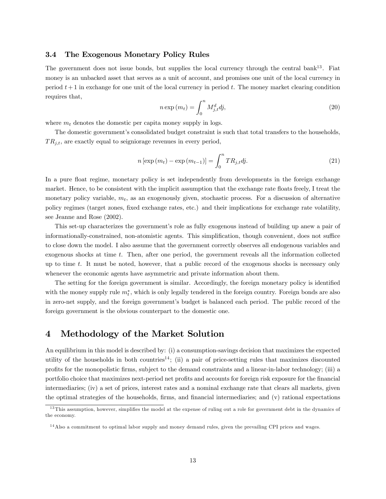#### 3.4 The Exogenous Monetary Policy Rules

The government does not issue bonds, but supplies the local currency through the central bank<sup>13</sup>. Fiat money is an unbacked asset that serves as a unit of account, and promises one unit of the local currency in period  $t + 1$  in exchange for one unit of the local currency in period t. The money market clearing condition requires that,

$$
n \exp(m_t) = \int_0^n M_{j,t}^d dj,
$$
\n(20)

where  $m_t$  denotes the domestic per capita money supply in logs.

The domestic government's consolidated budget constraint is such that total transfers to the households,  $TR_{j,t}$ , are exactly equal to seigniorage revenues in every period,

$$
n\left[\exp\left(m_{t}\right)-\exp\left(m_{t-1}\right)\right]=\int_{0}^{n}TR_{j,t}dj.\tag{21}
$$

In a pure float regime, monetary policy is set independently from developments in the foreign exchange market. Hence, to be consistent with the implicit assumption that the exchange rate floats freely, I treat the monetary policy variable,  $m_t$ , as an exogenously given, stochastic process. For a discussion of alternative policy regimes (target zones, fixed exchange rates, etc.) and their implications for exchange rate volatility, see Jeanne and Rose (2002).

This set-up characterizes the government's role as fully exogenous instead of building up anew a pair of informationally-constrained, non-atomistic agents. This simplification, though convenient, does not suffice to close down the model. I also assume that the government correctly observes all endogenous variables and exogenous shocks at time t. Then, after one period, the government reveals all the information collected up to time t. It must be noted, however, that a public record of the exogenous shocks is necessary only whenever the economic agents have asymmetric and private information about them.

The setting for the foreign government is similar. Accordingly, the foreign monetary policy is identified with the money supply rule  $m_t^*$ , which is only legally tendered in the foreign country. Foreign bonds are also in zero-net supply, and the foreign government's budget is balanced each period. The public record of the foreign government is the obvious counterpart to the domestic one.

## 4 Methodology of the Market Solution

An equilibrium in this model is described by: (i) a consumption-savings decision that maximizes the expected utility of the households in both countries<sup>14</sup>; (ii) a pair of price-setting rules that maximizes discounted profits for the monopolistic firms, subject to the demand constraints and a linear-in-labor technology; (iii) a portfolio choice that maximizes next-period net profits and accounts for foreign risk exposure for the financial intermediaries; (iv) a set of prices, interest rates and a nominal exchange rate that clears all markets, given the optimal strategies of the households, firms, and financial intermediaries; and (v) rational expectations

<sup>&</sup>lt;sup>13</sup>This assumption, however, simplifies the model at the expense of ruling out a role for government debt in the dynamics of the economy.

<sup>&</sup>lt;sup>14</sup>Also a commitment to optimal labor supply and money demand rules, given the prevailing CPI prices and wages.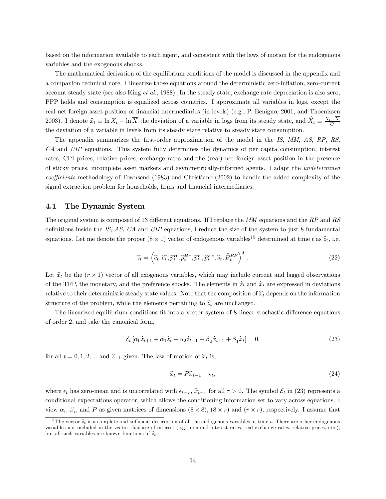based on the information available to each agent, and consistent with the laws of motion for the endogenous variables and the exogenous shocks.

The mathematical derivation of the equilibrium conditions of the model is discussed in the appendix and a companion technical note. I linearize those equations around the deterministic zero-inflation, zero-current account steady state (see also King et al., 1988). In the steady state, exchange rate depreciation is also zero, PPP holds and consumption is equalized across countries. I approximate all variables in logs, except the real net foreign asset position of financial intermediaries (in levels) (e.g., P. Benigno, 2001, and Thoenissen 2003). I denote  $\hat{x}_t \equiv \ln X_t - \ln \overline{X}$  the deviation of a variable in logs from its steady state, and  $\hat{X}_t \equiv \frac{X_t - X}{\overline{C}}$ the deviation of a variable in levels from its steady state relative to steady state consumption.

The appendix summarizes the first-order approximation of the model in the IS, MM, AS, RP, RS, CA and UIP equations. This system fully determines the dynamics of per capita consumption, interest rates, CPI prices, relative prices, exchange rates and the (real) net foreign asset position in the presence of sticky prices, incomplete asset markets and asymmetrically-informed agents. I adapt the undetermined coefficients methodology of Townsend (1983) and Christiano (2002) to handle the added complexity of the signal extraction problem for households, firms and financial intermediaries.

#### 4.1 The Dynamic System

The original system is composed of 13 different equations. If I replace the MM equations and the RP and RS definitions inside the IS, AS, CA and UIP equations, I reduce the size of the system to just 8 fundamental equations. Let me denote the proper  $(8 \times 1)$  vector of endogenous variables<sup>15</sup> determined at time t as  $\hat{z}_t$ , i.e.

$$
\widehat{z}_t = \left(\widehat{c}_t, \widehat{c}_t^*, \widehat{p}_t^H, \widehat{p}_t^{H*}, \widehat{p}_t^F, \widehat{p}_t^{F*}, \widehat{s}_t, \widehat{B}_t^{RF}\right)^T.
$$
\n(22)

Let  $\hat{x}_t$  be the  $(r \times 1)$  vector of all exogenous variables, which may include current and lagged observations of the TFP, the monetary, and the preference shocks. The elements in  $\hat{z}_t$  and  $\hat{x}_t$  are expressed in deviations relative to their deterministic steady state values. Note that the composition of  $\hat{x}_t$  depends on the information structure of the problem, while the elements pertaining to  $\hat{z}_t$  are unchanged.

The linearized equilibrium conditions fit into a vector system of 8 linear stochastic difference equations of order 2, and take the canonical form,

$$
\mathcal{E}_t \left[ \alpha_0 \hat{z}_{t+1} + \alpha_1 \hat{z}_t + \alpha_2 \hat{z}_{t-1} + \beta_0 \hat{x}_{t+1} + \beta_1 \hat{x}_t \right] = 0,\tag{23}
$$

for all  $t = 0, 1, 2, ...$  and  $\hat{z}_{-1}$  given. The law of motion of  $\hat{x}_t$  is,

$$
\widehat{x}_t = P\widehat{x}_{t-1} + \epsilon_t,\tag{24}
$$

where  $\epsilon_t$  has zero-mean and is uncorrelated with  $\epsilon_{t-\tau}$ ,  $\hat{x}_{t-\tau}$  for all  $\tau > 0$ . The symbol  $\mathcal{E}_t$  in (23) represents a conditional expectations operator, which allows the conditioning information set to vary across equations. I view  $\alpha_i$ ,  $\beta_i$ , and P as given matrices of dimensions  $(8 \times 8)$ ,  $(8 \times r)$  and  $(r \times r)$ , respectively. I assume that

<sup>&</sup>lt;sup>15</sup>The vector  $\hat{z}_t$  is a complete and sufficient description of all the endogenous variables at time t. There are other endogenous variables not included in the vector that are of interest (e.g., nominal interest rates, real exchange rates, relative prices, etc.), but all such variables are known functions of  $\hat{z}_t$ .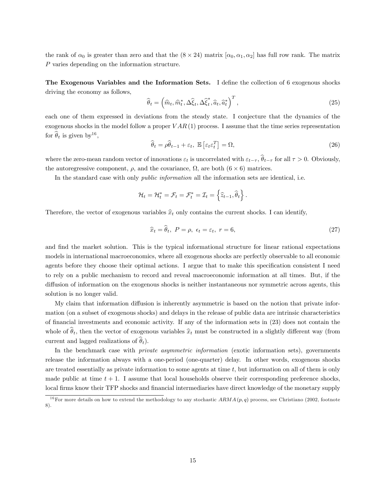the rank of  $\alpha_0$  is greater than zero and that the  $(8 \times 24)$  matrix  $[\alpha_0, \alpha_1, \alpha_2]$  has full row rank. The matrix P varies depending on the information structure.

The Exogenous Variables and the Information Sets. I define the collection of 6 exogenous shocks driving the economy as follows,

$$
\widehat{\theta}_t = \left(\widehat{m}_t, \widehat{m}_t^*, \Delta \widehat{\xi}_t, \Delta \widehat{\xi}_t^*, \widehat{a}_t, \widehat{a}_t^*\right)^T,\tag{25}
$$

each one of them expressed in deviations from the steady state. I conjecture that the dynamics of the exogenous shocks in the model follow a proper  $VAR(1)$  process. I assume that the time series representation for  $\hat{\theta}_t$  is given by  $16$ ,

$$
\widehat{\theta}_t = \rho \widehat{\theta}_{t-1} + \varepsilon_t, \ \mathbb{E}\left[\varepsilon_t \varepsilon_t^T\right] = \Omega,\tag{26}
$$

where the zero-mean random vector of innovations  $\varepsilon_t$  is uncorrelated with  $\varepsilon_{t-\tau}$ ,  $\widehat{\theta}_{t-\tau}$  for all  $\tau > 0$ . Obviously, the autoregressive component,  $\rho$ , and the covariance,  $\Omega$ , are both  $(6 \times 6)$  matrices.

In the standard case with only *public information* all the information sets are identical, i.e.

$$
\mathcal{H}_t = \mathcal{H}_t^* = \mathcal{F}_t = \mathcal{F}_t^* = \mathcal{I}_t = \left\{ \widehat{z}_{t-1}, \widehat{\theta}_t \right\}.
$$

Therefore, the vector of exogenous variables  $\hat{x}_t$  only contains the current shocks. I can identify,

$$
\widehat{x}_t = \widehat{\theta}_t, \ P = \rho, \ \epsilon_t = \varepsilon_t, \ r = 6,
$$
\n
$$
(27)
$$

and find the market solution. This is the typical informational structure for linear rational expectations models in international macroeconomics, where all exogenous shocks are perfectly observable to all economic agents before they choose their optimal actions. I argue that to make this specification consistent I need to rely on a public mechanism to record and reveal macroeconomic information at all times. But, if the diffusion of information on the exogenous shocks is neither instantaneous nor symmetric across agents, this solution is no longer valid.

My claim that information diffusion is inherently asymmetric is based on the notion that private information (on a subset of exogenous shocks) and delays in the release of public data are intrinsic characteristics of financial investments and economic activity. If any of the information sets in (23) does not contain the whole of  $\theta_t$ , then the vector of exogenous variables  $\hat{x}_t$  must be constructed in a slightly different way (from current and lagged realizations of  $\theta_t$ ).

In the benchmark case with *private asymmetric information* (exotic information sets), governments release the information always with a one-period (one-quarter) delay. In other words, exogenous shocks are treated essentially as private information to some agents at time t, but information on all of them is only made public at time  $t + 1$ . I assume that local households observe their corresponding preference shocks. local firms know their TFP shocks and financial intermediaries have direct knowledge of the monetary supply

<sup>&</sup>lt;sup>16</sup>For more details on how to extend the methodology to any stochastic  $ARMA(p,q)$  process, see Christiano (2002, footnote 8).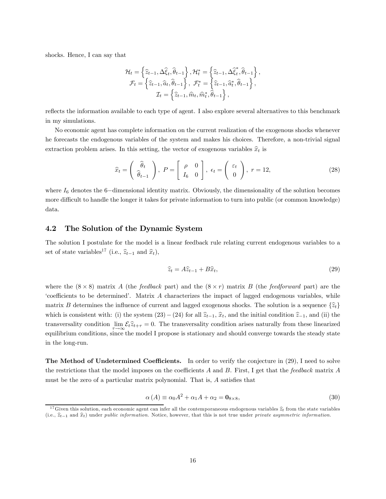shocks. Hence, I can say that

$$
\mathcal{H}_{t} = \left\{ \widehat{z}_{t-1}, \Delta \widehat{\xi}_{t}, \widehat{\theta}_{t-1} \right\}, \mathcal{H}_{t}^{*} = \left\{ \widehat{z}_{t-1}, \Delta \widehat{\xi}_{t}^{*}, \widehat{\theta}_{t-1} \right\}, \n\mathcal{F}_{t} = \left\{ \widehat{z}_{t-1}, \widehat{a}_{t}, \widehat{\theta}_{t-1} \right\}, \ \mathcal{F}_{t}^{*} = \left\{ \widehat{z}_{t-1}, \widehat{a}_{t}^{*}, \widehat{\theta}_{t-1} \right\}, \n\mathcal{I}_{t} = \left\{ \widehat{z}_{t-1}, \widehat{m}_{t}, \widehat{m}_{t}^{*}, \widehat{\theta}_{t-1} \right\},
$$

reflects the information available to each type of agent. I also explore several alternatives to this benchmark in my simulations.

No economic agent has complete information on the current realization of the exogenous shocks whenever he forecasts the endogenous variables of the system and makes his choices. Therefore, a non-trivial signal extraction problem arises. In this setting, the vector of exogenous variables  $\hat{x}_t$  is

$$
\widehat{x}_t = \left(\begin{array}{c}\widehat{\theta}_t\\\widehat{\theta}_{t-1}\end{array}\right),\ P = \left[\begin{array}{cc}\rho & 0\\I_6 & 0\end{array}\right],\ \epsilon_t = \left(\begin{array}{c}\epsilon_t\\0\end{array}\right),\ r = 12,\tag{28}
$$

where  $I_6$  denotes the 6−dimensional identity matrix. Obviously, the dimensionality of the solution becomes more difficult to handle the longer it takes for private information to turn into public (or common knowledge) data.

#### 4.2 The Solution of the Dynamic System

The solution I postulate for the model is a linear feedback rule relating current endogenous variables to a set of state variables<sup>17</sup> (i.e.,  $\widehat{z}_{t-1}$  and  $\widehat{x}_t$ ),

$$
\widehat{z}_t = A\widehat{z}_{t-1} + B\widehat{x}_t,\tag{29}
$$

where the  $(8 \times 8)$  matrix A (the *feedback* part) and the  $(8 \times r)$  matrix B (the *feedforward* part) are the 'coefficients to be determined'. Matrix A characterizes the impact of lagged endogenous variables, while matrix B determines the influence of current and lagged exogenous shocks. The solution is a sequence  $\{\hat{z}_t\}$ which is consistent with: (i) the system  $(23)-(24)$  for all  $\hat{z}_{t-1}, \hat{x}_t$ , and the initial condition  $\hat{z}_{-1}$ , and (ii) the transversality condition  $\lim_{\epsilon \to \infty} \mathcal{E}_t \hat{z}_{t+\tau} = 0$ . The transversality condition arises naturally from these linearized equilibrium conditions, since the model I propose is stationary and should converge towards the steady state in the long-run.

The Method of Undetermined Coefficients. In order to verify the conjecture in  $(29)$ , I need to solve the restrictions that the model imposes on the coefficients  $A$  and  $B$ . First, I get that the feedback matrix  $A$ must be the zero of a particular matrix polynomial. That is, A satisfies that

$$
\alpha(A) \equiv \alpha_0 A^2 + \alpha_1 A + \alpha_2 = \mathbf{0}_{8 \times 8},\tag{30}
$$

<sup>&</sup>lt;sup>17</sup>Given this solution, each economic agent can infer all the contemporaneous endogenous variables  $\hat{z}_t$  from the state variables (i.e.,  $\hat{z}_{t-1}$  and  $\hat{x}_t$ ) under public information. Notice, however, that this is not true under private asymmetric information.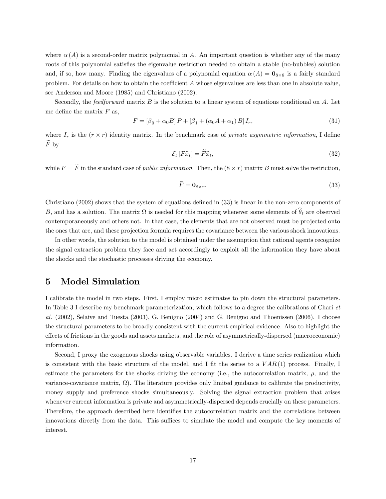where  $\alpha(A)$  is a second-order matrix polynomial in A. An important question is whether any of the many roots of this polynomial satisfies the eigenvalue restriction needed to obtain a stable (no-bubbles) solution and, if so, how many. Finding the eigenvalues of a polynomial equation  $\alpha(A) = \mathbf{0}_{8\times8}$  is a fairly standard problem. For details on how to obtain the coefficient A whose eigenvalues are less than one in absolute value, see Anderson and Moore (1985) and Christiano (2002).

Secondly, the *feedforward* matrix  $B$  is the solution to a linear system of equations conditional on  $A$ . Let me define the matrix  $F$  as,

$$
F = [\beta_0 + \alpha_0 B] P + [\beta_1 + (\alpha_0 A + \alpha_1) B] I_r,
$$
\n(31)

where  $I_r$  is the  $(r \times r)$  identity matrix. In the benchmark case of *private asymmetric information*, I define  $F_{\rm}$  by

$$
\mathcal{E}_t\left[F\hat{x}_t\right] = \widetilde{F}\hat{x}_t,\tag{32}
$$

while  $F = \widetilde{F}$  in the standard case of *public information*. Then, the  $(8 \times r)$  matrix B must solve the restriction,

$$
\widetilde{F} = \mathbf{0}_{8 \times r}.\tag{33}
$$

Christiano (2002) shows that the system of equations defined in (33) is linear in the non-zero components of B, and has a solution. The matrix  $\Omega$  is needed for this mapping whenever some elements of  $\hat{\theta}_t$  are observed contemporaneously and others not. In that case, the elements that are not observed must be projected onto the ones that are, and these projection formula requires the covariance between the various shock innovations.

In other words, the solution to the model is obtained under the assumption that rational agents recognize the signal extraction problem they face and act accordingly to exploit all the information they have about the shocks and the stochastic processes driving the economy.

## 5 Model Simulation

I calibrate the model in two steps. First, I employ micro estimates to pin down the structural parameters. In Table 3 I describe my benchmark parameterization, which follows to a degree the calibrations of Chari et al. (2002), Selaive and Tuesta (2003), G. Benigno (2004) and G. Benigno and Thoenissen (2006). I choose the structural parameters to be broadly consistent with the current empirical evidence. Also to highlight the effects of frictions in the goods and assets markets, and the role of asymmetrically-dispersed (macroeconomic) information.

Second, I proxy the exogenous shocks using observable variables. I derive a time series realization which is consistent with the basic structure of the model, and I fit the series to a  $VAR(1)$  process. Finally, I estimate the parameters for the shocks driving the economy (i.e., the autocorrelation matrix,  $\rho$ , and the variance-covariance matrix,  $\Omega$ ). The literature provides only limited guidance to calibrate the productivity, money supply and preference shocks simultaneously. Solving the signal extraction problem that arises whenever current information is private and asymmetrically-dispersed depends crucially on these parameters. Therefore, the approach described here identifies the autocorrelation matrix and the correlations between innovations directly from the data. This suffices to simulate the model and compute the key moments of interest.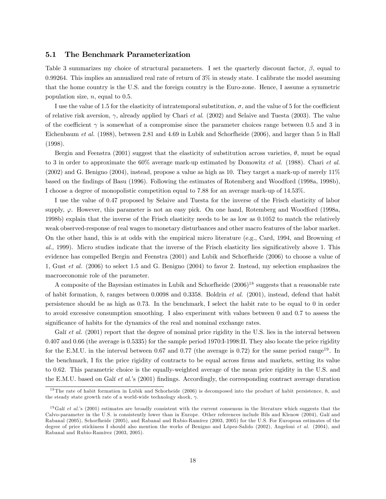#### 5.1 The Benchmark Parameterization

Table 3 summarizes my choice of structural parameters. I set the quarterly discount factor,  $\beta$ , equal to 0.99264. This implies an annualized real rate of return of 3% in steady state. I calibrate the model assuming that the home country is the U.S. and the foreign country is the Euro-zone. Hence, I assume a symmetric population size,  $n$ , equal to 0.5.

I use the value of 1.5 for the elasticity of intratemporal substitution,  $\sigma$ , and the value of 5 for the coefficient of relative risk aversion,  $\gamma$ , already applied by Chari et al. (2002) and Selaive and Tuesta (2003). The value of the coefficient  $\gamma$  is somewhat of a compromise since the parameter choices range between 0.5 and 3 in Eichenbaum et al. (1988), between 2.81 and 4.69 in Lubik and Schorfheide (2006), and larger than 5 in Hall (1998).

Bergin and Feenstra (2001) suggest that the elasticity of substitution across varieties,  $\theta$ , must be equal to 3 in order to approximate the  $60\%$  average mark-up estimated by Domowitz *et al.* (1988). Chari *et al.* (2002) and G. Benigno (2004), instead, propose a value as high as 10. They target a mark-up of merely 11% based on the findings of Basu (1996). Following the estimates of Rotemberg and Woodford (1998a, 1998b), I choose a degree of monopolistic competition equal to 7.88 for an average mark-up of 14.53%.

I use the value of 0.47 proposed by Selaive and Tuesta for the inverse of the Frisch elasticity of labor supply,  $\varphi$ . However, this parameter is not an easy pick. On one hand, Rotemberg and Woodford (1998a, 1998b) explain that the inverse of the Frisch elasticity needs to be as low as 0.1052 to match the relatively weak observed-response of real wages to monetary disturbances and other macro features of the labor market. On the other hand, this is at odds with the empirical micro literature (e.g., Card, 1994, and Browning et al., 1999). Micro studies indicate that the inverse of the Frisch elasticity lies significatively above 1. This evidence has compelled Bergin and Feenstra (2001) and Lubik and Schorfheide (2006) to choose a value of 1, Gust et al. (2006) to select 1.5 and G. Benigno (2004) to favor 2. Instead, my selection emphasizes the macroeconomic role of the parameter.

A composite of the Bayesian estimates in Lubik and Schorfheide  $(2006)^{18}$  suggests that a reasonable rate of habit formation, b, ranges between 0.0098 and 0.3358. Boldrin et al. (2001), instead, defend that habit persistence should be as high as 0.73. In the benchmark, I select the habit rate to be equal to 0 in order to avoid excessive consumption smoothing. I also experiment with values between 0 and 0.7 to assess the significance of habits for the dynamics of the real and nominal exchange rates.

Galí et al. (2001) report that the degree of nominal price rigidity in the U.S. lies in the interval between 0.407 and 0.66 (the average is 0.5335) for the sample period 1970:I-1998:II. They also locate the price rigidity for the E.M.U. in the interval between 0.67 and 0.77 (the average is 0.72) for the same period range<sup>19</sup>. In the benchmark, I fix the price rigidity of contracts to be equal across firms and markets, setting its value to 0.62. This parametric choice is the equally-weighted average of the mean price rigidity in the U.S. and the E.M.U. based on Galí et al.'s (2001) findings. Accordingly, the corresponding contract average duration

<sup>&</sup>lt;sup>18</sup>The rate of habit formation in Lubik and Schorheide  $(2006)$  is decomposed into the product of habit persistence, h, and the steady state growth rate of a world-wide technology shock,  $\gamma$ .

<sup>&</sup>lt;sup>19</sup>Galí et al.'s (2001) estimates are broadly consistent with the current consensus in the literature which suggests that the Calvo-parameter in the U.S. is consistently lower than in Europe. Other references include Bils and Klenow (2004), Galí and Rabanal (2005), Schorfheide (2005), and Rabanal and Rubio-Ramírez (2003, 2005) for the U.S. For European estimates of the degree of price stickiness I should also mention the works of Benigno and López-Salido (2002), Angeloni et al. (2004), and Rabanal and Rubio-Ramírez (2003, 2005).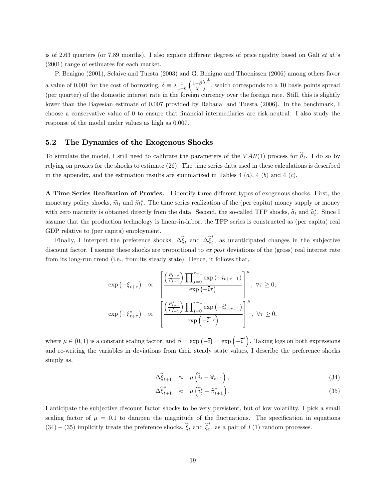is of 2.63 quarters (or 7.89 months). I also explore different degrees of price rigidity based on Galí et al.'s (2001) range of estimates for each market.

P. Benigno (2001), Selaive and Tuesta (2003) and G. Benigno and Thoenissen (2006) among others favor a value of 0.001 for the cost of borrowing,  $\delta \equiv \lambda \frac{1}{1-b} \left( \frac{1-\beta}{\chi} \right)$  $\int_{0}^{\frac{1}{\gamma}}$ , which corresponds to a 10 basis points spread (per quarter) of the domestic interest rate in the foreign currency over the foreign rate. Still, this is slightly lower than the Bayesian estimate of 0.007 provided by Rabanal and Tuesta (2006). In the benchmark, I choose a conservative value of 0 to ensure that financial intermediaries are risk-neutral. I also study the response of the model under values as high as 0.007.

#### 5.2 The Dynamics of the Exogenous Shocks

To simulate the model, I still need to calibrate the parameters of the  $VAR(1)$  process for  $\hat{\theta}_t$ . I do so by relying on proxies for the shocks to estimate (26). The time series data used in these calculations is described in the appendix, and the estimation results are summarized in Tables 4  $(a)$ , 4  $(b)$  and 4  $(c)$ .

A Time Series Realization of Proxies. I identify three different types of exogenous shocks. First, the monetary policy shocks,  $\hat{m}_t$  and  $\hat{m}_t^*$ . The time series realization of the (per capita) money supply or money with zero maturity is obtained directly from the data. Second, the so-called TFP shocks,  $\hat{a}_t$  and  $\hat{a}_t^*$ . Since I assume that the production technology is linear-in-labor, the TFP series is constructed as (per capita) real GDP relative to (per capita) employment.

Finally, I interpret the preference shocks,  $\Delta \hat{\xi}_t$  and  $\Delta \hat{\xi}_t^*$ , as unanticipated changes in the subjective discount factor. I assume these shocks are proportional to ex post deviations of the (gross) real interest rate from its long-run trend (i.e., from its steady state). Hence, it follows that,

$$
\exp\left(-\xi_{t+\tau}\right) \quad \propto \quad \left[\frac{\left(\frac{P_{t+\tau}}{P_{t-1}}\right) \prod_{j=0}^{\tau-1} \exp\left(-i_{t+\tau-1}\right)}{\exp\left(-\overline{i}\tau\right)}\right]^\mu, \ \forall \tau \ge 0,
$$
\n
$$
\exp\left(-\xi_{t+\tau}^*\right) \quad \propto \quad \left[\frac{\left(\frac{P_{t+\tau}^*}{P_{t-1}^*}\right) \prod_{j=0}^{\tau-1} \exp\left(-i_{t+\tau-1}^*\right)}{\exp\left(-\overline{i}^*\tau\right)}\right]^\mu, \ \forall \tau \ge 0,
$$

where  $\mu \in (0,1)$  is a constant scaling factor, and  $\beta = \exp(-\overline{i}) = \exp(-\overline{i})$ . Taking logs on both expressions and re-writing the variables in deviations from their steady state values, I describe the preference shocks simply as,

$$
\Delta \hat{\xi}_{t+1} \approx \mu \left( \hat{i}_t - \hat{\pi}_{t+1} \right), \tag{34}
$$

$$
\Delta \hat{\xi}_{t+1}^* \approx \mu \left( \hat{i}_t^* - \hat{\pi}_{t+1}^* \right). \tag{35}
$$

I anticipate the subjective discount factor shocks to be very persistent, but of low volatility. I pick a small scaling factor of  $\mu = 0.1$  to dampen the magnitude of the fluctuations. The specification in equations  $(34) - (35)$  implicitly treats the preference shocks,  $\hat{\xi}_t$  and  $\hat{\xi}_t^*$ , as a pair of  $I(1)$  random processes.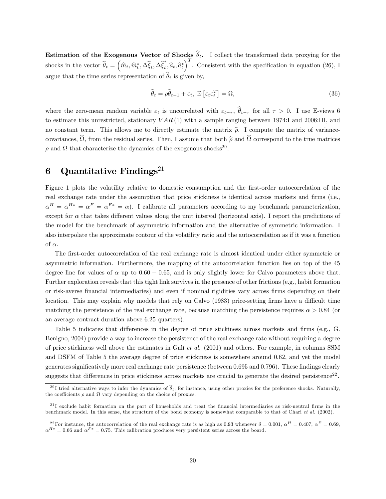**Estimation of the Exogenous Vector of Shocks**  $\hat{\theta}_t$ . I collect the transformed data proxying for the shocks in the vector  $\hat{\theta}_t = (\hat{m}_t, \hat{m}_t^*, \Delta \hat{\xi}_t, \Delta \hat{\xi}_t^*, \hat{a}_t, \hat{a}_t^*)^T$ . Consistent with the specification in equation (26), I argue that the time series representation of  $\widehat{\theta}_t$  is given by,

$$
\widehat{\theta}_t = \rho \widehat{\theta}_{t-1} + \varepsilon_t, \ \mathbb{E}\left[\varepsilon_t \varepsilon_t^T\right] = \Omega,\tag{36}
$$

where the zero-mean random variable  $\varepsilon_t$  is uncorrelated with  $\varepsilon_{t-\tau}$ ,  $\hat{\theta}_{t-\tau}$  for all  $\tau > 0$ . I use E-views 6 to estimate this unrestricted, stationary  $VAR(1)$  with a sample ranging between 1974:I and 2006:III, and no constant term. This allows me to directly estimate the matrix  $\hat{\rho}$ . I compute the matrix of variancecovariances,  $\hat{\Omega}$ , from the residual series. Then, I assume that both  $\hat{\rho}$  and  $\hat{\Omega}$  correspond to the true matrices  $ρ$  and Ω that characterize the dynamics of the exogenous shocks<sup>20</sup>.

## 6 Quantitative Findings<sup>21</sup>

Figure 1 plots the volatility relative to domestic consumption and the first-order autocorrelation of the real exchange rate under the assumption that price stickiness is identical across markets and firms (i.e.,  $\alpha^{H} = \alpha^{H*} = \alpha^{F} = \alpha^{F*} = \alpha$ . I calibrate all parameters according to my benchmark parameterization, except for  $\alpha$  that takes different values along the unit interval (horizontal axis). I report the predictions of the model for the benchmark of asymmetric information and the alternative of symmetric information. I also interpolate the approximate contour of the volatility ratio and the autocorrelation as if it was a function of  $\alpha$ .

The first-order autocorrelation of the real exchange rate is almost identical under either symmetric or asymmetric information. Furthermore, the mapping of the autocorrelation function lies on top of the 45 degree line for values of  $\alpha$  up to 0.60 – 0.65, and is only slightly lower for Calvo parameters above that. Further exploration reveals that this tight link survives in the presence of other frictions (e.g., habit formation or risk-averse financial intermediaries) and even if nominal rigidities vary across firms depending on their location. This may explain why models that rely on Calvo (1983) price-setting firms have a difficult time matching the persistence of the real exchange rate, because matching the persistence requires  $\alpha > 0.84$  (or an average contract duration above 6.25 quarters).

Table 5 indicates that differences in the degree of price stickiness across markets and firms (e.g., G. Benigno, 2004) provide a way to increase the persistence of the real exchange rate without requiring a degree of price stickiness well above the estimates in Galí et al. (2001) and others. For example, in columns SSM and DSFM of Table 5 the average degree of price stickiness is somewhere around 0.62, and yet the model generates significatively more real exchange rate persistence (between 0.695 and 0.796). These findings clearly suggests that differences in price stickiness across markets are crucial to generate the desired persistence<sup>22</sup>.

<sup>&</sup>lt;sup>20</sup>I tried alternative ways to infer the dynamics of  $\hat{\theta}_t$ , for instance, using other proxies for the preference shocks. Naturally, the coefficients  $\rho$  and  $\Omega$  vary depending on the choice of proxies.

 $^{21}$ I exclude habit formation on the part of households and treat the financial intermediaries as risk-neutral firms in the benchmark model. In this sense, the structure of the bond economy is somewhat comparable to that of Chari et al. (2002).

<sup>&</sup>lt;sup>22</sup> For instance, the autocorrelation of the real exchange rate is as high as 0.93 whenever  $\delta = 0.001$ ,  $\alpha^H = 0.407$ ,  $\alpha^F = 0.69$ .  $\alpha^{H*} = 0.66$  and  $\alpha^{F*} = 0.75$ . This calibration produces very persistent series across the board.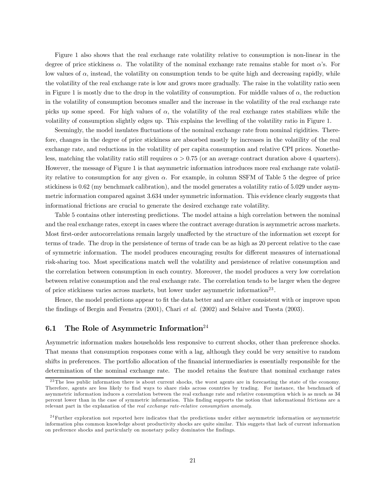Figure 1 also shows that the real exchange rate volatility relative to consumption is non-linear in the degree of price stickiness  $\alpha$ . The volatility of the nominal exchange rate remains stable for most  $\alpha$ 's. For low values of  $\alpha$ , instead, the volatility on consumption tends to be quite high and decreasing rapidly, while the volatility of the real exchange rate is low and grows more gradually. The raise in the volatility ratio seen in Figure 1 is mostly due to the drop in the volatility of consumption. For middle values of  $\alpha$ , the reduction in the volatility of consumption becomes smaller and the increase in the volatility of the real exchange rate picks up some speed. For high values of  $\alpha$ , the volatility of the real exchange rates stabilizes while the volatility of consumption slightly edges up. This explains the levelling of the volatility ratio in Figure 1.

Seemingly, the model insulates fluctuations of the nominal exchange rate from nominal rigidities. Therefore, changes in the degree of price stickiness are absorbed mostly by increases in the volatility of the real exchange rate, and reductions in the volatility of per capita consumption and relative CPI prices. Nonetheless, matching the volatility ratio still requires  $\alpha > 0.75$  (or an average contract duration above 4 quarters). However, the message of Figure 1 is that asymmetric information introduces more real exchange rate volatility relative to consumption for any given  $\alpha$ . For example, in column SSFM of Table 5 the degree of price stickiness is 0.62 (my benchmark calibration), and the model generates a volatility ratio of 5.029 under asymmetric information compared against 3.634 under symmetric information. This evidence clearly suggests that informational frictions are crucial to generate the desired exchange rate volatility.

Table 5 contains other interesting predictions. The model attains a high correlation between the nominal and the real exchange rates, except in cases where the contract average duration is asymmetric across markets. Most first-order autocorrelations remain largely unaffected by the structure of the information set except for terms of trade. The drop in the persistence of terms of trade can be as high as 20 percent relative to the case of symmetric information. The model produces encouraging results for different measures of international risk-sharing too. Most specifications match well the volatility and persistence of relative consumption and the correlation between consumption in each country. Moreover, the model produces a very low correlation between relative consumption and the real exchange rate. The correlation tends to be larger when the degree of price stickiness varies across markets, but lower under asymmetric information<sup>23</sup>.

Hence, the model predictions appear to fit the data better and are either consistent with or improve upon the findings of Bergin and Feenstra (2001), Chari et al. (2002) and Selaive and Tuesta (2003).

#### 6.1 The Role of Asymmetric Information<sup>24</sup>

Asymmetric information makes households less responsive to current shocks, other than preference shocks. That means that consumption responses come with a lag, although they could be very sensitive to random shifts in preferences. The portfolio allocation of the financial intermediaries is essentially responsible for the determination of the nominal exchange rate. The model retains the feature that nominal exchange rates

<sup>&</sup>lt;sup>23</sup>The less public information there is about current shocks, the worst agents are in forecasting the state of the economy. Therefore, agents are less likely to find ways to share risks across countries by trading. For instance, the benchmark of asymmetric information induces a correlation between the real exchange rate and relative consumption which is as much as 34 percent lower than in the case of symmetric information. This finding supports the notion that informational frictions are a relevant part in the explanation of the real exchange rate-relative consumption anomaly.

 $24$ Further exploration not reported here indicates that the predictions under either asymmetric information or asymmetric information plus common knowledge about productivity shocks are quite similar. This suggets that lack of current information on preference shocks and particularly on monetary policy dominates the findings.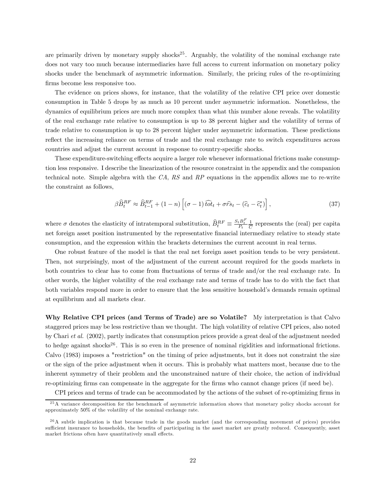are primarily driven by monetary supply shocks<sup>25</sup>. Arguably, the volatility of the nominal exchange rate does not vary too much because intermediaries have full access to current information on monetary policy shocks under the benchmark of asymmetric information. Similarly, the pricing rules of the re-optimizing firms become less responsive too.

The evidence on prices shows, for instance, that the volatility of the relative CPI price over domestic consumption in Table 5 drops by as much as 10 percent under asymmetric information. Nonetheless, the dynamics of equilibrium prices are much more complex than what this number alone reveals. The volatility of the real exchange rate relative to consumption is up to 38 percent higher and the volatility of terms of trade relative to consumption is up to 28 percent higher under asymmetric information. These predictions reflect the increasing reliance on terms of trade and the real exchange rate to switch expenditures across countries and adjust the current account in response to country-specific shocks.

These expenditure-switching effects acquire a larger role whenever informational frictions make consumption less responsive. I describe the linearization of the resource constraint in the appendix and the companion technical note. Simple algebra with the  $CA$ ,  $RS$  and  $RP$  equations in the appendix allows me to re-write the constraint as follows,

$$
\beta \widehat{B}_t^{RF} \approx \widehat{B}_{t-1}^{RF} + (1-n) \left[ (\sigma - 1) \widehat{tot}_t + \sigma \widehat{rs}_t - (\widehat{c}_t - \widehat{c}_t^*) \right],\tag{37}
$$

where  $\sigma$  denotes the elasticity of intratemporal substitution,  $\widehat{B}_t^{RF} \equiv \frac{S_t B_t^F}{P_t} \frac{1}{\overline{C}}$  represents the (real) per capita net foreign asset position instrumented by the representative financial intermediary relative to steady state consumption, and the expression within the brackets determines the current account in real terms.

One robust feature of the model is that the real net foreign asset position tends to be very persistent. Then, not surprisingly, most of the adjustment of the current account required for the goods markets in both countries to clear has to come from fluctuations of terms of trade and/or the real exchange rate. In other words, the higher volatility of the real exchange rate and terms of trade has to do with the fact that both variables respond more in order to ensure that the less sensitive household's demands remain optimal at equilibrium and all markets clear.

Why Relative CPI prices (and Terms of Trade) are so Volatile? My interpretation is that Calvo staggered prices may be less restrictive than we thought. The high volatility of relative CPI prices, also noted by Chari et al. (2002), partly indicates that consumption prices provide a great deal of the adjustment needed to hedge against shocks<sup>26</sup>. This is so even in the presence of nominal rigidities and informational frictions. Calvo (1983) imposes a "restriction" on the timing of price adjustments, but it does not constraint the size or the sign of the price adjustment when it occurs. This is probably what matters most, because due to the inherent symmetry of their problem and the unconstrained nature of their choice, the action of individual re-optimizing firms can compensate in the aggregate for the firms who cannot change prices (if need be).

CPI prices and terms of trade can be accommodated by the actions of the subset of re-optimizing firms in

<sup>&</sup>lt;sup>25</sup>A variance decomposition for the benchmark of asymmetric information shows that monetary policy shocks account for approximately 50% of the volatility of the nominal exchange rate.

 $^{26}$ A subtle implication is that because trade in the goods market (and the corresponding movement of prices) provides sufficient insurance to households, the benefits of participating in the asset market are greatly reduced. Consequently, asset market frictions often have quantitatively small effects.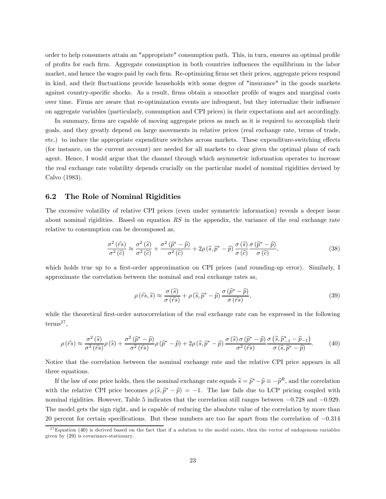order to help consumers attain an "appropriate" consumption path. This, in turn, ensures an optimal profile of profits for each firm. Aggregate consumption in both countries influences the equilibrium in the labor market, and hence the wages paid by each firm. Re-optimizing firms set their prices, aggregate prices respond in kind, and their fluctuations provide households with some degree of "insurance" in the goods markets against country-specific shocks. As a result, firms obtain a smoother profile of wages and marginal costs over time. Firms are aware that re-optimization events are infrequent, but they internalize their influence on aggregate variables (particularly, consumption and CPI prices) in their expectations and act accordingly.

In summary, firms are capable of moving aggregate prices as much as it is required to accomplish their goals, and they greatly depend on large movements in relative prices (real exchange rate, terms of trade, etc.) to induce the appropriate expenditure switches across markets. These expenditure-switching effects (for instance, on the current account) are needed for all markets to clear given the optimal plans of each agent. Hence, I would argue that the channel through which asymmetric information operates to increase the real exchange rate volatility depends crucially on the particular model of nominal rigidities devised by Calvo (1983).

#### 6.2 The Role of Nominal Rigidities

The excessive volatility of relative CPI prices (even under symmetric information) reveals a deeper issue about nominal rigidities. Based on equation RS in the appendix, the variance of the real exchange rate relative to consumption can be decomposed as,

$$
\frac{\sigma^2(\hat{r}\hat{s})}{\sigma^2(\hat{c})} \approx \frac{\sigma^2(\hat{s})}{\sigma^2(\hat{c})} + \frac{\sigma^2(\hat{p}^* - \hat{p})}{\sigma^2(\hat{c})} + 2\rho(\hat{s}, \hat{p}^* - \hat{p})\frac{\sigma(\hat{s})}{\sigma(\hat{c})}\frac{\sigma(\hat{p}^* - \hat{p})}{\sigma(\hat{c})},\tag{38}
$$

which holds true up to a first-order approximation on CPI prices (and rounding-up error). Similarly, I approximate the correlation between the nominal and real exchange rates as,

$$
\rho\left(\hat{rs},\hat{s}\right) \approx \frac{\sigma\left(\hat{s}\right)}{\sigma\left(\hat{rs}\right)} + \rho\left(\hat{s},\hat{p}^* - \hat{p}\right) \frac{\sigma\left(\hat{p}^* - \hat{p}\right)}{\sigma\left(\hat{rs}\right)},\tag{39}
$$

while the theoretical first-order autocorrelation of the real exchange rate can be expressed in the following  $terms<sup>27</sup>$ ,

$$
\rho(\hat{r}\hat{s}) \approx \frac{\sigma^2(\hat{s})}{\sigma^2(\hat{r}\hat{s})}\rho(\hat{s}) + \frac{\sigma^2(\hat{p}^* - \hat{p})}{\sigma^2(\hat{r}\hat{s})}\rho(\hat{p}^* - \hat{p}) + 2\rho(\hat{s}, \hat{p}^* - \hat{p})\frac{\sigma(\hat{s})\sigma(\hat{p}^* - \hat{p})}{\sigma^2(\hat{r}\hat{s})}\frac{\sigma(\hat{s}, \hat{p}^* - \hat{p}_{-1})}{\sigma(\hat{s}, \hat{p}^* - \hat{p})}.\tag{40}
$$

Notice that the correlation between the nominal exchange rate and the relative CPI price appears in all three equations.

If the law of one price holds, then the nominal exchange rate equals  $\widehat{s} = \widehat{p}^* - \widehat{p} \equiv -\widehat{p}^R$ , and the correlation with the relative CPI price becomes  $\rho(\widehat{s}, \widehat{p}^* - \widehat{p}) = -1$ . The law fails due to LCP pricing coupled with nominal rigidities. However, Table 5 indicates that the correlation still ranges between −0.728 and −0.929. The model gets the sign right, and is capable of reducing the absolute value of the correlation by more than 20 percent for certain specifications. But these numbers are too far apart from the correlation of −0.314

 $27$  Equation (40) is derived based on the fact that if a solution to the model exists, then the vector of endogenous variables given by (29) is covariance-stationary.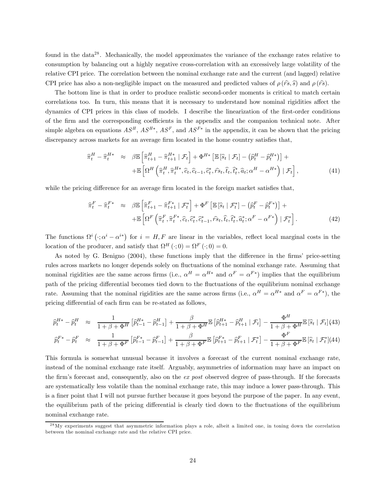found in the data28 . Mechanically, the model approximates the variance of the exchange rates relative to consumption by balancing out a highly negative cross-correlation with an excessively large volatility of the relative CPI price. The correlation between the nominal exchange rate and the current (and lagged) relative CPI price has also a non-negligible impact on the measured and predicted values of  $\rho(r\hat{s}, \hat{s})$  and  $\rho(r\hat{s})$ .

The bottom line is that in order to produce realistic second-order moments is critical to match certain correlations too. In turn, this means that it is necessary to understand how nominal rigidities affect the dynamics of CPI prices in this class of models. I describe the linearization of the first-order conditions of the firm and the corresponding coefficients in the appendix and the companion technical note. After simple algebra on equations  $AS^H$ ,  $AS^{H*}$ ,  $AS^F$ , and  $AS^{F*}$  in the appendix, it can be shown that the pricing discrepancy across markets for an average firm located in the home country satisfies that,

$$
\widehat{\pi}_t^H - \widehat{\pi}_t^{H*} \approx \beta \mathbb{E} \left[ \widehat{\pi}_{t+1}^H - \widehat{\pi}_{t+1}^{H*} \, | \, \mathcal{F}_t \right] + \Phi^{H*} \left[ \mathbb{E} \left[ \widehat{s}_t \, | \, \mathcal{F}_t \right] - \left( \widehat{p}_t^H - \widehat{p}_t^{H*} \right) \right] + \mathbb{E} \left[ \Omega^H \left( \widehat{\pi}_t^H, \widehat{\pi}_t^{H*}, \widehat{c}_t, \widehat{c}_{t-1}, \widehat{c}_t^*, \widehat{r}_{st}, \widehat{t}_t, \widehat{t}_t^*, \widehat{a}_t; \alpha^H - \alpha^{H*} \right) \, | \, \mathcal{F}_t \right], \tag{41}
$$

while the pricing difference for an average firm located in the foreign market satisfies that,

$$
\widehat{\pi}_t^F - \widehat{\pi}_t^{F*} \approx \beta \mathbb{E} \left[ \widehat{\pi}_{t+1}^F - \widehat{\pi}_{t+1}^{F*} \mid \mathcal{F}_t^* \right] + \Phi^F \left[ \mathbb{E} \left[ \widehat{s}_t \mid \mathcal{F}_t^* \right] - \left( \widehat{p}_t^F - \widehat{p}_t^{F*} \right) \right] + \mathbb{E} \left[ \Omega^F \left( \widehat{\pi}_t^F, \widehat{\pi}_t^{F*}, \widehat{c}_t, \widehat{c}_t^*, \widehat{c}_{t-1}^*, \widehat{r}_{t}, \widehat{t}_t, \widehat{t}_t^*, \widehat{a}_t^*; \alpha^F - \alpha^{F*} \right) \mid \mathcal{F}_t^* \right]. \tag{42}
$$

The functions  $\Omega^i$  ( $\cdot; \alpha^i - \alpha^{i*}$ ) for  $i = H, F$  are linear in the variables, reflect local marginal costs in the location of the producer, and satisfy that  $\Omega^H(\cdot;0) = \Omega^F(\cdot;0) = 0$ .

As noted by G. Benigno (2004), these functions imply that the difference in the firms' price-setting rules across markets no longer depends solely on fluctuations of the nominal exchange rate. Assuming that nominal rigidities are the same across firms (i.e.,  $\alpha^H = \alpha^{H*}$  and  $\alpha^F = \alpha^{F*}$ ) implies that the equilibrium path of the pricing differential becomes tied down to the fluctuations of the equilibrium nominal exchange rate. Assuming that the nominal rigidities are the same across firms (i.e.,  $\alpha^H = \alpha^{H*}$  and  $\alpha^F = \alpha^{F*}$ ), the pricing differential of each firm can be re-stated as follows,

$$
\widehat{p}_t^{H*} - \widehat{p}_t^H \quad \approx \quad \frac{1}{1 + \beta + \Phi^H} \left[ \widehat{p}_{t-1}^{H*} - \widehat{p}_{t-1}^H \right] + \frac{\beta}{1 + \beta + \Phi^H} \mathbb{E} \left[ \widehat{p}_{t+1}^{H*} - \widehat{p}_{t+1}^H \mid \mathcal{F}_t \right] - \frac{\Phi^H}{1 + \beta + \Phi^H} \mathbb{E} \left[ \widehat{s}_t \mid \mathcal{F}_t \right] \tag{43}
$$

$$
\widehat{p}_t^{F*} - \widehat{p}_t^F \approx \frac{1}{1 + \beta + \Phi^F} \left[ \widehat{p}_{t-1}^{F*} - \widehat{p}_{t-1}^F \right] + \frac{\beta}{1 + \beta + \Phi^F} \mathbb{E} \left[ \widehat{p}_{t+1}^{F*} - \widehat{p}_{t+1}^F \mid \mathcal{F}_t^* \right] - \frac{\Phi^F}{1 + \beta + \Phi^F} \mathbb{E} \left[ \widehat{s}_t \mid \mathcal{F}_t^* \right] (44)
$$

This formula is somewhat unusual because it involves a forecast of the current nominal exchange rate, instead of the nominal exchange rate itself. Arguably, asymmetries of information may have an impact on the firm's forecast and, consequently, also on the ex post observed degree of pass-through. If the forecasts are systematically less volatile than the nominal exchange rate, this may induce a lower pass-through. This is a finer point that I will not pursue further because it goes beyond the purpose of the paper. In any event, the equilibrium path of the pricing differential is clearly tied down to the fluctuations of the equilibrium nominal exchange rate.

 $^{28}$ My experiments suggest that asymmetric information plays a role, albeit a limited one, in toning down the correlation between the nominal exchange rate and the relative CPI price.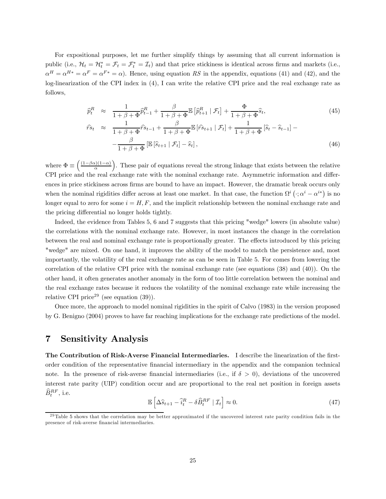For expositional purposes, let me further simplify things by assuming that all current information is public (i.e.,  $\mathcal{H}_t = \mathcal{H}_t^* = \mathcal{F}_t = \mathcal{F}_t^* = \mathcal{I}_t$ ) and that price stickiness is identical across firms and markets (i.e.,  $\alpha^{H} = \alpha^{H*} = \alpha^{F} = \alpha^{F*} = \alpha$ . Hence, using equation RS in the appendix, equations (41) and (42), and the log-linearization of the CPI index in (4), I can write the relative CPI price and the real exchange rate as follows,

$$
\hat{p}_t^R \approx \frac{1}{1+\beta+\Phi} \hat{p}_{t-1}^R + \frac{\beta}{1+\beta+\Phi} \mathbb{E} \left[ \hat{p}_{t+1}^R \mid \mathcal{F}_t \right] + \frac{\Phi}{1+\beta+\Phi} \hat{s}_t, \tag{45}
$$
\n
$$
\hat{r}_{st} \approx \frac{1}{1+\beta+\Phi} \hat{r}_{st-1} + \frac{\beta}{1+\beta+\Phi} \mathbb{E} \left[ \hat{r}_{st+1} \mid \mathcal{F}_t \right] + \frac{1}{1+\beta+\Phi} \left[ \hat{s}_t - \hat{s}_{t-1} \right] - \frac{\beta}{1+\beta+\Phi} \left[ \mathbb{E} \left[ \hat{s}_{t+1} \mid \mathcal{F}_t \right] - \hat{s}_t \right], \tag{46}
$$

where  $\Phi \equiv \left(\frac{(1-\beta\alpha)(1-\alpha)}{\alpha}\right)$ ). These pair of equations reveal the strong linkage that exists between the relative CPI price and the real exchange rate with the nominal exchange rate. Asymmetric information and differences in price stickiness across firms are bound to have an impact. However, the dramatic break occurs only when the nominal rigidities differ across at least one market. In that case, the function  $\Omega^i$   $(\cdot; \alpha^i - \alpha^{i*})$  is no longer equal to zero for some  $i = H, F$ , and the implicit relationship between the nominal exchange rate and the pricing differential no longer holds tightly.

Indeed, the evidence from Tables 5, 6 and 7 suggests that this pricing "wedge" lowers (in absolute value) the correlations with the nominal exchange rate. However, in most instances the change in the correlation between the real and nominal exchange rate is proportionally greater. The effects introduced by this pricing "wedge" are mixed. On one hand, it improves the ability of the model to match the persistence and, most importantly, the volatility of the real exchange rate as can be seen in Table 5. For comes from lowering the correlation of the relative CPI price with the nominal exchange rate (see equations (38) and (40)). On the other hand, it often generates another anomaly in the form of too little correlation between the nominal and the real exchange rates because it reduces the volatility of the nominal exchange rate while increasing the relative CPI price<sup>29</sup> (see equation  $(39)$ ).

Once more, the approach to model nominal rigidities in the spirit of Calvo (1983) in the version proposed by G. Benigno (2004) proves to have far reaching implications for the exchange rate predictions of the model.

## 7 Sensitivity Analysis

The Contribution of Risk-Averse Financial Intermediaries. I describe the linearization of the firstorder condition of the representative financial intermediary in the appendix and the companion technical note. In the presence of risk-averse financial intermediaries (i.e., if  $\delta > 0$ ), deviations of the uncovered interest rate parity (UIP) condition occur and are proportional to the real net position in foreign assets  $\widehat{B}_t^{RF}$ , i.e.

$$
\mathbb{E}\left[\Delta\widehat{s}_{t+1} - \widehat{i}_t^R - \delta\widehat{B}_t^{RF} \mid \mathcal{I}_t\right] \approx 0. \tag{47}
$$

 $29$ Table 5 shows that the correlation may be better approximated if the uncovered interest rate parity condition fails in the presence of risk-averse financial intermediaries.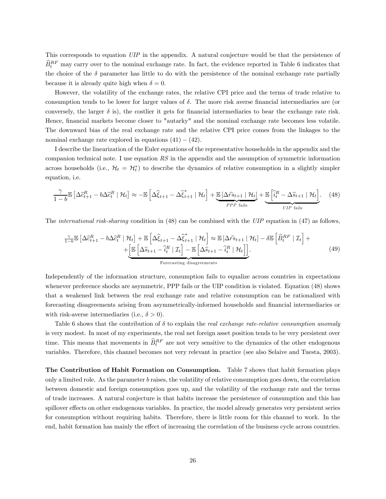This corresponds to equation UIP in the appendix. A natural conjecture would be that the persistence of  $\widehat{B}_{t}^{RF}$  may carry over to the nominal exchange rate. In fact, the evidence reported in Table 6 indicates that the choice of the  $\delta$  parameter has little to do with the persistence of the nominal exchange rate partially because it is already quite high when  $\delta = 0$ .

However, the volatility of the exchange rates, the relative CPI price and the terms of trade relative to consumption tends to be lower for larger values of  $\delta$ . The more risk averse financial intermediaries are (or conversely, the larger  $\delta$  is), the costlier it gets for financial intermediaries to bear the exchange rate risk. Hence, financial markets become closer to "autarky" and the nominal exchange rate becomes less volatile. The downward bias of the real exchange rate and the relative CPI price comes from the linkages to the nominal exchange rate explored in equations  $(41) - (42)$ .

I describe the linearization of the Euler equations of the representative households in the appendix and the companion technical note. I use equation RS in the appendix and the assumption of symmetric information across households (i.e.,  $\mathcal{H}_t = \mathcal{H}_t^*$ ) to describe the dynamics of relative consumption in a slightly simpler equation, i.e.

$$
\frac{\gamma}{1-b} \mathbb{E}\left[\Delta \hat{c}_{t+1}^R - b\Delta \hat{c}_t^R \mid \mathcal{H}_t\right] \approx -\mathbb{E}\left[\Delta \hat{\xi}_{t+1} - \Delta \hat{\xi}_{t+1}^* \mid \mathcal{H}_t\right] + \underbrace{\mathbb{E}\left[\Delta \hat{r}_{t+1} \mid \mathcal{H}_t\right]}_{PPP \; \text{fails}} + \underbrace{\mathbb{E}\left[\hat{i}_t^R - \Delta \hat{s}_{t+1} \mid \mathcal{H}_t\right]}_{UIP \; \text{fails}}.
$$
 (48)

The *international risk-sharing* condition in (48) can be combined with the UIP equation in (47) as follows,

$$
\frac{\gamma}{1-b} \mathbb{E} \left[ \Delta \hat{c}_{t+1}^R - b \Delta \hat{c}_t^R \mid \mathcal{H}_t \right] + \mathbb{E} \left[ \Delta \hat{\xi}_{t+1} - \Delta \hat{\xi}_{t+1}^* \mid \mathcal{H}_t \right] \approx \mathbb{E} \left[ \Delta \hat{r}_{t+1} \mid \mathcal{H}_t \right] - \delta \mathbb{E} \left[ \hat{B}_t^{RF} \mid \mathcal{I}_t \right] + \left[ \mathbb{E} \left[ \Delta \hat{s}_{t+1} - \hat{i}_t^R \mid \mathcal{I}_t \right] - \mathbb{E} \left[ \Delta \hat{s}_{t+1} - \hat{i}_t^R \mid \mathcal{H}_t \right] \right].
$$
\n
$$
\text{forecasting disappears}
$$
\n(49)

Independently of the information structure, consumption fails to equalize across countries in expectations whenever preference shocks are asymmetric, PPP fails or the UIP condition is violated. Equation (48) shows that a weakened link between the real exchange rate and relative consumption can be rationalized with forecasting disagreements arising from asymmetrically-informed households and financial intermediaries or with risk-averse intermediaries (i.e.,  $\delta > 0$ ).

Table 6 shows that the contribution of  $\delta$  to explain the real exchange rate-relative consumption anomaly is very modest. In most of my experiments, the real net foreign asset position tends to be very persistent over time. This means that movements in  $\widehat{B}^{RF}_{t}$  are not very sensitive to the dynamics of the other endogenous variables. Therefore, this channel becomes not very relevant in practice (see also Selaive and Tuesta, 2003).

The Contribution of Habit Formation on Consumption. Table 7 shows that habit formation plays only a limited role. As the parameter b raises, the volatility of relative consumption goes down, the correlation between domestic and foreign consumption goes up, and the volatility of the exchange rate and the terms of trade increases. A natural conjecture is that habits increase the persistence of consumption and this has spillover effects on other endogenous variables. In practice, the model already generates very persistent series for consumption without requiring habits. Therefore, there is little room for this channel to work. In the end, habit formation has mainly the effect of increasing the correlation of the business cycle across countries.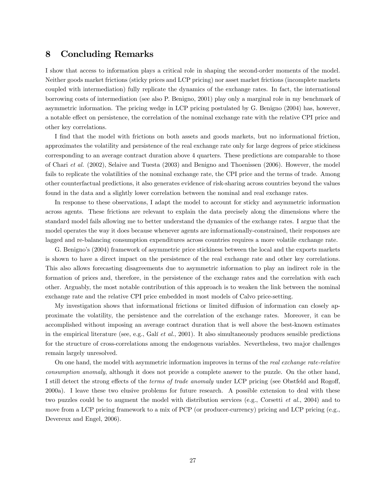## 8 Concluding Remarks

I show that access to information plays a critical role in shaping the second-order moments of the model. Neither goods market frictions (sticky prices and LCP pricing) nor asset market frictions (incomplete markets coupled with intermediation) fully replicate the dynamics of the exchange rates. In fact, the international borrowing costs of intermediation (see also P. Benigno, 2001) play only a marginal role in my benchmark of asymmetric information. The pricing wedge in LCP pricing postulated by G. Benigno (2004) has, however, a notable effect on persistence, the correlation of the nominal exchange rate with the relative CPI price and other key correlations.

I find that the model with frictions on both assets and goods markets, but no informational friction, approximates the volatility and persistence of the real exchange rate only for large degrees of price stickiness corresponding to an average contract duration above 4 quarters. These predictions are comparable to those of Chari et al. (2002), Selaive and Tuesta (2003) and Benigno and Thoenissen (2006). However, the model fails to replicate the volatilities of the nominal exchange rate, the CPI price and the terms of trade. Among other counterfactual predictions, it also generates evidence of risk-sharing across countries beyond the values found in the data and a slightly lower correlation between the nominal and real exchange rates.

In response to these observations, I adapt the model to account for sticky and asymmetric information across agents. These frictions are relevant to explain the data precisely along the dimensions where the standard model fails allowing me to better understand the dynamics of the exchange rates. I argue that the model operates the way it does because whenever agents are informationally-constrained, their responses are lagged and re-balancing consumption expenditures across countries requires a more volatile exchange rate.

G. Benigno's (2004) framework of asymmetric price stickiness between the local and the exports markets is shown to have a direct impact on the persistence of the real exchange rate and other key correlations. This also allows forecasting disagreements due to asymmetric information to play an indirect role in the formation of prices and, therefore, in the persistence of the exchange rates and the correlation with each other. Arguably, the most notable contribution of this approach is to weaken the link between the nominal exchange rate and the relative CPI price embedded in most models of Calvo price-setting.

My investigation shows that informational frictions or limited diffusion of information can closely approximate the volatility, the persistence and the correlation of the exchange rates. Moreover, it can be accomplished without imposing an average contract duration that is well above the best-known estimates in the empirical literature (see, e.g., Galí et al., 2001). It also simultaneously produces sensible predictions for the structure of cross-correlations among the endogenous variables. Nevertheless, two major challenges remain largely unresolved.

On one hand, the model with asymmetric information improves in terms of the real exchange rate-relative consumption anomaly, although it does not provide a complete answer to the puzzle. On the other hand, I still detect the strong effects of the terms of trade anomaly under LCP pricing (see Obstfeld and Rogoff, 2000a). I leave these two elusive problems for future research. A possible extension to deal with these two puzzles could be to augment the model with distribution services (e.g., Corsetti et al., 2004) and to move from a LCP pricing framework to a mix of PCP (or producer-currency) pricing and LCP pricing (e.g., Devereux and Engel, 2006).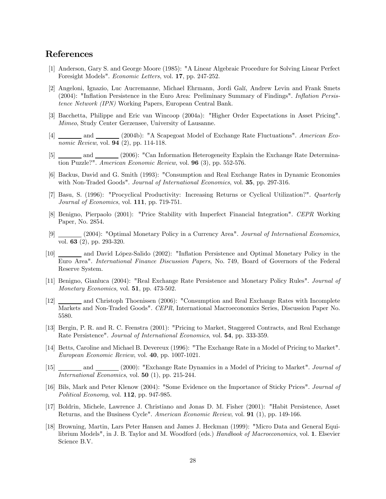## References

- [1] Anderson, Gary S. and George Moore (1985): "A Linear Algebraic Procedure for Solving Linear Perfect Foresight Models". Economic Letters, vol. 17, pp. 247-252.
- [2] Angeloni, Ignazio, Luc Aucremanne, Michael Ehrmann, Jordi Galí, Andrew Levin and Frank Smets (2004): "Inflation Persistence in the Euro Area: Preliminary Summary of Findings". Inflation Persistence Network (IPN) Working Papers, European Central Bank.
- [3] Bacchetta, Philippe and Eric van Wincoop (2004a): "Higher Order Expectations in Asset Pricing". Mimeo, Study Center Gerzensee, University of Lausanne.
- and (2004b): "A Scapegoat Model of Exchange Rate Fluctuations". American Eco- $\overline{nomic \; Review, vol. 94}$  (2), pp. 114-118.
- [5] and  $\frac{1}{2}$  and  $\frac{2006}{2}$ : "Can Information Heterogeneity Explain the Exchange Rate Determination Puzzle?". American Economic Review, vol. 96 (3), pp. 552-576.
- [6] Backus, David and G. Smith (1993): "Consumption and Real Exchange Rates in Dynamic Economies with Non-Traded Goods". Journal of International Economics, vol. **35**, pp. 297-316.
- [7] Basu, S. (1996): "Procyclical Productivity: Increasing Returns or Cyclical Utilization?". Quarterly Journal of Economics, vol. 111, pp. 719-751.
- [8] Benigno, Pierpaolo (2001): "Price Stability with Imperfect Financial Integration". CEPR Working Paper, No. 2854.
- [9] (2004): "Optimal Monetary Policy in a Currency Area". Journal of International Economics, vol.  $\overline{63}$  (2), pp. 293-320.
- [10] and David López-Salido (2002): "Inflation Persistence and Optimal Monetary Policy in the Euro Area". International Finance Discussion Papers, No. 749, Board of Governors of the Federal Reserve System.
- [11] Benigno, Gianluca (2004): "Real Exchange Rate Persistence and Monetary Policy Rules". Journal of Monetary Economics, vol. **51**, pp. 473-502.
- [12] and Christoph Thoenissen (2006): "Consumption and Real Exchange Rates with Incomplete Markets and Non-Traded Goods". CEPR, International Macroeconomics Series, Discussion Paper No. 5580.
- [13] Bergin, P. R. and R. C. Feenstra (2001): "Pricing to Market, Staggered Contracts, and Real Exchange Rate Persistence". Journal of International Economics, vol. 54, pp. 333-359.
- [14] Betts, Caroline and Michael B. Devereux (1996): "The Exchange Rate in a Model of Pricing to Market". European Economic Review, vol. 40, pp. 1007-1021.
- [15] and  $\frac{1}{\sqrt{2\pi}}$  and  $\frac{2000}{\sqrt{2\pi}}$ : "Exchange Rate Dynamics in a Model of Pricing to Market". *Journal of* International Economics, vol. 50 (1), pp. 215-244.
- [16] Bils, Mark and Peter Klenow (2004): "Some Evidence on the Importance of Sticky Prices". Journal of Political Economy, vol. 112, pp. 947-985.
- [17] Boldrin, Michele, Lawrence J. Christiano and Jonas D. M. Fisher (2001): "Habit Persistence, Asset Returns, and the Business Cycle". American Economic Review, vol. 91 (1), pp. 149-166.
- [18] Browning, Martin, Lars Peter Hansen and James J. Heckman (1999): "Micro Data and General Equilibrium Models", in J. B. Taylor and M. Woodford (eds.) Handbook of Macroeconomics, vol. 1. Elsevier Science B.V.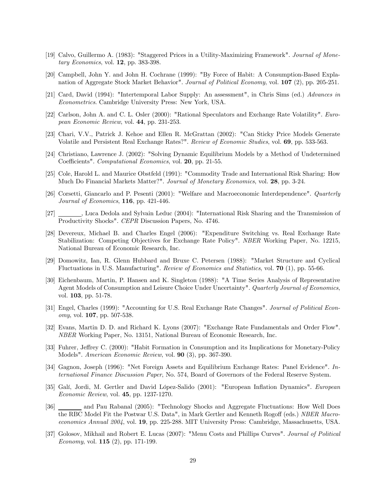- [19] Calvo, Guillermo A. (1983): "Staggered Prices in a Utility-Maximizing Framework". Journal of Monetary Economics, vol. 12, pp. 383-398.
- [20] Campbell, John Y. and John H. Cochrane (1999): "By Force of Habit: A Consumption-Based Explanation of Aggregate Stock Market Behavior". Journal of Political Economy, vol. 107 (2), pp. 205-251.
- [21] Card, David (1994): "Intertemporal Labor Supply: An assessment", in Chris Sims (ed.) Advances in Econometrics. Cambridge University Press: New York, USA.
- [22] Carlson, John A. and C. L. Osler (2000): "Rational Speculators and Exchange Rate Volatility". European Economic Review, vol. 44, pp. 231-253.
- [23] Chari, V.V., Patrick J. Kehoe and Ellen R. McGrattan (2002): "Can Sticky Price Models Generate Volatile and Persistent Real Exchange Rates?". Review of Economic Studies, vol. 69, pp. 533-563.
- [24] Christiano, Lawrence J. (2002): "Solving Dynamic Equilibrium Models by a Method of Undetermined Coefficients". Computational Economics, vol. 20, pp. 21-55.
- [25] Cole, Harold L. and Maurice Obstfeld (1991): "Commodity Trade and International Risk Sharing: How Much Do Financial Markets Matter?". Journal of Monetary Economics, vol. 28, pp. 3-24.
- [26] Corsetti, Giancarlo and P. Pesenti (2001): "Welfare and Macroeconomic Interdependence". Quarterly Journal of Economics, 116, pp. 421-446.
- [27] , Luca Dedola and Sylvain Leduc (2004): "International Risk Sharing and the Transmission of Productivity Shocks". CEPR Discussion Papers, No. 4746.
- [28] Devereux, Michael B. and Charles Engel (2006): "Expenditure Switching vs. Real Exchange Rate Stabilization: Competing Objectives for Exchange Rate Policy". NBER Working Paper, No. 12215, National Bureau of Economic Research, Inc.
- [29] Domowitz, Ian, R. Glenn Hubbard and Bruxe C. Petersen (1988): "Market Structure and Cyclical Fluctuations in U.S. Manufacturing". Review of Economics and Statistics, vol. 70 (1), pp. 55-66.
- [30] Eichenbaum, Martin, P. Hansen and K. Singleton (1988): "A Time Series Analysis of Representative Agent Models of Consumption and Leisure Choice Under Uncertainty". Quarterly Journal of Economics, vol. 103, pp. 51-78.
- [31] Engel, Charles (1999): "Accounting for U.S. Real Exchange Rate Changes". Journal of Political Economy, vol. 107, pp. 507-538.
- [32] Evans, Martin D. D. and Richard K. Lyons (2007): "Exchange Rate Fundamentals and Order Flow". NBER Working Paper, No. 13151, National Bureau of Economic Research, Inc.
- [33] Fuhrer, Jeffrey C. (2000): "Habit Formation in Consumption and its Implications for Monetary-Policy Models". American Economic Review, vol. 90 (3), pp. 367-390.
- [34] Gagnon, Joseph (1996): "Net Foreign Assets and Equilibrium Exchange Rates: Panel Evidence". International Finance Discussion Paper, No. 574, Board of Governors of the Federal Reserve System.
- [35] Galí, Jordi, M. Gertler and David López-Salido (2001): "European Inflation Dynamics". European Economic Review, vol. 45, pp. 1237-1270.
- [36] and Pau Rabanal (2005): "Technology Shocks and Aggregate Fluctuations: How Well Does the RBC Model Fit the Postwar U.S. Data", in Mark Gertler and Kenneth Rogoff (eds.) NBER Macroeconomics Annual 2004, vol. 19, pp. 225-288. MIT University Press: Cambridge, Massachusetts, USA.
- [37] Golosov, Mikhail and Robert E. Lucas (2007): "Menu Costs and Phillips Curves". Journal of Political *Economy*, vol. **115** (2), pp. 171-199.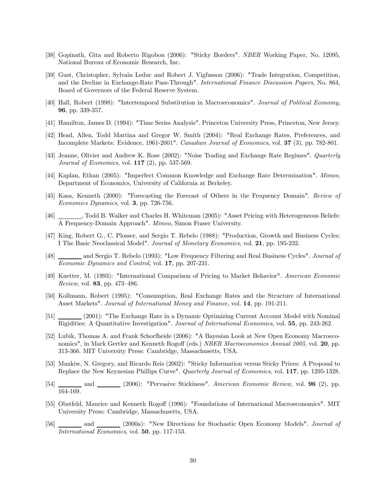- [38] Gopinath, Gita and Roberto Rigobon (2006): "Sticky Borders". NBER Working Paper, No. 12095, National Bureau of Economic Research, Inc.
- [39] Gust, Christopher, Sylvain Leduc and Robert J. Vigfusson (2006): "Trade Integration, Competition, and the Decline in Exchange-Rate Pass-Through". International Finance Discussion Papers, No. 864, Board of Governors of the Federal Reserve System.
- [40] Hall, Robert (1998): "Intertemporal Substitution in Macroeconomics". Journal of Political Economy, 96, pp. 339-357.
- [41] Hamilton, James D. (1994): "Time Series Analysis". Princeton University Press, Princeton, New Jersey.
- [42] Head, Allen, Todd Mattina and Gregor W. Smith (2004): "Real Exchange Rates, Preferences, and Incomplete Markets: Evidence, 1961-2001". Canadian Journal of Economics, vol. 37 (3), pp. 782-801.
- [43] Jeanne, Olivier and Andrew K. Rose (2002): "Noise Trading and Exchange Rate Regimes". Quarterly Journal of Economics, vol. 117 (2), pp. 537-569.
- [44] Kaplan, Ethan (2005): "Imperfect Common Knowledge and Exchange Rate Determination". Mimeo, Department of Economics, University of California at Berkeley.
- [45] Kasa, Kenneth (2000): "Forecasting the Forecast of Others in the Frequency Domain". Review of Economics Dynamics, vol. 3, pp. 726-756.
- [46] , Todd B. Walker and Charles H. Whiteman (2005): "Asset Pricing with Heterogeneous Beliefs: A Frequency-Domain Approach". Mimeo, Simon Fraser University.
- [47] King, Robert G., C. Plosser, and Sergio T. Rebelo (1988): "Production, Growth and Business Cycles: I The Basic Neoclassical Model". Journal of Monetary Economics, vol. 21, pp. 195-232.
- [48] and Sergio T. Rebelo (1993): "Low Frequency Filtering and Real Business Cycles". Journal of Economic Dynamics and Control, vol. 17, pp. 207-231.
- [49] Knetter, M. (1993): "International Comparison of Pricing to Market Behavior". American Economic Review, vol. 83, pp. 473—486.
- [50] Kollmann, Robert (1995): "Consumption, Real Exchange Rates and the Structure of International Asset Markets". Journal of International Money and Finance, vol. 14, pp. 191-211.
- [51] (2001): "The Exchange Rate in a Dynamic Optimizing Current Account Model with Nominal Rigidities: A Quantitative Investigation". Journal of International Economics, vol. 55, pp. 243-262.
- [52] Lubik, Thomas A. and Frank Schorfheide (2006): "A Bayesian Look at New Open Economy Macroeconomics", in Mark Gertler and Kenneth Rogoff (eds.) *NBER Macroeconomics Annual 2005*, vol. 20, pp. 313-366. MIT University Press: Cambridge, Massachusetts, USA.
- [53] Mankiw, N. Gregory, and Ricardo Reis (2002): "Sticky Information versus Sticky Prices: A Proposal to Replace the New Keynesian Phillips Curve". Quarterly Journal of Economics, vol. 117, pp. 1295-1328.
- $[54]$  and  $[2006]$ : "Pervasive Stickiness". American Economic Review, vol. **96** (2), pp. 164-169.
- [55] Obstfeld, Maurice and Kenneth Rogoff (1996): "Foundations of International Macroeconomics". MIT University Press: Cambridge, Massachusetts, USA.
- [56] and  $\Box$  and  $\Box$  (2000a): "New Directions for Stochastic Open Economy Models". *Journal of* International Economics, vol. 50, pp. 117-153.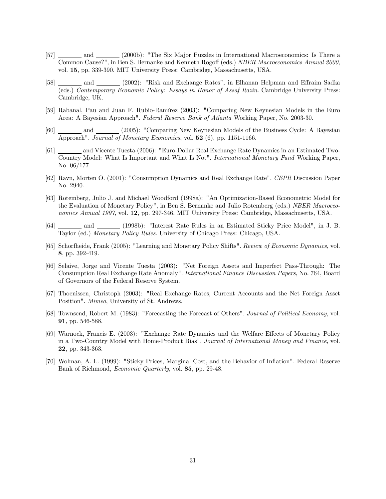- [57] and  $\qquad$  (2000b): "The Six Major Puzzles in International Macroeconomics: Is There a Common Cause?", in Ben S. Bernanke and Kenneth Rogoff (eds.) NBER Macroeconomics Annual 2000, vol. 15, pp. 339-390. MIT University Press: Cambridge, Massachusetts, USA.
- [58] \_\_\_\_\_\_\_\_ and \_\_\_\_\_\_\_ (2002): "Risk and Exchange Rates", in Elhanan Helpman and Effraim Sadka (eds.) Contemporary Economic Policy: Essays in Honor of Assaf Razin. Cambridge University Press: Cambridge, UK.
- [59] Rabanal, Pau and Juan F. Rubio-Ramírez (2003): "Comparing New Keynesian Models in the Euro Area: A Bayesian Approach". Federal Reserve Bank of Atlanta Working Paper, No. 2003-30.
- [60] \_\_\_\_\_\_\_\_ and \_\_\_\_\_\_\_ (2005): "Comparing New Keynesian Models of the Business Cycle: A Bayesian Approach". Journal of Monetary Economics, vol.  $52$  (6), pp. 1151-1166.
- [61] and Vicente Tuesta (2006): "Euro-Dollar Real Exchange Rate Dynamics in an Estimated Two-Country Model: What Is Important and What Is Not". International Monetary Fund Working Paper, No. 06/177.
- [62] Ravn, Morten O. (2001): "Consumption Dynamics and Real Exchange Rate". CEPR Discussion Paper No. 2940.
- [63] Rotemberg, Julio J. and Michael Woodford (1998a): "An Optimization-Based Econometric Model for the Evaluation of Monetary Policy", in Ben S. Bernanke and Julio Rotemberg (eds.) NBER Macroeconomics Annual 1997, vol. 12, pp. 297-346. MIT University Press: Cambridge, Massachusetts, USA.
- [64] and (1998b): "Interest Rate Rules in an Estimated Sticky Price Model", in J. B. Taylor (ed.) Monetary Policy Rules. University of Chicago Press: Chicago, USA.
- [65] Schorfheide, Frank (2005): "Learning and Monetary Policy Shifts". Review of Economic Dynamics, vol. 8, pp. 392-419.
- [66] Selaive, Jorge and Vicente Tuesta (2003): "Net Foreign Assets and Imperfect Pass-Through: The Consumption Real Exchange Rate Anomaly". International Finance Discussion Papers, No. 764, Board of Governors of the Federal Reserve System.
- [67] Thoenissen, Christoph (2003): "Real Exchange Rates, Current Accounts and the Net Foreign Asset Position". Mimeo, University of St. Andrews.
- [68] Townsend, Robert M. (1983): "Forecasting the Forecast of Others". Journal of Political Economy, vol. 91, pp. 546-588.
- [69] Warnock, Francis E. (2003): "Exchange Rate Dynamics and the Welfare Effects of Monetary Policy in a Two-Country Model with Home-Product Bias". Journal of International Money and Finance, vol. 22, pp. 343-363.
- [70] Wolman, A. L. (1999): "Sticky Prices, Marginal Cost, and the Behavior of Inflation". Federal Reserve Bank of Richmond, Economic Quarterly, vol. 85, pp. 29-48.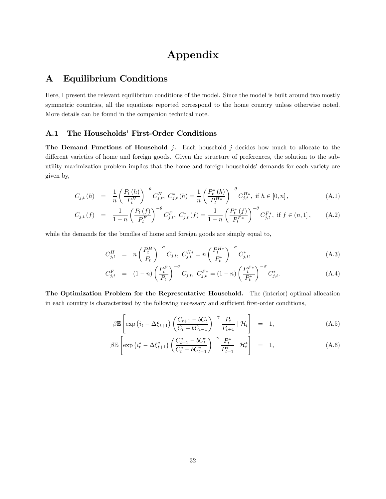## Appendix

## A Equilibrium Conditions

Here, I present the relevant equilibrium conditions of the model. Since the model is built around two mostly symmetric countries, all the equations reported correspond to the home country unless otherwise noted. More details can be found in the companion technical note.

#### A.1 The Households' First-Order Conditions

The Demand Functions of Household j. Each household j decides how much to allocate to the different varieties of home and foreign goods. Given the structure of preferences, the solution to the subutility maximization problem implies that the home and foreign households' demands for each variety are given by,

$$
C_{j,t}(h) = \frac{1}{n} \left(\frac{P_t(h)}{P_t^H}\right)^{-\theta} C_{j,t}^H, C_{j,t}^*(h) = \frac{1}{n} \left(\frac{P_t^*(h)}{P_t^{H*}}\right)^{-\theta} C_{j,t}^{H*}, \text{ if } h \in [0, n],\tag{A.1}
$$

$$
C_{j,t}(f) = \frac{1}{1-n} \left(\frac{P_t(f)}{P_t^F}\right)^{-\theta} C_{j,t}^F, \ C_{j,t}^*(f) = \frac{1}{1-n} \left(\frac{P_t^*(f)}{P_t^{F*}}\right)^{-\theta} C_{j,t}^{F*}, \text{ if } f \in (n,1], \tag{A.2}
$$

while the demands for the bundles of home and foreign goods are simply equal to,

$$
C_{j,t}^H = n \left(\frac{P_t^H}{P_t}\right)^{-\sigma} C_{j,t}, \ C_{j,t}^{H*} = n \left(\frac{P_t^{H*}}{P_t^*}\right)^{-\sigma} C_{j,t}^*, \tag{A.3}
$$

$$
C_{j,t}^F = (1-n) \left(\frac{P_t^F}{P_t}\right)^{-\sigma} C_{j,t}, \ C_{j,t}^{F*} = (1-n) \left(\frac{P_t^{F*}}{P_t^*}\right)^{-\sigma} C_{j,t}^*.
$$
 (A.4)

The Optimization Problem for the Representative Household. The (interior) optimal allocation in each country is characterized by the following necessary and sufficient first-order conditions,

$$
\beta \mathbb{E}\left[\exp\left(i_{t}-\Delta\xi_{t+1}\right)\left(\frac{C_{t+1}-bC_{t}}{C_{t}-bC_{t-1}}\right)^{-\gamma}\frac{P_{t}}{P_{t+1}}\mid \mathcal{H}_{t}\right] = 1, \tag{A.5}
$$

$$
\beta \mathbb{E}\left[\exp\left(i_t^* - \Delta \xi_{t+1}^*\right) \left(\frac{C_{t+1}^* - bC_t^*}{C_t^* - bC_{t-1}^*}\right)^{-\gamma} \frac{P_t^*}{P_{t+1}^*} \mid \mathcal{H}_t^*\right] = 1, \tag{A.6}
$$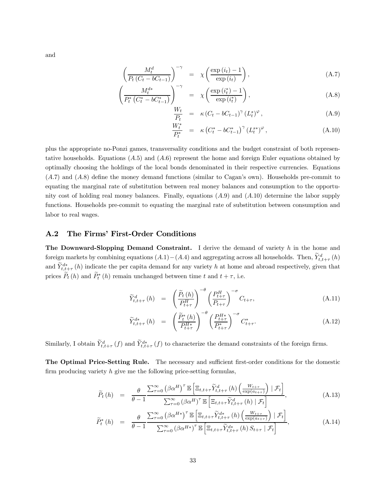and

$$
\left(\frac{M_t^d}{P_t\left(C_t - bC_{t-1}\right)}\right)^{-\gamma} = \chi\left(\frac{\exp\left(i_t\right) - 1}{\exp\left(i_t\right)}\right),\tag{A.7}
$$

$$
\left(\frac{M_t^{d*}}{P_t^*\left(C_t^*-bC_{t-1}^*\right)}\right)^{-\gamma} = \chi\left(\frac{\exp\left(i_t^*\right)-1}{\exp\left(i_t^*\right)}\right),\tag{A.8}
$$

$$
\frac{W_t}{P_t} = \kappa (C_t - bC_{t-1})^{\gamma} (L_t^s)^{\varphi}, \qquad (A.9)
$$

$$
\frac{W_t^*}{P_t^*} = \kappa \left( C_t^* - b C_{t-1}^* \right)^\gamma (L_t^{s*})^\varphi , \tag{A.10}
$$

plus the appropriate no-Ponzi games, transversality conditions and the budget constraint of both representative households. Equations  $(A.5)$  and  $(A.6)$  represent the home and foreign Euler equations obtained by optimally choosing the holdings of the local bonds denominated in their respective currencies. Equations (A.7) and (A.8) define the money demand functions (similar to Cagan's own). Households pre-commit to equating the marginal rate of substitution between real money balances and consumption to the opportunity cost of holding real money balances. Finally, equations  $(A.9)$  and  $(A.10)$  determine the labor supply functions. Households pre-commit to equating the marginal rate of substitution between consumption and labor to real wages.

#### A.2 The Firms' First-Order Conditions

**The Downward-Slopping Demand Constraint.** I derive the demand of variety  $h$  in the home and foreign markets by combining equations  $(A.1) - (A.4)$  and aggregating across all households. Then,  $\tilde{Y}_{t,t+\tau}^d(h)$ and  $\widetilde{Y}_{t,t+\tau}^{d*}(h)$  indicate the per capita demand for any variety h at home and abroad respectively, given that prices  $P_t(h)$  and  $P_t^*(h)$  remain unchanged between time t and  $t + \tau$ , i.e.

$$
\widetilde{Y}_{t,t+\tau}^{d}(h) = \left(\frac{\widetilde{P}_t(h)}{P_{t+\tau}^H}\right)^{-\theta} \left(\frac{P_{t+\tau}^H}{P_{t+\tau}}\right)^{-\sigma} C_{t+\tau}, \tag{A.11}
$$

$$
\widetilde{Y}_{t,t+\tau}^{d*}(h) = \left(\frac{\widetilde{P}_t^*(h)}{P_{t+\tau}^{H*}}\right)^{-\theta} \left(\frac{P_{t+\tau}^{H*}}{P_{t+\tau}^*}\right)^{-\sigma} C_{t+\tau}^*.
$$
\n(A.12)

Similarly, I obtain  $Y_{t,t+\tau}^d(f)$  and  $Y_{t,t+\tau}^d(f)$  to characterize the demand constraints of the foreign firms.

The Optimal Price-Setting Rule. The necessary and sufficient first-order conditions for the domestic firm producing variety  $h$  give me the following price-setting formulas,

$$
\widetilde{P}_t(h) = \frac{\theta}{\theta - 1} \frac{\sum_{\tau=0}^{\infty} (\beta \alpha^H)^{\tau} \mathbb{E} \left[ \Xi_{t,t+\tau} \widetilde{Y}_{t,t+\tau}^d \left( h \right) \left( \frac{W_{t+\tau}}{\exp(a_{t+\tau})} \right) \mid \mathcal{F}_t \right]}{\sum_{\tau=0}^{\infty} (\beta \alpha^H)^{\tau} \mathbb{E} \left[ \Xi_{t,t+\tau} \widetilde{Y}_{t,t+\tau}^d \left( h \right) \mid \mathcal{F}_t \right]},
$$
\n(A.13)

$$
\widetilde{P}_t^*(h) = \frac{\theta}{\theta - 1} \frac{\sum_{\tau=0}^{\infty} (\beta \alpha^{H*})^{\tau} \mathbb{E} \left[ \Xi_{t,t+\tau} \widetilde{Y}_{t,t+\tau}^{d*} (h) \left( \frac{W_{t+\tau}}{\exp(a_{t+\tau})} \right) | \mathcal{F}_t \right]}{\sum_{\tau=0}^{\infty} (\beta \alpha^{H*})^{\tau} \mathbb{E} \left[ \Xi_{t,t+\tau} \widetilde{Y}_{t,t+\tau}^{d*} (h) S_{t+\tau} | \mathcal{F}_t \right]},
$$
\n(A.14)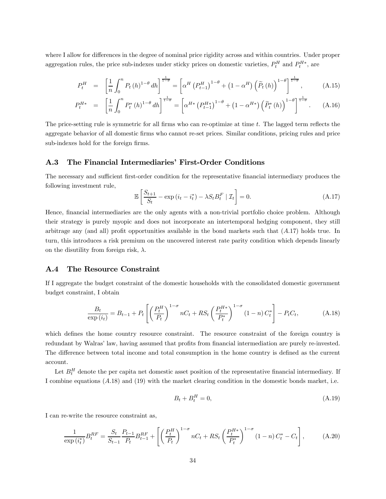where I allow for differences in the degree of nominal price rigidity across and within countries. Under proper aggregation rules, the price sub-indexes under sticky prices on domestic varieties,  $P_t^H$  and  $P_t^{H*}$ , are

$$
P_t^H = \left[\frac{1}{n} \int_0^n P_t(h)^{1-\theta} dh\right]^{\frac{1}{1-\theta}} = \left[\alpha^H \left(P_{t-1}^H\right)^{1-\theta} + \left(1 - \alpha^H\right) \left(\tilde{P}_t(h)\right)^{1-\theta}\right]^{\frac{1}{1-\theta}}, \tag{A.15}
$$

$$
P_t^{H*} = \left[\frac{1}{n} \int_0^n P_t^*(h)^{1-\theta} dh\right]^{\frac{1}{1-\theta}} = \left[\alpha^{H*} \left(P_{t-1}^{H*}\right)^{1-\theta} + \left(1 - \alpha^{H*}\right) \left(\tilde{P}_t^*(h)\right)^{1-\theta}\right]^{\frac{1}{1-\theta}}.
$$
 (A.16)

The price-setting rule is symmetric for all firms who can re-optimize at time t. The lagged term reflects the aggregate behavior of all domestic firms who cannot re-set prices. Similar conditions, pricing rules and price sub-indexes hold for the foreign firms.

#### A.3 The Financial Intermediaries' First-Order Conditions

The necessary and sufficient first-order condition for the representative financial intermediary produces the following investment rule,

$$
\mathbb{E}\left[\frac{S_{t+1}}{S_t} - \exp\left(i_t - i_t^*\right) - \lambda S_t B_t^F \mid \mathcal{I}_t\right] = 0.
$$
\n(A.17)

Hence, financial intermediaries are the only agents with a non-trivial portfolio choice problem. Although their strategy is purely myopic and does not incorporate an intertemporal hedging component, they still arbitrage any (and all) profit opportunities available in the bond markets such that  $(A.17)$  holds true. In turn, this introduces a risk premium on the uncovered interest rate parity condition which depends linearly on the disutility from foreign risk,  $\lambda$ .

#### A.4 The Resource Constraint

If I aggregate the budget constraint of the domestic households with the consolidated domestic government budget constraint, I obtain

$$
\frac{B_t}{\exp(i_t)} = B_{t-1} + P_t \left[ \left( \frac{P_t^H}{P_t} \right)^{1-\sigma} nC_t + RS_t \left( \frac{P_t^{H*}}{P_t^*} \right)^{1-\sigma} (1-n) C_t^* \right] - P_t C_t, \tag{A.18}
$$

which defines the home country resource constraint. The resource constraint of the foreign country is redundant by Walras' law, having assumed that profits from financial intermediation are purely re-invested. The difference between total income and total consumption in the home country is defined as the current account.

Let  $B_t^H$  denote the per capita net domestic asset position of the representative financial intermediary. If I combine equations (A.18) and (19) with the market clearing condition in the domestic bonds market, i.e.

$$
B_t + B_t^H = 0,\t\t(A.19)
$$

I can re-write the resource constraint as,

$$
\frac{1}{\exp(i_t^*)} B_t^{RF} = \frac{S_t}{S_{t-1}} \frac{P_{t-1}}{P_t} B_{t-1}^{RF} + \left[ \left( \frac{P_t^H}{P_t} \right)^{1-\sigma} nC_t + RS_t \left( \frac{P_t^{H*}}{P_t^*} \right)^{1-\sigma} (1-n) C_t^* - C_t \right],\tag{A.20}
$$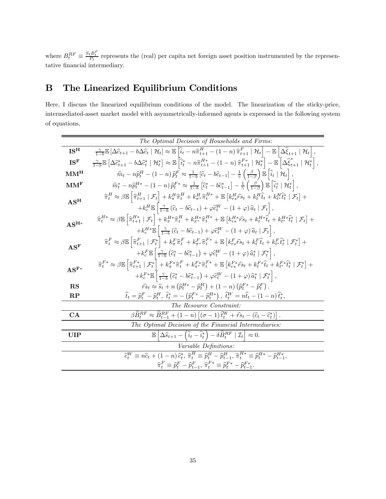where  $B_t^{RF} \equiv \frac{S_t B_t^F}{P_t}$  represents the (real) per capita net foreign asset position instrumented by the representative financial intermediary.

## B The Linearized Equilibrium Conditions

Here, I discuss the linearized equilibrium conditions of the model. The linearization of the sticky-price, intermediated-asset market model with asymmetrically-informed agents is expressed in the following system of equations,

|                             | The Optimal Decision of Households and Firms:                                                                                                                                                                                                                                                                                                                                                                                                                                                                              |
|-----------------------------|----------------------------------------------------------------------------------------------------------------------------------------------------------------------------------------------------------------------------------------------------------------------------------------------------------------------------------------------------------------------------------------------------------------------------------------------------------------------------------------------------------------------------|
| IS <sup>H</sup>             | $\frac{\gamma}{1-b}\mathbb{E}\left[\Delta\widehat{c}_{t+1}-b\Delta\widehat{c}_t\mid\mathcal{H}_t\right]\approx\mathbb{E}\left[\widehat{i}_t-n\widehat{\pi}_{t+1}^H-(1-n)\widehat{\pi}_{t+1}^F\mid\mathcal{H}_t\right]-\mathbb{E}\left[\Delta\widehat{\xi}_{t+1}\mid\mathcal{H}_t\right],$                                                                                                                                                                                                                                  |
| IS <sup>F</sup>             | $\tfrac{\gamma}{1-b} \mathbb{E}\left[ \Delta \widehat{c}_{t+1}^* - b \Delta \widehat{c}_t^* \mid \mathcal{H}_t^* \right] \approx \mathbb{E}\left[ \widehat{i}_t^* - n \widehat{\pi}_{t+1}^{H*} - (1-n) \, \widehat{\pi}_{t+1}^{F*} \mid \mathcal{H}_t^* \right] - \mathbb{E}\left[ \Delta \widehat{\xi}_{t+1}^* \mid \mathcal{H}_t^* \right],$                                                                                                                                                                             |
| MM <sup>H</sup>             | $\widehat{m}_t - n \widehat{p}_t^H - (1 - n) \widehat{p}_t^F \approx \frac{1}{1 - b} \left[ \widehat{c}_t - b \widehat{c}_{t-1} \right] - \frac{1}{\gamma} \left( \frac{\beta}{1 - \beta} \right) \mathbb{E} \left[ \widehat{i}_t \mid \mathcal{H}_t \right],$                                                                                                                                                                                                                                                             |
| MM <sup>F</sup>             | $\widehat{m}_t^* - n \widehat{p}_t^{H*} - (1 - n) \widehat{p}_t^{F*} \approx \frac{1}{1 - b} \left[ \widehat{c}_t^* - b \widehat{c}_{t-1}^* \right] - \frac{1}{\gamma} \left( \frac{\beta}{1 - \beta} \right) \mathbb{E} \left[ \widehat{i}_t^* \mid \mathcal{H}_t^* \right],$                                                                                                                                                                                                                                             |
| $AS^H$                      | $\widehat{\pi}_t^H \approx \beta \mathbb{E} \left  \widehat{\pi}_{t+1}^H \mid \mathcal{F}_t \right  + k_\pi^H \widehat{\pi}_t^H + k_{\pi^*}^H \widehat{\pi}_t^{H*} + \mathbb{E} \left[ k_{rs}^H \widehat{r}_{s} + k_t^H \widehat{t}_t + k_{t^*}^H \widehat{t}_t^* \mid \mathcal{F}_t \right] +$<br>$+ k_c^H \mathbb{E} \left[ \frac{\gamma}{1-b} \left( \widehat{c}_t - b \widehat{c}_{t-1} \right) + \varphi \widehat{c}_t^W - (1+\varphi) \widehat{a}_t \mid \mathcal{F}_t \right],$                                     |
| $AS^H*$                     | $\widehat{\pi}_t^{H*} \approx \beta \mathbb{E}\left \widehat{\pi}_{t+1}^{H*} \mid \mathcal{F}_t \right  + k_\pi^{H*} \widehat{\pi}_t^{H} + k_{\pi^*}^{H*} \widehat{\pi}_t^{H*} + \mathbb{E}\left[ k_{rs}^{H*} \widehat{r_{s}}_t + k_t^{H*} \widehat{t}_t + k_{t^*}^{H*} \widehat{t}_t^* \mid \mathcal{F}_t \right] +$<br>$+k_c^{H*}\mathbb{E}\left[\frac{\gamma}{1-b}\left(\widehat{c}_t-b\widehat{c}_{t-1}\right)+\varphi\widehat{c}_t^W-\left(1+\varphi\right)\widehat{a}_t\mid\mathcal{F}_t\right],$                    |
| $AS^F$                      | $\widehat{\pi}_t^F \approx \beta \mathbb{E} \left  \widehat{\pi}_{t+1}^F \mid \mathcal{F}_t^* \right  + k_\pi^F \widehat{\pi}_t^F + k_{\pi^*}^F \widehat{\pi}_t^{F*} + \mathbb{E} \left[ k_{rs}^F \widehat{r}_{s t} + k_t^F \widehat{t}_t + k_{t^*}^F \widehat{t}_t^* \mid \mathcal{F}_t^* \right] +$<br>$+k_c^F \mathbb{E} \left[ \frac{\gamma}{1-b} \left( \hat{c}_t^* - b \hat{c}_{t-1}^* \right) + \varphi \hat{c}_t^W - (1+\varphi) \hat{a}_t^* \mid \mathcal{F}_t^* \right],$                                        |
| $\mathbf{AS}^{\mathbf{F}*}$ | $\widehat{\pi}_{t}^{F*} \approx \beta \mathbb{E} \left  \widehat{\pi}_{t+1}^{F*} \mid \mathcal{F}_{t}^{*} \right  + k_{\pi}^{F*} \widehat{\pi}_{t}^{F} + k_{\pi^*}^{F*} \widehat{\pi}_{t}^{F*} + \mathbb{E} \left[ k_{rs}^{F*} \widehat{r}_{s} + k_{t}^{F*} \widehat{t}_{t} + k_{t}^{F*} \widehat{t}_{t}^{*} \mid \mathcal{F}_{t}^{*} \right] +$<br>$+k_c^{F*}\mathbb{E}\left[\frac{\gamma}{1-b}\left(\hat{c}_t^* - b\hat{c}_{t-1}^*\right) + \varphi \hat{c}_t^W - (1+\varphi)\,\hat{a}_t^* \mid \mathcal{F}_t^*\right],$ |
| RS                          | $\hat{rs}_t \approx \hat{s}_t + n \left( \hat{p}_t^{H*} - \hat{p}_t^H \right) + (1 - n) \left( \hat{p}_t^{F*} - \hat{p}_t^F \right).$                                                                                                                                                                                                                                                                                                                                                                                      |
| $\bf RP$                    | $\hat{t}_t = \hat{p}_t^F - \hat{p}_t^H$ , $\hat{t}_t^* = -(\hat{p}_t^{F*} - \hat{p}_t^{H*})$ , $\hat{t}_t^W = n\hat{t}_t - (1 - n)\hat{t}_t^*$ ,                                                                                                                                                                                                                                                                                                                                                                           |
|                             | The Resource Constraint:                                                                                                                                                                                                                                                                                                                                                                                                                                                                                                   |
| CA                          | $\beta \widehat{B}_{t}^{RF} \approx \widehat{B}_{t-1}^{RF} + (1-n) \left[ (\sigma - 1) \widehat{t}_{t}^{W} + \widehat{r} s_{t} - (\widehat{c}_{t} - \widehat{c}_{t}^{*}) \right].$                                                                                                                                                                                                                                                                                                                                         |
|                             | The Optimal Decision of the Financial Intermediaries:                                                                                                                                                                                                                                                                                                                                                                                                                                                                      |
| UIP                         | $\mathbb{E}\left[\Delta\widehat{s}_{t+1} - \left(\widehat{i}_t - \widehat{i}_t^*\right) - \delta\widehat{B}_t^{RF} \mid \mathcal{I}_t\right] \approx 0.$                                                                                                                                                                                                                                                                                                                                                                   |
|                             | <i>Variable Definitions:</i>                                                                                                                                                                                                                                                                                                                                                                                                                                                                                               |
|                             | $\widehat{c}_{t}^{W} \equiv n \widehat{c}_{t} + (1 - n) \, \widehat{c}_{t}^{*}, \, \widehat{\pi}_{t}^{H} \equiv \widehat{p}_{t}^{H} - \widehat{p}_{t-1}^{H}, \, \widehat{\pi}_{t}^{H*} \equiv \widehat{p}_{t}^{H*} - \widehat{p}_{t-1}^{H*},$                                                                                                                                                                                                                                                                              |
|                             | $\widehat{\boldsymbol{\pi}}_t^{F}\equiv \widehat{\boldsymbol{p}}_t^{F}-\widehat{\boldsymbol{p}}_{t-1}^{F},\, \widehat{\boldsymbol{\pi}}_t^{F\ast}\equiv \widehat{\boldsymbol{p}}_t^{F\ast}-\widehat{\boldsymbol{p}}_{t-1}^{F\ast}.$                                                                                                                                                                                                                                                                                        |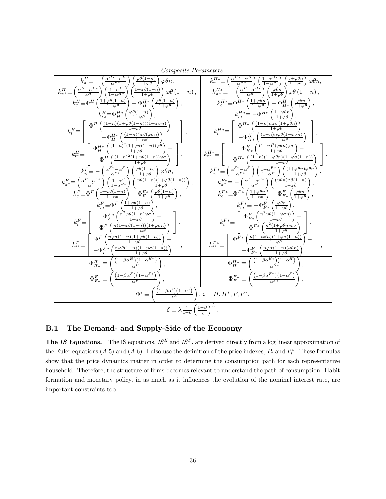| Composite Parameters:                                                                                                                                                                                                                                                                    |                                                                                                                                                                                                                                                                            |
|------------------------------------------------------------------------------------------------------------------------------------------------------------------------------------------------------------------------------------------------------------------------------------------|----------------------------------------------------------------------------------------------------------------------------------------------------------------------------------------------------------------------------------------------------------------------------|
| $k_{\pi}^{H} \equiv -\left(\frac{\alpha^{H*} - \alpha^{H}}{\alpha^{H*}}\right) \left(\frac{\varphi\theta(1-n)}{1+\varphi\theta}\right) \varphi\theta n,$                                                                                                                                 | $k_{\pi}^{H*} \equiv \left( \frac{\alpha^{H*} - \alpha^H}{\alpha^{H*}} \right) \left( \frac{1 - \alpha^{H*}}{1 - \alpha^H} \right) \left( \frac{1 + \varphi \theta n}{1 + \varphi \theta} \right) \varphi \theta n,$                                                       |
| $k_{\pi^*}^H \equiv \left(\frac{\alpha^H - \alpha^{H*}}{\alpha^H}\right) \left(\frac{1 - \alpha^H}{1 - \alpha^{H*}}\right) \left(\frac{1 + \varphi\theta(1-n)}{1 + \varphi\theta}\right) \varphi\theta\left(1 - n\right),$                                                               | $k_{\pi^*}^{H*} \equiv -\left(\frac{\alpha^H - \alpha^{H*}}{\alpha^H}\right) \left(\frac{\varphi \theta n}{1 + \varphi \theta}\right) \varphi \theta (1 - n),$                                                                                                             |
| $k_c^H \equiv \Phi^H \left( \frac{1+\varphi\theta(1-n)}{1+\varphi\theta} \right) - \Phi_H^{H*} \left( \frac{\varphi\theta(1-n)}{1+\varphi\theta} \right),$                                                                                                                               | $k_c^{H*} \equiv \Phi^{H*} \left( \frac{1+\varphi\theta n}{1+\varphi\theta} \right) - \Phi_{H*}^H \left( \frac{\varphi\theta n}{1+\varphi\theta} \right),$                                                                                                                 |
| $k_{rs}^H \equiv \Phi_H^{H*} \left( \frac{\varphi \theta (1-n)}{1+\varphi \theta} \right),$                                                                                                                                                                                              | $k_{rs}^{H*} \equiv -\Phi^{H*} \left( \frac{1+\varphi\theta n}{1+\varphi\theta} \right),$                                                                                                                                                                                  |
| $k_t^H{\equiv}\left \begin{array}{c} \Phi^H\left(\frac{(1-n)(1+\varphi\theta(1-n))(1+\varphi\sigma n)}{1+\varphi\theta}\right)-\\\ -\Phi_H^{H*}\left(\frac{(1-n)^2\varphi\theta(\varphi\sigma n)}{1+\varphi\theta}\right) \end{array}\right  \,,$                                        | $k_t^{H*} \!\!\equiv\!\!\! \left  \begin{array}{c} \Phi^{H*} \left( \frac{(1-n)n\varphi\sigma(1+\varphi\theta n)}{1+\varphi\theta} \right) - \\ -\Phi^H_{H*} \left( \frac{(1-n)n\varphi\theta(1+\varphi\sigma n)}{1+\omega\theta} \right) \end{array} \right  \,,$         |
| $k^H_{t^*} \!\!\equiv\!\! \left[ \begin{array}{c} \Phi^{H*}_{H} \left( \frac{(1-n)^2(1+\varphi\sigma(1-n))\varphi\theta}{1+\varphi\theta} \right) - \\ -\Phi^H \left( \frac{(1-n)^2(1+\varphi\theta(1-n))\varphi\sigma}{1+\varphi\theta} \right) \end{array} \right] \,, \label{eq:kkH}$ | $k^{H*}_{t^*} \equiv \left[ \begin{array}{c} \Phi^H_{H*} \left( \frac{(1-n)^2 (\varphi \theta n) \varphi \sigma}{1+\varphi \theta} \right) - \\ - \Phi^{H*} \left( \frac{(1-n)(1+\varphi \theta n)(1+\varphi \sigma (1-n))}{1+\varphi \theta} \right) \end{array} \right]$ |
| $k_{\pi}^{F} \equiv -\left(\frac{\alpha^{F*}-\alpha^{F}}{\alpha^{F*}}\right) \left(\frac{\varphi\theta(1-n)}{1+\varphi\theta}\right) \varphi\theta n,$                                                                                                                                   | $\overline{k_{\pi}^{F*} \equiv} \left( \frac{\alpha^{F*} - \alpha^F}{\alpha^{F*}} \right) \left( \frac{1 - \alpha^{F*}}{1 - \alpha^F} \right) \left( \frac{(1 + \varphi \theta n) \varphi \theta n}{1 + \varphi \theta} \right),$                                          |
| $k_{\pi^*}^F\!\equiv\!\left(\tfrac{\alpha^F-\alpha^{F*}}{\alpha^F}\right)\left(\tfrac{1-\alpha^F}{1-\alpha^{F*}}\right)\left(\tfrac{\varphi\theta(1-n)(1+\varphi\theta(1-n))}{1+\varphi\theta}\right),$                                                                                  | $k_{\pi^*}^{F*} \equiv -\left(\frac{\alpha^F - \alpha^{F*}}{\alpha^F}\right) \left(\frac{(\varphi \theta n) \varphi \theta(1-n)}{1+\varphi \theta}\right),$                                                                                                                |
| $k_c^F \equiv \Phi^F \left( \frac{1 + \varphi \theta(1-n)}{1 + \varphi \theta} \right) - \Phi_F^{F*} \left( \frac{\varphi \theta(1-n)}{1 + \varphi \theta} \right),$                                                                                                                     | $k_c^{F*} \equiv \Phi^{F*} \left( \frac{1+\varphi\theta n}{1+\varphi\theta} \right) - \Phi_{F*}^F \left( \frac{\varphi\theta n}{1+\varphi\theta} \right),$                                                                                                                 |
| $k_{rs}^F \equiv \Phi^F \left( \frac{1+\varphi\theta(1-n)}{1+\varphi\theta} \right),$                                                                                                                                                                                                    | $k_{rs}^{F*} \equiv -\Phi_{F*}^F \left(\frac{\varphi \theta n}{1+\varphi \theta}\right)$                                                                                                                                                                                   |
| $k_t^F \equiv \left[ \begin{array}{c} \Phi_F^{F*}\left( \frac{n^2 \varphi \theta(1-n) \varphi \sigma}{1+\varphi \theta} \right) - \\ -\Phi^F\left( \frac{n(1+\varphi \theta(1-n))(1+\varphi \sigma n)}{1+\varphi \theta} \right) \end{array} \right]$                                    | $k_t^{F*} \equiv \left  \begin{array}{c} \Phi_{F*}^F \left( \frac{n^2 \varphi \theta (1 + \varphi \sigma n)}{1 + \varphi \theta} \right) - \\ -\Phi^{F*} \left( \frac{n^2 (1 + \varphi \theta n) \varphi \sigma}{1 + \varphi \theta} \right) \end{array} \right  ,$        |
| $k_{t^{*}}^{F} \equiv \left  \begin{array}{c} \Phi^{F}\left(\frac{n\varphi\sigma(1-n)(1+\varphi\theta(1-n))}{1+\varphi\theta}\right) - \\ -\Phi^{F\ast}_{F}\left(\frac{n\varphi\theta(1-n)(1+\varphi\sigma(1-n))}{1+\varphi\theta}\right) \end{array} \right.$                           | $k_{t^*}^{F*} \!\equiv\! \left \begin{array}{c} \Phi^{F*}\left(\frac{n(1+\varphi\theta n)(1+\varphi\sigma(1-n))}{1+\varphi\theta}\right)-\\ -\Phi_{F*}^F\left(\frac{n\varphi\sigma(1-n)(\varphi\theta n)}{1+\varphi\theta}\right) \end{array}\right  \,,$                  |
| $\Phi^H_{H*} \equiv \left( \frac{(1-\beta \alpha^H)(1-\alpha^{H*})}{\alpha^H} \right),$                                                                                                                                                                                                  | $\Phi_H^{H*} \equiv \left( \frac{(1-\beta \alpha^{H*})(1-\alpha^H)}{\alpha^{H*}} \right)$                                                                                                                                                                                  |
| $\Phi_{F*}^F \equiv \left( \frac{(1-\beta\alpha^F)(1-\alpha^{F*})}{\alpha^F} \right)$                                                                                                                                                                                                    | $\Phi_{F}^{F*} \equiv \left( \frac{(1-\beta\alpha^{F*})(1-\alpha^{F})}{\alpha^{F*}} \right)$                                                                                                                                                                               |
| $\Phi^i \equiv \left( \frac{(1-\beta\alpha^i)(1-\alpha^i)}{\alpha^i} \right)$                                                                                                                                                                                                            | $, i = H, H^*, F, F^*,$                                                                                                                                                                                                                                                    |
| $\delta \equiv \lambda \frac{1}{1-h} \left( \frac{1-\beta}{\gamma} \right)^{\frac{1}{\gamma}}$                                                                                                                                                                                           |                                                                                                                                                                                                                                                                            |

## B.1 The Demand- and Supply-Side of the Economy

**The IS Equations.** The IS equations,  $IS^H$  and  $IS^F$ , are derived directly from a log linear approximation of the Euler equations (A.5) and (A.6). I also use the definition of the price indexes,  $P_t$  and  $P_t^*$ . These formulas show that the price dynamics matter in order to determine the consumption path for each representative household. Therefore, the structure of firms becomes relevant to understand the path of consumption. Habit formation and monetary policy, in as much as it influences the evolution of the nominal interest rate, are important constraints too.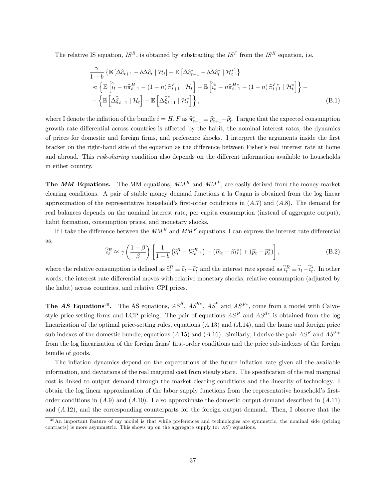The relative IS equation,  $IS^R$ , is obtained by substracting the  $IS^F$  from the  $IS^H$  equation, i.e.

$$
\frac{\gamma}{1-b} \left\{ \mathbb{E} \left[ \Delta \hat{c}_{t+1} - b \Delta \hat{c}_t \mid \mathcal{H}_t \right] - \mathbb{E} \left[ \Delta \hat{c}_{t+1}^* - b \Delta \hat{c}_t^* \mid \mathcal{H}_t^* \right] \right\} \n\approx \left\{ \mathbb{E} \left[ \hat{i}_t - n \hat{\pi}_{t+1}^H - (1-n) \hat{\pi}_{t+1}^F \mid \mathcal{H}_t \right] - \mathbb{E} \left[ \hat{i}_t^* - n \hat{\pi}_{t+1}^{H*} - (1-n) \hat{\pi}_{t+1}^{F*} \mid \mathcal{H}_t^* \right] \right\} - \n- \left\{ \mathbb{E} \left[ \Delta \hat{\xi}_{t+1} \mid \mathcal{H}_t \right] - \mathbb{E} \left[ \Delta \hat{\xi}_{t+1}^* \mid \mathcal{H}_t^* \right] \right\},
$$
\n(B.1)

where I denote the inflation of the bundle  $i = H, F$  as  $\hat{\pi}_{t+1}^i = \hat{p}_{t+1}^i - \hat{p}_t^i$ . I argue that the expected consumption growth rate differential across countries is affected by the habit, the nominal interest rates, the dynamics of prices for domestic and foreign firms, and preference shocks. I interpret the arguments inside the first bracket on the right-hand side of the equation as the difference between Fisher's real interest rate at home and abroad. This risk-sharing condition also depends on the different information available to households in either country.

The MM Equations. The MM equations,  $MM^H$  and  $MM^F$ , are easily derived from the money-market clearing conditions. A pair of stable money demand functions à la Cagan is obtained from the log linear approximation of the representative household's first-order conditions in  $(A.7)$  and  $(A.8)$ . The demand for real balances depends on the nominal interest rate, per capita consumption (instead of aggregate output), habit formation, consumption prices, and monetary shocks.

If I take the difference between the  $MM^H$  and  $MM^F$  equations, I can express the interest rate differential as,

$$
\widehat{i}_t^R \approx \gamma \left(\frac{1-\beta}{\beta}\right) \left[ \frac{1}{1-b} \left( \widehat{c}_t^R - b\widehat{c}_{t-1}^R \right) - \left( \widehat{m}_t - \widehat{m}_t^* \right) + \left( \widehat{p}_t - \widehat{p}_t^* \right) \right],\tag{B.2}
$$

where the relative consumption is defined as  $\hat{c}_t^R \equiv \hat{c}_t - \hat{c}_t^*$  and the interest rate spread as  $\hat{i}_t^R \equiv \hat{i}_t - \hat{i}_t^*$ . In other words, the interest rate differential moves with relative monetary shocks, relative consumption (adjusted by the habit) across countries, and relative CPI prices.

The AS Equations<sup>30</sup>. The AS equations,  $AS^H$ ,  $AS^{H*}$ ,  $AS^F$  and  $AS^{F*}$ , come from a model with Calvostyle price-setting firms and LCP pricing. The pair of equations  $AS^H$  and  $AS^{H*}$  is obtained from the log linearization of the optimal price-setting rules, equations  $(A.13)$  and  $(A.14)$ , and the home and foreign price sub-indexes of the domestic bundle, equations (A.15) and (A.16). Similarly, I derive the pair  $AS^F$  and  $AS^{F*}$ from the log linearization of the foreign firms' first-order conditions and the price sub-indexes of the foreign bundle of goods.

The inflation dynamics depend on the expectations of the future inflation rate given all the available information, and deviations of the real marginal cost from steady state. The specification of the real marginal cost is linked to output demand through the market clearing conditions and the linearity of technology. I obtain the log linear approximation of the labor supply functions from the representative household's firstorder conditions in  $(A.9)$  and  $(A.10)$ . I also approximate the domestic output demand described in  $(A.11)$ and (A.12), and the corresponding counterparts for the foreign output demand. Then, I observe that the

 $30$ An important feature of my model is that while preferences and technologies are symmetric, the nominal side (pricing contracts) is more asymmetric. This shows up on the aggregate supply (or  $AS$ ) equations.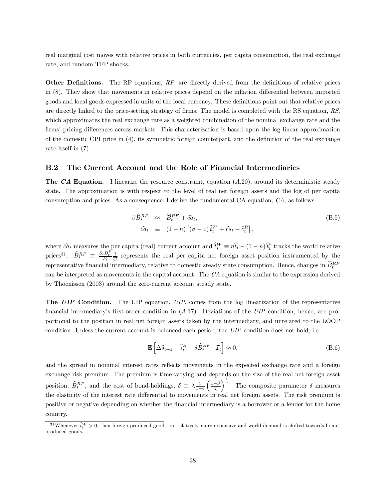real marginal cost moves with relative prices in both currencies, per capita consumption, the real exchange rate, and random TFP shocks.

**Other Definitions.** The RP equations, RP, are directly derived from the definitions of relative prices in (8). They show that movements in relative prices depend on the inflation differential between imported goods and local goods expressed in units of the local currency. These definitions point out that relative prices are directly linked to the price-setting strategy of firms. The model is completed with the RS equation, RS, which approximates the real exchange rate as a weighted combination of the nominal exchange rate and the firms' pricing differences across markets. This characterization is based upon the log linear approximation of the domestic CPI price in (4), its symmetric foreign counterpart, and the definition of the real exchange rate itself in (7).

#### B.2 The Current Account and the Role of Financial Intermediaries

**The CA Equation.** I linearize the resource constraint, equation  $(A.20)$ , around its deterministic steady state. The approximation is with respect to the level of real net foreign assets and the log of per capita consumption and prices. As a consequence, I derive the fundamental CA equation, CA, as follows

$$
\beta \widehat{B}_t^{RF} \approx \widehat{B}_{t-1}^{RF} + \widehat{c} \widehat{a}_t, \n\widehat{c} \widehat{a}_t \equiv (1-n) \left[ (\sigma - 1) \widehat{t}_t^W + \widehat{r} s_t - \widehat{c}_t^R \right],
$$
\n(B.5)

where  $\hat{ca}_t$  measures the per capita (real) current account and  $\hat{t}_t^W \equiv n\hat{t}_t - (1 - n)\hat{t}_t^*$  tracks the world relative prices<sup>31</sup>.  $\widehat{B}_t^{RF} \equiv \frac{S_t B_t^F}{P_t} \frac{1}{C}$  represents the real per capita net foreign asset position instrumented by the representative financial intermediary, relative to domestic steady state consumption. Hence, changes in  $\hat{B}_t^{RF}$ can be interpreted as movements in the capital account. The CA equation is similar to the expression derived by Thoenissen (2003) around the zero-current account steady state.

The UIP Condition. The UIP equation, UIP, comes from the log linearization of the representative financial intermediary's first-order condition in (A.17). Deviations of the UIP condition, hence, are proportional to the position in real net foreign assets taken by the intermediary, and unrelated to the LOOP condition. Unless the current account is balanced each period, the UIP condition does not hold, i.e.

$$
\mathbb{E}\left[\Delta\widehat{s}_{t+1} - \widehat{i}_t^R - \delta\widehat{B}_t^{RF} \mid \mathcal{I}_t\right] \approx 0,\tag{B.6}
$$

and the spread in nominal interest rates reflects movements in the expected exchange rate and a foreign exchange risk premium. The premium is time-varying and depends on the size of the real net foreign asset position,  $\widehat{B}_t^{RF}$ , and the cost of bond-holdings,  $\delta \equiv \lambda \frac{1}{1-b} \left( \frac{1-\beta}{\chi} \right)$  $\int_{0}^{\frac{1}{\gamma}}$ . The composite parameter  $\delta$  measures the elasticity of the interest rate differential to movements in real net foreign assets. The risk premium is positive or negative depending on whether the financial intermediary is a borrower or a lender for the home country.

<sup>&</sup>lt;sup>31</sup>Whenever  $\hat{t}^{W}_{t} > 0$ , then foreign-produced goods are relatively more expensive and world demand is shifted towards homeproduced goods.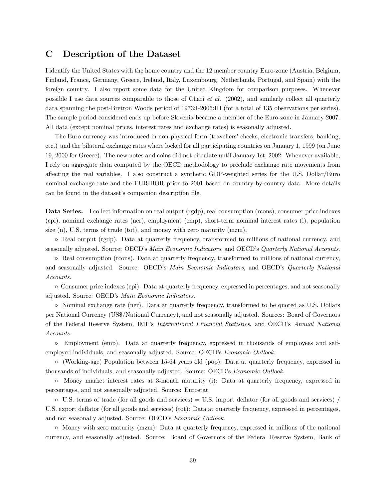## C Description of the Dataset

I identify the United States with the home country and the 12 member country Euro-zone (Austria, Belgium, Finland, France, Germany, Greece, Ireland, Italy, Luxembourg, Netherlands, Portugal, and Spain) with the foreign country. I also report some data for the United Kingdom for comparison purposes. Whenever possible I use data sources comparable to those of Chari et al. (2002), and similarly collect all quarterly data spanning the post-Bretton Woods period of 1973:I-2006:III (for a total of 135 observations per series). The sample period considered ends up before Slovenia became a member of the Euro-zone in January 2007. All data (except nominal prices, interest rates and exchange rates) is seasonally adjusted.

The Euro currency was introduced in non-physical form (travellers' checks, electronic transfers, banking, etc.) and the bilateral exchange rates where locked for all participating countries on January 1, 1999 (on June 19, 2000 for Greece). The new notes and coins did not circulate until January 1st, 2002. Whenever available, I rely on aggregate data computed by the OECD methodology to preclude exchange rate movements from affecting the real variables. I also construct a synthetic GDP-weighted series for the U.S. Dollar/Euro nominal exchange rate and the EURIBOR prior to 2001 based on country-by-country data. More details can be found in the dataset's companion description file.

Data Series. I collect information on real output (rgdp), real consumption (rcons), consumer price indexes (cpi), nominal exchange rates (ner), employment (emp), short-term nominal interest rates (i), population size (n), U.S. terms of trade (tot), and money with zero maturity (mzm).

◦ Real output (rgdp). Data at quarterly frequency, transformed to millions of national currency, and seasonally adjusted. Source: OECD's Main Economic Indicators, and OECD's Quarterly National Accounts.

◦ Real consumption (rcons). Data at quarterly frequency, transformed to millions of national currency, and seasonally adjusted. Source: OECD's Main Economic Indicators, and OECD's Quarterly National Accounts.

◦ Consumer price indexes (cpi). Data at quarterly frequency, expressed in percentages, and not seasonally adjusted. Source: OECD's Main Economic Indicators.

◦ Nominal exchange rate (ner). Data at quarterly frequency, transformed to be quoted as U.S. Dollars per National Currency (US\$/National Currency), and not seasonally adjusted. Sources: Board of Governors of the Federal Reserve System, IMF's International Financial Statistics, and OECD's Annual National Accounts.

◦ Employment (emp). Data at quarterly frequency, expressed in thousands of employees and selfemployed individuals, and seasonally adjusted. Source: OECD's Economic Outlook.

◦ (Working-age) Population between 15-64 years old (pop): Data at quarterly frequency, expressed in thousands of individuals, and seasonally adjusted. Source: OECD's Economic Outlook.

◦ Money market interest rates at 3-month maturity (i): Data at quarterly frequency, expressed in percentages, and not seasonally adjusted. Source: Eurostat.

 $\circ$  U.S. terms of trade (for all goods and services) = U.S. import deflator (for all goods and services) / U.S. export deflator (for all goods and services) (tot): Data at quarterly frequency, expressed in percentages, and not seasonally adjusted. Source: OECD's Economic Outlook.

◦ Money with zero maturity (mzm): Data at quarterly frequency, expressed in millions of the national currency, and seasonally adjusted. Source: Board of Governors of the Federal Reserve System, Bank of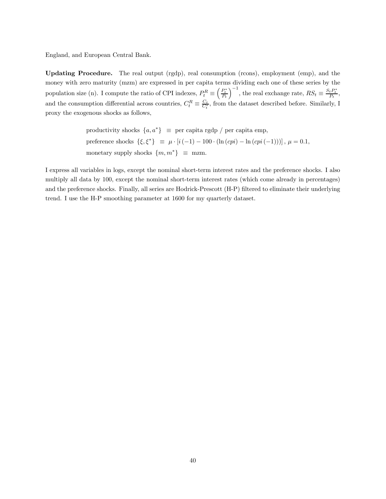England, and European Central Bank.

Updating Procedure. The real output (rgdp), real consumption (rcons), employment (emp), and the money with zero maturity (mzm) are expressed in per capita terms dividing each one of these series by the population size (n). I compute the ratio of CPI indexes,  $P_t^R \equiv$  $\left(\frac{P_t^*}{P_t}\right)$  $\int_{0}^{-1}$ , the real exchange rate,  $RS_t \equiv \frac{S_t P_t^*}{P_t}$ , and the consumption differential across countries,  $C_t^R \equiv \frac{C_t}{C_t^*}$ , from the dataset described before. Similarly, I proxy the exogenous shocks as follows,

> productivity shocks  $\{a, a^*\}\equiv$  per capita rgdp / per capita emp, preference shocks  $\{\xi, \xi^*\}\equiv \mu \cdot [i(-1) - 100 \cdot (\ln (cpi) - \ln (cpi (-1)))]$ ,  $\mu = 0.1$ , monetary supply shocks  ${m, m^*} \equiv$  mzm.

I express all variables in logs, except the nominal short-term interest rates and the preference shocks. I also multiply all data by 100, except the nominal short-term interest rates (which come already in percentages) and the preference shocks. Finally, all series are Hodrick-Prescott (H-P) filtered to eliminate their underlying trend. I use the H-P smoothing parameter at 1600 for my quarterly dataset.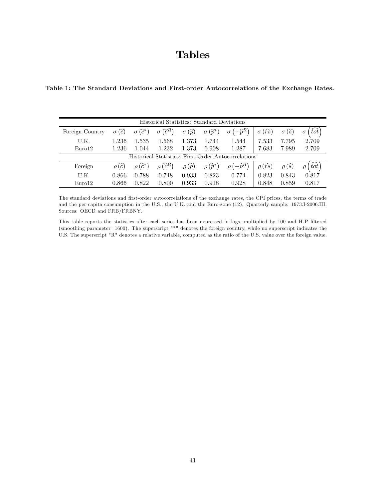# Tables

Table 1: The Standard Deviations and First-order Autocorrelations of the Exchange Rates.

| Historical Statistics: Standard Deviations |             |                               |                                     |                       |                                    |                                                     |                                 |                                 |          |  |
|--------------------------------------------|-------------|-------------------------------|-------------------------------------|-----------------------|------------------------------------|-----------------------------------------------------|---------------------------------|---------------------------------|----------|--|
| Foreign Country                            | $\sigma(c)$ | $(\widehat{c}^*)$<br>$\sigma$ | $\sigma(\widehat{c}^R)$             | $\sigma(\widehat{p})$ | $\sigma\left(\widehat{p}^*\right)$ | $1-\widehat{p}^{R}$                                 | $(\widehat{rs})$                | $(\widehat{s})$                 | $_{tot}$ |  |
| U.K.                                       | 1.236       | 1.535                         | 1.568                               | 1.373                 | 1.744                              | 1.544                                               | 7.533                           | 7.795                           | 2.709    |  |
| Euro <sub>12</sub>                         | 1.236       | 1.044                         | 1.232                               | 1.373                 | 0.908                              | 1.287                                               | 7.683                           | 7.989                           | 2.709    |  |
|                                            |             |                               |                                     |                       |                                    | Historical Statistics: First-Order Autocorrelations |                                 |                                 |          |  |
| Foreign                                    | $\rho(c)$   | $\rho(\widehat{c}^*)$         | $\rho\left( \widehat{c}^{R}\right)$ | $\rho(\widehat{p})$   | $\rho\left(\widehat{p}^*\right)$   | $\sqrt{-\hat{p}^{R}}$                               | $\rho\left(\widehat{rs}\right)$ | $\rho\left( \widehat{s}\right)$ |          |  |
| U.K.                                       | 0.866       | 0.788                         | 0.748                               | 0.933                 | 0.823                              | 0.774                                               | 0.823                           | 0.843                           | 0.817    |  |
| Euro <sub>12</sub>                         | 0.866       | 0.822                         | 0.800                               | 0.933                 | 0.918                              | 0.928                                               | 0.848                           | 0.859                           | 0.817    |  |

The standard deviations and first-order autocorrelations of the exchange rates, the CPI prices, the terms of trade and the per capita consumption in the U.S., the U.K. and the Euro-zone (12). Quarterly sample: 1973:I-2006:III. Sources: OECD and FRB/FRBNY.

This table reports the statistics after each series has been expressed in logs, multiplied by 100 and H-P filtered (smoothing parameter=1600). The superscript "\*" denotes the foreign country, while no superscript indicates the U.S. The superscript "R" denotes a relative variable, computed as the ratio of the U.S. value over the foreign value.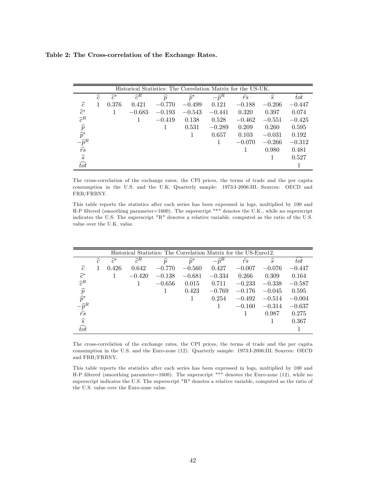Table 2: The Cross-correlation of the Exchange Rates.

|                                | Historical Statistics: The Correlation Matrix for the US-UK. |                 |                 |               |                 |                  |                |               |                  |  |  |  |
|--------------------------------|--------------------------------------------------------------|-----------------|-----------------|---------------|-----------------|------------------|----------------|---------------|------------------|--|--|--|
|                                | $\widehat{c}$                                                | $\widehat{c}^*$ | $\widehat{c}^R$ | $\widehat{p}$ | $\widehat{p}^*$ | $-\widehat{p}^R$ | $\widehat{rs}$ | $\widehat{s}$ | $\overline{tot}$ |  |  |  |
| $\widehat{c}$                  |                                                              | 0.376           | 0.421           | $-0.770$      | $-0.499$        | 0.121            | $-0.188$       | $-0.206$      | $-0.447$         |  |  |  |
| $\widehat{c}^*$                |                                                              |                 | $-0.683$        | $-0.193$      | $-0.543$        | $-0.441$         | 0.320          | 0.397         | 0.074            |  |  |  |
| $\hat{c}^R$                    |                                                              |                 |                 | $-0.419$      | 0.138           | 0.528            | $-0.462$       | $-0.551$      | $-0.425$         |  |  |  |
| $\widehat{p} \\ \widehat{p}^*$ |                                                              |                 |                 |               | 0.531           | $-0.289$         | 0.209          | 0.260         | 0.595            |  |  |  |
|                                |                                                              |                 |                 |               |                 | 0.657            | 0.103          | $-0.031$      | 0.192            |  |  |  |
| $-\widehat{p}^R$               |                                                              |                 |                 |               |                 |                  | $-0.070$       | $-0.266$      | $-0.312$         |  |  |  |
| $\bar{r}$                      |                                                              |                 |                 |               |                 |                  |                | 0.980         | 0.481            |  |  |  |
| $\widehat{s}$                  |                                                              |                 |                 |               |                 |                  |                |               | 0.527            |  |  |  |
| $\widehat{tot}$                |                                                              |                 |                 |               |                 |                  |                |               |                  |  |  |  |

The cross-correlation of the exchange rates, the CPI prices, the terms of trade and the per capita consumption in the U.S. and the U.K. Quarterly sample: 1973:I-2006:III. Sources: OECD and FRB/FRBNY.

This table reports the statistics after each series has been expressed in logs, multiplied by 100 and H-P filtered (smoothing parameter=1600). The superscript "\*" denotes the U.K., while no superscript indicates the U.S. The superscript "R" denotes a relative variable, computed as the ratio of the U.S. value over the U.K. value.

|                                               | Historical Statistics: The Correlation Matrix for the US-Euro12. |                 |                 |               |                 |                  |                |               |          |  |  |  |
|-----------------------------------------------|------------------------------------------------------------------|-----------------|-----------------|---------------|-----------------|------------------|----------------|---------------|----------|--|--|--|
|                                               | $\widehat{c}$                                                    | $\widehat{c}^*$ | $\widehat{c}^R$ | $\widehat{p}$ | $\widehat{p}^*$ | $-\widehat{p}^R$ | $\widehat{rs}$ | $\widehat{s}$ | tot      |  |  |  |
| $\widehat{c}$                                 |                                                                  | 0.426           | 0.642           | $-0.770$      | $-0.560$        | 0.427            | $-0.007$       | $-0.076$      | $-0.447$ |  |  |  |
| $\widehat{c}^*$                               |                                                                  |                 | $-0.420$        | $-0.138$      | $-0.681$        | $-0.334$         | 0.266          | 0.309         | 0.164    |  |  |  |
| $\hat{c}^R$                                   |                                                                  |                 |                 | $-0.656$      | 0.015           | 0.711            | $-0.233$       | $-0.338$      | $-0.587$ |  |  |  |
| $\widehat{p}$                                 |                                                                  |                 |                 | 1             | 0.423           | $-0.769$         | $-0.176$       | $-0.045$      | 0.595    |  |  |  |
| $\widehat{p}^*$                               |                                                                  |                 |                 |               |                 | 0.254            | $-0.492$       | $-0.514$      | $-0.004$ |  |  |  |
| $-\widehat{p}^R \over \widehat{r}\widehat{s}$ |                                                                  |                 |                 |               |                 |                  | $-0.160$       | $-0.314$      | $-0.637$ |  |  |  |
|                                               |                                                                  |                 |                 |               |                 |                  |                | 0.987         | 0.275    |  |  |  |
| $\widehat{s}$                                 |                                                                  |                 |                 |               |                 |                  |                |               | 0.367    |  |  |  |
| $\widehat{tot}$                               |                                                                  |                 |                 |               |                 |                  |                |               |          |  |  |  |

The cross-correlation of the exchange rates, the CPI prices, the terms of trade and the per capita consumption in the U.S. and the Euro-zone (12). Quarterly sample: 1973:I-2006:III. Sources: OECD and FRB/FRBNY.

This table reports the statistics after each series has been expressed in logs, multiplied by 100 and H-P filtered (smoothing parameter=1600). The superscript "\*" denotes the Euro-zone (12), while no superscript indicates the U.S. The superscript "R" denotes a relative variable, computed as the ratio of the U.S. value over the Euro-zone value.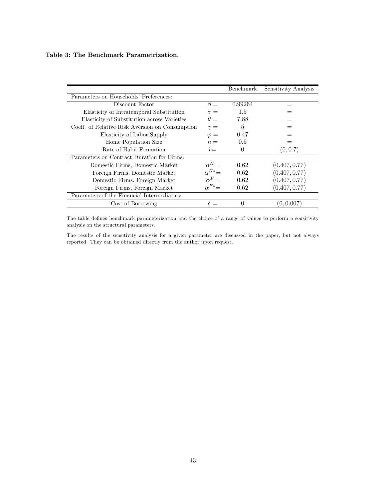#### Table 3: The Benchmark Parametrization.

|                                                 |                 | Benchmark | Sensitivity Analysis |
|-------------------------------------------------|-----------------|-----------|----------------------|
| Parameters on Households' Preferences:          |                 |           |                      |
| Discount Factor                                 | $\beta =$       | 0.99264   |                      |
| Elasticity of Intratemporal Substitution        | $\sigma =$      | 1.5       |                      |
| Elasticity of Substitution across Varieties     | $\theta =$      | 7.88      |                      |
| Coeff. of Relative Risk Aversion on Consumption | $\gamma =$      | 5         |                      |
| Elasticity of Labor Supply                      | $\varphi =$     | 0.47      |                      |
| Home Population Size                            | $n =$           | 0.5       |                      |
| Rate of Habit Formation                         | $b=$            | $\theta$  | (0, 0.7)             |
| Parameters on Contract Duration for Firms:      |                 |           |                      |
| Domestic Firms, Domestic Market                 | $\alpha^H =$    | 0.62      | (0.407, 0.77)        |
| Foreign Firms, Domestic Market                  | $\alpha^{H*} =$ | 0.62      | (0.407, 0.77)        |
| Domestic Firms, Foreign Market                  | $\alpha^F =$    | 0.62      | (0.407, 0.77)        |
| Foreign Firms, Foreign Market                   | $\alpha^{F*}=$  | 0.62      | (0.407, 0.77)        |
| Parameters of the Financial Intermediaries:     |                 |           |                      |
| Cost of Borrowing                               |                 | 0         | (0, 0.007)           |

The table defines benchmark parameterization and the choice of a range of values to perform a sensitivity analysis on the structural parameters.

The results of the sensitivity analysis for a given parameter are discussed in the paper, but not always reported. They can be obtained directly from the author upon request.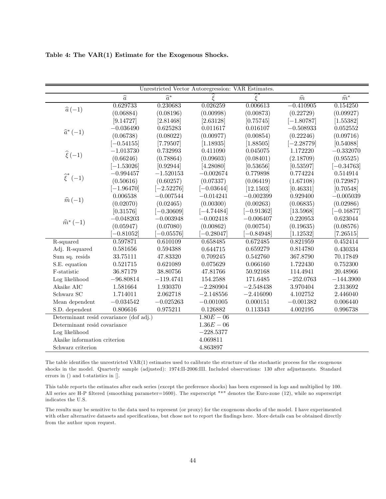| Table 4: The VAR(1) Estimate for the Exogenous Shocks. |  |  |  |  |  |
|--------------------------------------------------------|--|--|--|--|--|
|--------------------------------------------------------|--|--|--|--|--|

|                                         |               | Unrestricted Vector Autoregression: VAR Estimates. |              |                   |               |                 |
|-----------------------------------------|---------------|----------------------------------------------------|--------------|-------------------|---------------|-----------------|
|                                         | $\widehat{a}$ | $\widehat{a}^*$                                    | ξ            | $\widehat{\xi}^*$ | $\widehat{m}$ | $\widehat{m}^*$ |
| $\widehat{a}(-1)$                       | 0.629733      | 0.230683                                           | 0.026259     | 0.006613          | $-0.410905$   | 0.154250        |
|                                         | (0.06884)     | (0.08196)                                          | (0.00998)    | (0.00873)         | (0.22729)     | (0.09927)       |
|                                         | [9.14727]     | [2.81468]                                          | [2.63128]    | [0.75745]         | $[-1.80787]$  | [1.55382]       |
| $\widehat{a}^*(-1)$                     | $-0.036490$   | 0.625283                                           | 0.011617     | 0.016107          | $-0.508933$   | 0.052552        |
|                                         | (0.06738)     | (0.08022)                                          | (0.00977)    | (0.00854)         | (0.22246)     | (0.09716)       |
|                                         | $[-0.54155]$  | [7.79507]                                          | [1.18935]    | [1.88505]         | $[-2.28779]$  | [0.54088]       |
|                                         | $-1.013730$   | 0.732993                                           | 0.411090     | 0.045075          | 1.172220      | $-0.332070$     |
| $\hat{\xi}(-1)$                         | (0.66246)     | (0.78864)                                          | (0.09603)    | (0.08401)         | (2.18709)     | (0.95525)       |
|                                         | $[-1.53026]$  | [0.92944]                                          | [4.28080]    | [0.53656]         | [0.53597]     | $[-0.34763]$    |
|                                         | $-0.994457$   | $-1.520153$                                        | $-0.002674$  | 0.779898          | 0.774224      | 0.514914        |
| $\widehat{\xi}^*(-1)$                   | (0.50616)     | (0.60257)                                          | (0.07337)    | (0.06419)         | (1.67108)     | (0.72987)       |
|                                         | $[-1.96470]$  | $[-2.52276]$                                       | $[-0.03644]$ | [12.1503]         | [0.46331]     | [0.70548]       |
| $\hat{m}(-1)$                           | 0.006538      | $-0.007544$                                        | $-0.014241$  | $-0.002399$       | 0.929400      | $-0.005039$     |
|                                         | (0.02070)     | (0.02465)                                          | (0.00300)    | (0.00263)         | (0.06835)     | (0.02986)       |
|                                         | [0.31576]     | $[-0.30609]$                                       | $[-4.74484]$ | $[-0.91362]$      | [13.5968]     | $[-0.16877]$    |
| $\widehat{m}^*(-1)$                     | $-0.048203$   | $-0.003948$                                        | $-0.002418$  | $-0.006407$       | 0.220953      | 0.623044        |
|                                         | (0.05947)     | (0.07080)                                          | (0.00862)    | (0.00754)         | (0.19635)     | (0.08576)       |
|                                         | $-0.81052$    | $-0.05576$                                         | $-0.28047$   | $-0.84948$        | [1.12532]     | [7.26515]       |
| R-squared                               | 0.597871      | 0.610109                                           | 0.658485     | 0.672485          | 0.821959      | 0.452414        |
| Adj. R-squared                          | 0.581656      | 0.594388                                           | 0.644715     | 0.659279          | 0.814780      | 0.430334        |
| Sum sq. resids                          | 33.75111      | 47.83320                                           | 0.709245     | 0.542760          | 367.8790      | 70.17849        |
| S.E. equation                           | 0.521715      | 0.621089                                           | 0.075629     | 0.066160          | 1.722430      | 0.752300        |
| F-statistic                             | 36.87179      | 38.80756                                           | 47.81766     | 50.92168          | 114.4941      | 20.48966        |
| Log likelihood                          | $-96.80814$   | $-119.4741$                                        | 154.2588     | 171.6485          | $-252.0763$   | $-144.3900$     |
| Akaike AIC                              | 1.581664      | 1.930370                                           | $-2.280904$  | $-2.548438$       | 3.970404      | 2.313692        |
| Schwarz SC                              | 1.714011      | 2.062718                                           | $-2.148556$  | $-2.416090$       | 4.102752      | 2.446040        |
| Mean dependent                          | $-0.034542$   | $-0.025263$                                        | $-0.001005$  | 0.000151          | $-0.001382$   | 0.006440        |
| S.D. dependent                          | 0.806616      | 0.975211                                           | 0.126882     | 0.113343          | 4.002195      | 0.996738        |
| Determinant resid covariance (dof adj.) |               |                                                    | $1.80E - 06$ |                   |               |                 |
| Determinant resid covariance            |               |                                                    | $1.36E - 06$ |                   |               |                 |
| Log likelihood                          |               |                                                    | $-228.5377$  |                   |               |                 |
| Akaike information criterion            |               |                                                    | 4.069811     |                   |               |                 |
| Schwarz criterion                       |               |                                                    | 4.863897     |                   |               |                 |

The table identifies the unrestricted VAR(1) estimates used to calibrate the structure of the stochastic process for the exogenous shocks in the model. Quarterly sample (adjusted): 1974:II-2006:III. Included observations: 130 after adjustments. Standard errors in () and t-statistics in [].

This table reports the estimates after each series (except the preference shocks) has been expressed in logs and multiplied by 100. All series are H-P filtered (smoothing parameter=1600). The superscript "\*" denotes the Euro-zone (12), while no superscript indicates the U.S.

The results may be sensitive to the data used to represent (or proxy) for the exogenous shocks of the model. I have experimented with other alternative datasets and specifications, but chose not to report the findings here. More details can be obtained directly from the author upon request.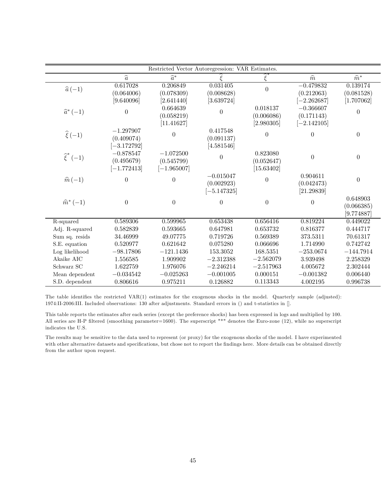|                       |                                            | Restricted Vector Autoregression: VAR Estimates. |                                            |                                      |                                            |                                      |
|-----------------------|--------------------------------------------|--------------------------------------------------|--------------------------------------------|--------------------------------------|--------------------------------------------|--------------------------------------|
|                       | $\widehat{a}$                              | $\widehat{a}^*$                                  |                                            | $\tilde{\xi}$                        | $\widehat{m}$                              | $\widehat{m}^*$                      |
| $\widehat{a}(-1)$     | 0.617028<br>(0.064006)<br>[9.640096]       | 0.206849<br>(0.078309)<br>[2.641440]             | 0.031405<br>(0.008628)<br>[3.639724]       | $\overline{0}$                       | $-0.479832$<br>(0.212063)<br>$[-2.262687]$ | 0.139174<br>(0.081528)<br>[1.707062] |
| $\widehat{a}^*(-1)$   | $\overline{0}$                             | 0.664639<br>(0.058219)<br>[11.41627]             | $\theta$                                   | 0.018137<br>(0.006086)<br>[2.980305] | $-0.366607$<br>(0.171143)<br>$[-2.142105]$ | $\overline{0}$                       |
| $\widehat{\xi}(-1)$   | $-1.297907$<br>(0.409074)<br>$[-3.172792]$ | $\Omega$                                         | 0.417548<br>(0.091137)<br>[4.581546]       | $\overline{0}$                       | $\overline{0}$                             | $\overline{0}$                       |
| $\widehat{\xi}^*(-1)$ | $-0.878547$<br>(0.495679)<br>$[-1.772413]$ | $-1.072500$<br>(0.545799)<br>$[-1.965007]$       | $\theta$                                   | 0.823080<br>(0.052647)<br>[15.63402] | $\overline{0}$                             | $\overline{0}$                       |
| $\widehat{m}(-1)$     | $\boldsymbol{0}$                           | $\Omega$                                         | $-0.015047$<br>(0.002923)<br>$[-5.147325]$ | $\theta$                             | 0.904611<br>(0.042473)<br>[21.29839]       | $\overline{0}$                       |
| $\hat{m}^*(-1)$       | $\overline{0}$                             | $\overline{0}$                                   | $\theta$                                   | $\theta$                             | $\Omega$                                   | 0.648903<br>(0.066385)<br>[9.774887] |
| R-squared             | 0.589306                                   | 0.599965                                         | 0.653438                                   | 0.656416                             | 0.819224                                   | 0.449022                             |
| Adj. R-squared        | 0.582839                                   | 0.593665                                         | 0.647981                                   | 0.653732                             | 0.816377                                   | 0.444717                             |
| Sum sq. resids        | 34.46999                                   | 49.07775                                         | 0.719726                                   | 0.569389                             | 373.5311                                   | 70.61317                             |
| S.E. equation         | 0.520977                                   | 0.621642                                         | 0.075280                                   | 0.066696                             | 1.714990                                   | 0.742742                             |
| Log likelihood        | $-98.17806$                                | $-121.1436$                                      | 153.3052                                   | 168.5351                             | $-253.0674$                                | $-144.7914$                          |
| Akaike AIC            | 1.556585                                   | 1.909902                                         | $-2.312388$                                | $-2.562079$                          | 3.939498                                   | 2.258329                             |
| Schwarz SC            | 1.622759                                   | 1.976076                                         | $-2.246214$                                | $-2.517963$                          | 4.005672                                   | 2.302444                             |
| Mean dependent        | $-0.034542$                                | $-0.025263$                                      | $-0.001005$                                | 0.000151                             | $-0.001382$                                | 0.006440                             |
| S.D. dependent        | 0.806616                                   | 0.975211                                         | 0.126882                                   | 0.113343                             | 4.002195                                   | 0.996738                             |

The table identifies the restricted VAR(1) estimates for the exogenous shocks in the model. Quarterly sample (adjusted): 1974:II-2006:III. Included observations: 130 after adjustments. Standard errors in () and t-statistics in [].

This table reports the estimates after each series (except the preference shocks) has been expressed in logs and multiplied by 100. All series are H-P filtered (smoothing parameter=1600). The superscript "\*" denotes the Euro-zone (12), while no superscript indicates the U.S.

The results may be sensitive to the data used to represent (or proxy) for the exogenous shocks of the model. I have experimented with other alternative datasets and specifications, but chose not to report the findings here. More details can be obtained directly from the author upon request.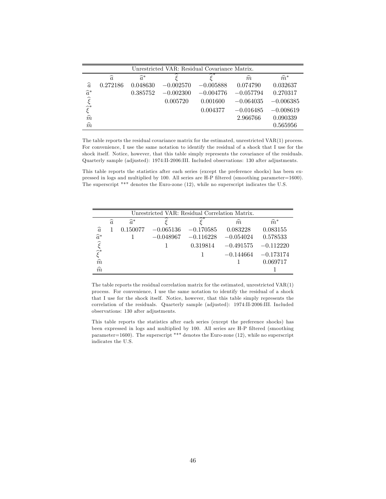| Unrestricted VAR: Residual Covariance Matrix. |               |                 |             |             |               |                 |  |  |  |  |  |
|-----------------------------------------------|---------------|-----------------|-------------|-------------|---------------|-----------------|--|--|--|--|--|
|                                               | $\widehat{a}$ | $\widehat{a}^*$ |             | ∼∗          | $\widehat{m}$ | $\widehat{m}^*$ |  |  |  |  |  |
| $\widehat{a}$                                 | 0.272186      | 0.048630        | $-0.002570$ | $-0.005888$ | 0.074790      | 0.032637        |  |  |  |  |  |
| $\widehat{a}^*$                               |               | 0.385752        | $-0.002300$ | $-0.004776$ | $-0.057794$   | 0.270317        |  |  |  |  |  |
| $\hat{\xi}^*$<br>$\hat{\hat{\xi}}^*$          |               |                 | 0.005720    | 0.001600    | $-0.064035$   | $-0.006385$     |  |  |  |  |  |
|                                               |               |                 |             | 0.004377    | $-0.016485$   | $-0.008619$     |  |  |  |  |  |
|                                               |               |                 |             |             | 2.966766      | 0.090339        |  |  |  |  |  |
| $\widehat{m}$                                 |               |                 |             |             |               | 0.565956        |  |  |  |  |  |

The table reports the residual covariance matrix for the estimated, unrestricted VAR(1) process. For convenience, I use the same notation to identify the residual of a shock that I use for the shock itself. Notice, however, that this table simply represents the covariance of the residuals. Quarterly sample (adjusted): 1974:II-2006:III. Included observations: 130 after adjustments.

This table reports the statistics after each series (except the preference shocks) has been expressed in logs and multiplied by 100. All series are H-P filtered (smoothing parameter=1600). The superscript "\*" denotes the Euro-zone (12), while no superscript indicates the U.S.

|                                                                                    | Unrestricted VAR: Residual Correlation Matrix. |                 |             |             |               |                 |  |  |  |  |  |  |
|------------------------------------------------------------------------------------|------------------------------------------------|-----------------|-------------|-------------|---------------|-----------------|--|--|--|--|--|--|
|                                                                                    | $\widehat{a}$                                  | $\widehat{a}^*$ |             |             | $\widehat{m}$ | $\widehat{m}^*$ |  |  |  |  |  |  |
| $\widehat{a}$                                                                      |                                                | 0.150077        | $-0.065136$ | $-0.170585$ | 0.083228      | 0.083155        |  |  |  |  |  |  |
|                                                                                    |                                                |                 | $-0.048967$ | $-0.116228$ | $-0.054024$   | 0.578533        |  |  |  |  |  |  |
| $\begin{array}{c} \widehat{a}^* \\ \widehat{\xi}^* \\ \widehat{\xi}^* \end{array}$ |                                                |                 |             | 0.319814    | $-0.491575$   | $-0.112220$     |  |  |  |  |  |  |
|                                                                                    |                                                |                 |             |             | $-0.144664$   | $-0.173174$     |  |  |  |  |  |  |
| $\hat{\hat{m}}$                                                                    |                                                |                 |             |             |               | 0.069717        |  |  |  |  |  |  |
| $\widehat{m}$                                                                      |                                                |                 |             |             |               |                 |  |  |  |  |  |  |

The table reports the residual correlation matrix for the estimated, unrestricted VAR(1) process. For convenience, I use the same notation to identify the residual of a shock that I use for the shock itself. Notice, however, that this table simply represents the correlation of the residuals. Quarterly sample (adjusted): 1974:II-2006:III. Included observations: 130 after adjustments.

This table reports the statistics after each series (except the preference shocks) has been expressed in logs and multiplied by 100. All series are H-P filtered (smoothing parameter=1600). The superscript "\*" denotes the Euro-zone (12), while no superscript indicates the U.S.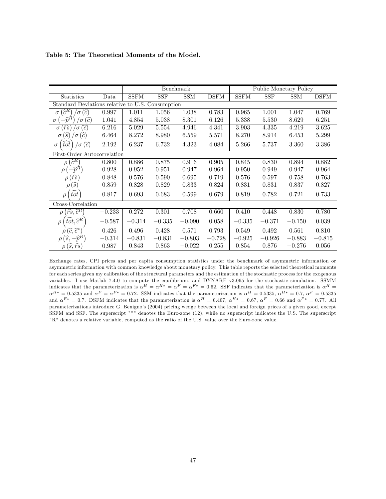|                                                                           |                             |             |            | Benchmark  |             |             |          | Public Monetary Policy |             |  |  |
|---------------------------------------------------------------------------|-----------------------------|-------------|------------|------------|-------------|-------------|----------|------------------------|-------------|--|--|
| <b>Statistics</b>                                                         | Data                        | <b>SSFM</b> | <b>SSF</b> | <b>SSM</b> | <b>DSFM</b> | <b>SSFM</b> | SSF      | <b>SSM</b>             | <b>DSFM</b> |  |  |
| Standard Deviations relative to U.S. Consumption                          |                             |             |            |            |             |             |          |                        |             |  |  |
| $\widehat{c}^R$<br>$\widehat{c}$<br>$\sigma$<br>$\sigma$                  | 0.997                       | 1.011       | 1.056      | 1.038      | 0.783       | 0.965       | 1.001    | 1.047                  | 0.769       |  |  |
| $(\widehat{c})$<br>$\sigma$<br>$\sigma$                                   | 1.041                       | 4.854       | 5.038      | 8.301      | 6.126       | 5.338       | 5.530    | 8.629                  | 6.251       |  |  |
| $(\widehat{rs}% ,\widehat{r},\widehat{r})$<br>(ĉ)<br>$\sigma$<br>$\sigma$ | 6.216                       | 5.029       | 5.554      | 4.946      | 4.341       | 3.903       | 4.335    | 4.219                  | 3.625       |  |  |
| $\left( s\right)$<br>$\sigma(c)$<br>$\sigma$                              | 6.464                       | 8.272       | 8.980      | 6.559      | 5.571       | 8.270       | 8.914    | 6.453                  | 5.299       |  |  |
| $\sigma\left( \widehat{c}\right)$<br>$\sigma$                             | 2.192                       | 6.237       | 6.732      | 4.323      | 4.084       | 5.266       | 5.737    | 3.360                  | 3.386       |  |  |
|                                                                           | First-Order Autocorrelation |             |            |            |             |             |          |                        |             |  |  |
| $\widehat{c}^R$<br>$\rho$                                                 | 0.800                       | 0.886       | 0.875      | 0.916      | 0.905       | 0.845       | 0.830    | 0.894                  | 0.882       |  |  |
| $-\widehat{p}^{\hat{R}}$<br>ρ                                             | 0.928                       | 0.952       | 0.951      | 0.947      | 0.964       | 0.950       | 0.949    | 0.947                  | 0.964       |  |  |
| $\sqrt{\widehat{r}\widehat{s}}$<br>$\rho$                                 | 0.848                       | 0.576       | 0.590      | 0.695      | 0.719       | 0.576       | 0.597    | 0.758                  | 0.763       |  |  |
| $\rho\left(\widehat{s}\right)$                                            | 0.859                       | 0.828       | 0.829      | 0.833      | 0.824       | 0.831       | 0.831    | 0.837                  | 0.827       |  |  |
| tot<br>$\rho$                                                             | 0.817                       | 0.693       | 0.683      | 0.599      | 0.679       | 0.819       | 0.782    | 0.721                  | 0.733       |  |  |
| Cross-Correlation                                                         |                             |             |            |            |             |             |          |                        |             |  |  |
| $'\widehat{rs}, \widehat{c}^R$<br>$\rho$                                  | $-0.233$                    | 0.272       | 0.301      | 0.708      | 0.660       | 0.410       | 0.448    | 0.830                  | 0.780       |  |  |
| $tot, \hat{c}^R$<br>$\rho$                                                | $-0.587$                    | $-0.314$    | $-0.335$   | $-0.090$   | 0.058       | $-0.335$    | $-0.371$ | $-0.150$               | 0.039       |  |  |
| $\rho\left(\widehat{c},\widehat{c}^*\right)$                              | 0.426                       | 0.496       | 0.428      | 0.571      | 0.793       | 0.549       | 0.492    | 0.561                  | 0.810       |  |  |
| $\rho\left(\widehat{s},-\widehat{p}^R\right)$                             | $-0.314$                    | $-0.831$    | $-0.831$   | $-0.803$   | $-0.728$    | $-0.925$    | $-0.926$ | $-0.883$               | $-0.815$    |  |  |
| $(\widehat{s},\widehat{rs})$                                              | 0.987                       | 0.843       | 0.863      | $-0.022$   | 0.255       | 0.854       | 0.876    | $-0.276$               | 0.056       |  |  |

Table 5: The Theoretical Moments of the Model.

Exchange rates, CPI prices and per capita consumption statistics under the benchmark of asymmetric information or asymmetric information with common knowledge about monetary policy. This table reports the selected theoretical moments for each series given my calibration of the structural parameters and the estimation of the stochastic process for the exogenous variables. I use Matlab 7.4.0 to compute the equilibrium, and DYNARE v3.065 for the stochastic simulation. SSMM indicates that the parameterization is  $\alpha^H = \alpha^{H*} = \alpha^F = \alpha^{F*} = 0.62$ . SSF indicates that the parameterization is  $\alpha^H =$  $\alpha^{H*} = 0.5335$  and  $\alpha^F = \alpha^{F*} = 0.72$ . SSM indicates that the parameterization is  $\alpha^H = 0.5335$ ,  $\alpha^{H*} = 0.7$ ,  $\alpha^F = 0.5335$ and  $\alpha^{F*} = 0.7$ . DSFM indicates that the parameterization is  $\alpha^H = 0.407$ ,  $\alpha^{H*} = 0.67$ ,  $\alpha^F = 0.66$  and  $\alpha^{F*} = 0.77$ . All parameterizations introduce G. Benigno's (2004) pricing wedge between the local and foreign prices of a given good, except SSFM and SSF. The superscript "\*" denotes the Euro-zone (12), while no superscript indicates the U.S. The superscript "R" denotes a relative variable, computed as the ratio of the U.S. value over the Euro-zone value.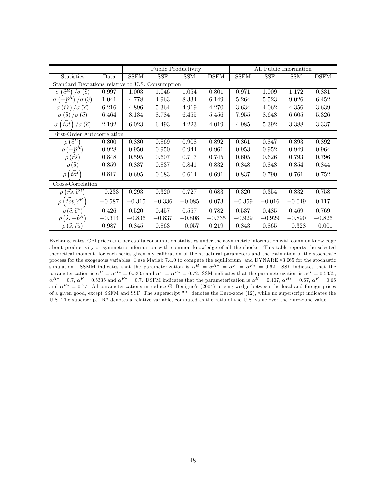|                                                              |                   | Public Productivity |          |            |             | All Public Information |            |            |             |  |  |
|--------------------------------------------------------------|-------------------|---------------------|----------|------------|-------------|------------------------|------------|------------|-------------|--|--|
| <b>Statistics</b>                                            | $\it Data$        | <b>SSFM</b>         | SSF      | <b>SSM</b> | <b>DSFM</b> | <b>SSFM</b>            | <b>SSF</b> | <b>SSM</b> | <b>DSFM</b> |  |  |
| Standard Deviations relative to U.S. Consumption             |                   |                     |          |            |             |                        |            |            |             |  |  |
| $\widehat{c}^R$<br>$(\widehat{c})$<br>$\sigma$<br>$\sigma$   | 0.997             | 1.003               | 1.046    | 1.054      | 0.801       | 0.971                  | 1.009      | 1.172      | 0.831       |  |  |
| (ĉ)<br>$\sigma$<br>$\sigma$                                  | 1.041             | 4.778               | 4.963    | 8.334      | 6.149       | 5.264                  | 5.523      | 9.026      | 6.452       |  |  |
| $\widehat{rs}$<br>(ĉ<br>$\sigma$<br>$\sigma$                 | 6.216             | 4.896               | 5.364    | 4.919      | 4.270       | 3.634                  | 4.062      | 4.356      | 3.639       |  |  |
| $\left( \widehat{c}\right)$<br>$\sigma(\hat{s})$<br>$\sigma$ | 6.464             | 8.134               | 8.784    | 6.455      | 5.456       | 7.955                  | 8.648      | 6.605      | 5.326       |  |  |
| $\widehat{(c)}$<br>tot<br>$\sigma$<br>$\sigma$               | 2.192             | 6.023               | 6.493    | 4.223      | 4.019       | 4.985                  | 5.392      | 3.388      | 3.337       |  |  |
| First-Order Autocorrelation                                  |                   |                     |          |            |             |                        |            |            |             |  |  |
| $\widehat{c}^R$<br>$\rho$                                    | 0.800             | 0.880               | 0.869    | 0.908      | 0.892       | 0.861                  | 0.847      | 0.893      | 0.892       |  |  |
| $-\widehat{p}^R$<br>$\rho$                                   | 0.928             | 0.950               | 0.950    | 0.944      | 0.961       | 0.953                  | 0.952      | 0.949      | 0.964       |  |  |
| $\rho\left(\widehat{rs}\right)$                              | 0.848             | 0.595               | 0.607    | 0.717      | 0.745       | 0.605                  | 0.626      | 0.793      | 0.796       |  |  |
| $\rho\left( \widehat{s}\right)$                              | 0.859             | 0.837               | 0.837    | 0.841      | 0.832       | 0.848                  | 0.848      | 0.854      | 0.844       |  |  |
| tot<br>$\rho$                                                | 0.817             | 0.695               | 0.683    | 0.614      | 0.691       | 0.837                  | 0.790      | 0.761      | 0.752       |  |  |
|                                                              | Cross-Correlation |                     |          |            |             |                        |            |            |             |  |  |
| $\widehat{rs}, \widehat{c}^R$<br>$\rho$                      | $-0.233$          | 0.293               | 0.320    | 0.727      | 0.683       | 0.320                  | 0.354      | 0.832      | 0.758       |  |  |
| $\hat{tot}, \hat{c}^R$<br>$\rho$                             | $-0.587$          | $-0.315$            | $-0.336$ | $-0.085$   | 0.073       | $-0.359$               | $-0.016$   | $-0.049$   | 0.117       |  |  |
| $\rho\left(\widehat{c},\widehat{c}^{*}\right)$               | 0.426             | 0.520               | 0.457    | 0.557      | 0.782       | 0.537                  | 0.485      | 0.469      | 0.769       |  |  |
| $-\widehat{p}^R$<br>$\rho$ (s,                               | $-0.314$          | $-0.836$            | $-0.837$ | $-0.808$   | $-0.735$    | $-0.929$               | $-0.929$   | $-0.890$   | $-0.826$    |  |  |
| $(\widehat{s},\widehat{rs})$                                 | 0.987             | 0.845               | 0.863    | $-0.057$   | 0.219       | 0.843                  | 0.865      | $-0.328$   | $-0.001$    |  |  |

Exchange rates, CPI prices and per capita consumption statistics under the asymmetric information with common knowledge about productivity or symmetric information with common knowledge of all the shocks. This table reports the selected theoretical moments for each series given my calibration of the structural parameters and the estimation of the stochastic process for the exogenous variables. I use Matlab 7.4.0 to compute the equilibrium, and DYNARE v3.065 for the stochastic simulation. SSMM indicates that the parameterization is  $\alpha^{H} = \alpha^{H*} = \alpha^{F} = \alpha^{F*} = 0.62$ . SSF indicates that the parameterization is  $\alpha^H = \alpha^{H*} = 0.5335$  and  $\alpha^F = \alpha^{F*} = 0.72$ . SSM indicates that the parameterization is  $\alpha^H = 0.5335$ ,  $\alpha^{H*} = 0.7$ ,  $\alpha^F = 0.5335$  and  $\alpha^{F*} = 0.7$ . DSFM indicates that the parameterization is  $\alpha^H = 0.407$ ,  $\alpha^{H*} = 0.67$ ,  $\alpha^F = 0.66$ and  $\alpha^{F*} = 0.77$ . All parameterizations introduce G. Benigno's (2004) pricing wedge between the local and foreign prices of a given good, except SSFM and SSF. The superscript "\*" denotes the Euro-zone (12), while no superscript indicates the U.S. The superscript "R" denotes a relative variable, computed as the ratio of the U.S. value over the Euro-zone value.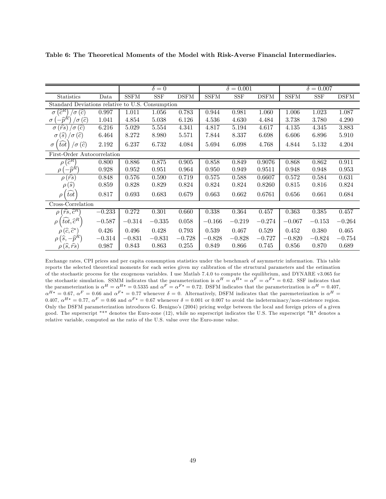|                                                                            |                             | $\overline{\delta} = 0$ |                      |             | $\delta = 0.001$ |            |                            | $\delta = 0.007$      |            |             |  |  |
|----------------------------------------------------------------------------|-----------------------------|-------------------------|----------------------|-------------|------------------|------------|----------------------------|-----------------------|------------|-------------|--|--|
| <b>Statistics</b>                                                          | Data                        | <b>SSFM</b>             | $\operatorname{SSF}$ | <b>DSFM</b> | <b>SSFM</b>      | <b>SSF</b> | $\overline{\mathrm{DSFM}}$ | $\operatorname{SSFM}$ | <b>SSF</b> | <b>DSFM</b> |  |  |
| Standard Deviations relative to U.S. Consumption                           |                             |                         |                      |             |                  |            |                            |                       |            |             |  |  |
| $\sqrt{\sigma\left( \widehat{c}\right) }$<br>$[\widehat{c}^R]$<br>$\sigma$ | 0.997                       | 1.011                   | 1.056                | 0.783       | 0.944            | 0.981      | 1.060                      | 1.006                 | 1.023      | 1.087       |  |  |
| $\sigma(\widehat{c})$<br>กิ<br>$\sigma$                                    | 1.041                       | 4.854                   | 5.038                | 6.126       | 4.536            | 4.630      | 4.484                      | 3.738                 | 3.780      | 4.290       |  |  |
| $\sigma(\widehat{rs})$<br>(ĉ)<br>$\sigma$                                  | 6.216                       | 5.029                   | 5.554                | 4.341       | 4.817            | 5.194      | 4.617                      | 4.135                 | 4.345      | 3.883       |  |  |
| $\sigma(\widehat{s})$<br>$\sigma(\widehat{c})$                             | 6.464                       | 8.272                   | 8.980                | 5.571       | 7.844            | 8.337      | 6.698                      | 6.606                 | 6.896      | 5.910       |  |  |
| $\sigma\left( \widehat{c}\right)$<br>tot<br>$\sigma$                       | 2.192                       | 6.237                   | 6.732                | 4.084       | 5.694            | 6.098      | 4.768                      | 4.844                 | 5.132      | 4.204       |  |  |
|                                                                            | First-Order Autocorrelation |                         |                      |             |                  |            |                            |                       |            |             |  |  |
| $(\widehat{c}^R)$<br>$\rho$                                                | 0.800                       | 0.886                   | 0.875                | 0.905       | 0.858            | 0.849      | 0.9076                     | 0.868                 | 0.862      | 0.911       |  |  |
| $-\hat{p}^{\hat{R}}$<br>$\mathcal{Q}$                                      | 0.928                       | 0.952                   | 0.951                | 0.964       | 0.950            | 0.949      | 0.9511                     | 0.948                 | 0.948      | 0.953       |  |  |
| $\rho(\widehat{rs})$                                                       | 0.848                       | 0.576                   | 0.590                | 0.719       | 0.575            | 0.588      | 0.6607                     | 0.572                 | 0.584      | 0.631       |  |  |
| $\rho\left(\widehat{s}\right)$                                             | 0.859                       | 0.828                   | 0.829                | 0.824       | 0.824            | 0.824      | 0.8260                     | 0.815                 | 0.816      | 0.824       |  |  |
| $\widehat{tot}$<br>$\rho$                                                  | 0.817                       | 0.693                   | 0.683                | 0.679       | 0.663            | 0.662      | 0.6761                     | 0.656                 | 0.661      | 0.684       |  |  |
| Cross-Correlation                                                          |                             |                         |                      |             |                  |            |                            |                       |            |             |  |  |
| $(\widehat{rs}, \widehat{c}^R)$<br>$\rho$                                  | $-0.233$                    | 0.272                   | 0.301                | 0.660       | 0.338            | 0.364      | 0.457                      | 0.363                 | 0.385      | 0.457       |  |  |
| $\left(tot, \hat{c}^R\right)$<br>$\rho$                                    | $-0.587$                    | $-0.314$                | $-0.335$             | 0.058       | $-0.166$         | $-0.219$   | $-0.274$                   | $-0.067$              | $-0.153$   | $-0.264$    |  |  |
| $\rho\left(\widehat{c},\widehat{c}^*\right)$                               | 0.426                       | 0.496                   | 0.428                | 0.793       | 0.539            | 0.467      | 0.529                      | 0.452                 | 0.380      | 0.465       |  |  |
| $\rho\left(\widehat{s},-\widehat{p}^R\right)$                              | $-0.314$                    | $-0.831$                | $-0.831$             | $-0.728$    | $-0.828$         | $-0.828$   | $-0.727$                   | $-0.820$              | $-0.824$   | $-0.754$    |  |  |
| $(\widehat{s}, \widehat{rs})$                                              | 0.987                       | 0.843                   | 0.863                | 0.255       | 0.849            | 0.866      | 0.745                      | 0.856                 | 0.870      | 0.689       |  |  |

Table 6: The Theoretical Moments of the Model with Risk-Averse Financial Intermediaries.

Exchange rates, CPI prices and per capita consumption statistics under the benchmark of asymmetric information. This table reports the selected theoretical moments for each series given my calibration of the structural parameters and the estimation of the stochastic process for the exogenous variables. I use Matlab 7.4.0 to compute the equilibrium, and DYNARE v3.065 for the stochastic simulation. SSMM indicates that the parameterization is  $\alpha^H = \alpha^{H*} = \alpha^F = \alpha^{F*} = 0.62$ . SSF indicates that the parameterization is  $\alpha^H = \alpha^{H*} = 0.5335$  and  $\alpha^F = \alpha^{F*} = 0.72$ . DSFM indicates that the parameterization is  $\alpha^H = 0.407$ ,  $\alpha^{H*} = 0.67$ ,  $\alpha^F = 0.66$  and  $\alpha^{F*} = 0.77$  whenever  $\delta = 0$ . Alternatively, DSFM indicates that the paremeterization is  $\alpha^H =$ 0.407,  $\alpha^{H*} = 0.77$ ,  $\alpha^F = 0.66$  and  $\alpha^{F*} = 0.67$  whenever  $\delta = 0.001$  or 0.007 to avoid the indeterminacy/non-existence region. Only the DSFM parameterization introduces G. Benigno's (2004) pricing wedge between the local and foreign prices of a given good. The superscript "\*" denotes the Euro-zone (12), while no superscript indicates the U.S. The superscript "R" denotes a relative variable, computed as the ratio of the U.S. value over the Euro-zone value.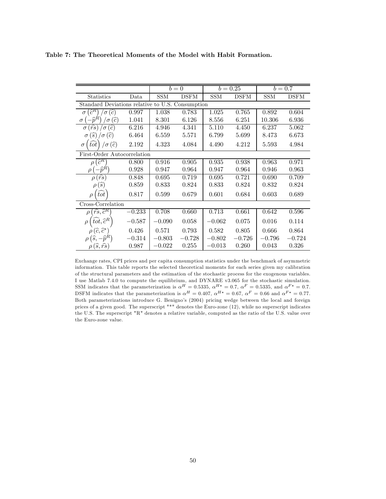| Table 7: The Theoretical Moments of the Model with Habit Formation. |  |
|---------------------------------------------------------------------|--|
|---------------------------------------------------------------------|--|

|                                                                             |          | $b=0$      |             | $b = 0.25$ |             | $b = 0.7$  |             |  |  |  |  |
|-----------------------------------------------------------------------------|----------|------------|-------------|------------|-------------|------------|-------------|--|--|--|--|
| <b>Statistics</b>                                                           | Data     | <b>SSM</b> | <b>DSFM</b> | <b>SSM</b> | <b>DSFM</b> | <b>SSM</b> | <b>DSFM</b> |  |  |  |  |
| Standard Deviations relative to U.S. Consumption                            |          |            |             |            |             |            |             |  |  |  |  |
| $\widehat{c}^R$<br>$\overline{c}$<br>$\sigma$<br>$\sigma$                   | 0.997    | 1.038      | 0.783       | 1.025      | 0.765       | 0.892      | 0.604       |  |  |  |  |
| $(\widehat{c})$<br>$\widehat{n}^{\textstyle\kappa}$<br>$\sigma$<br>$\sigma$ | 1.041    | 8.301      | 6.126       | 8.556      | 6.251       | 10.306     | 6.936       |  |  |  |  |
| $(\widehat{rs})$<br>$\sigma(\widehat{c})$<br>$\sigma$                       | 6.216    | 4.946      | 4.341       | 5.110      | 4.450       | 6.237      | 5.062       |  |  |  |  |
| (s)<br>$\sigma(c)$<br>$\sigma$                                              | 6.464    | 6.559      | 5.571       | 6.799      | 5.699       | 8.473      | 6.673       |  |  |  |  |
| $\sigma\left( \widehat{c}\right)$<br>tot<br>$\sigma$                        | 2.192    | 4.323      | 4.084       | 4.490      | 4.212       | 5.593      | 4.984       |  |  |  |  |
| First-Order Autocorrelation                                                 |          |            |             |            |             |            |             |  |  |  |  |
| $\widehat{c}^R$<br>$\rho$                                                   | 0.800    | 0.916      | 0.905       | 0.935      | 0.938       | 0.963      | 0.971       |  |  |  |  |
| $-\widehat{p}^R$<br>$\rho$                                                  | 0.928    | 0.947      | 0.964       | 0.947      | 0.964       | 0.946      | 0.963       |  |  |  |  |
| $\rho(\overline{\hat{rs}})$                                                 | 0.848    | 0.695      | 0.719       | 0.695      | 0.721       | 0.690      | 0.709       |  |  |  |  |
| $\rho\left(\widehat{s}\right)$                                              | 0.859    | 0.833      | 0.824       | 0.833      | 0.824       | 0.832      | 0.824       |  |  |  |  |
| tot<br>$\rho$                                                               | 0.817    | 0.599      | 0.679       | 0.601      | 0.684       | 0.603      | 0.689       |  |  |  |  |
| Cross-Correlation                                                           |          |            |             |            |             |            |             |  |  |  |  |
| $\langle \widehat{rs}, \widehat{c}^R \rangle$<br>$\rho$                     | $-0.233$ | 0.708      | 0.660       | 0.713      | 0.661       | 0.642      | 0.596       |  |  |  |  |
| $tot, \hat{c}^R$<br>$\rho$                                                  | $-0.587$ | $-0.090$   | 0.058       | $-0.062$   | 0.075       | 0.016      | 0.114       |  |  |  |  |
| $\rho(\widehat{c},\widehat{c}^*)$                                           | 0.426    | 0.571      | 0.793       | 0.582      | 0.805       | 0.666      | 0.864       |  |  |  |  |
| $\rho\left(\widehat{s},-\widehat{p}^R\right)$                               | $-0.314$ | $-0.803$   | $-0.728$    | $-0.802$   | $-0.726$    | $-0.796$   | $-0.724$    |  |  |  |  |
| $(\widehat{s},\widehat{rs})$                                                | 0.987    | $-0.022$   | 0.255       | $-0.013$   | 0.260       | 0.043      | 0.326       |  |  |  |  |

Exchange rates, CPI prices and per capita consumption statistics under the benchmark of asymmetric information. This table reports the selected theoretical moments for each series given my calibration of the structural parameters and the estimation of the stochastic process for the exogenous variables. I use Matlab 7.4.0 to compute the equilibrium, and DYNARE v3.065 for the stochastic simulation. SSM indicates that the parameterization is  $\alpha^{H} = 0.5335$ ,  $\alpha^{H*} = 0.7$ ,  $\alpha^{F} = 0.5335$ , and  $\alpha^{F*} = 0.7$ . DSFM indicates that the parameterization is  $\alpha^{H} = 0.407$ ,  $\alpha^{H*} = 0.67$ ,  $\alpha^{F} = 0.66$  and  $\alpha^{F*} = 0.77$ . Both parameterizations introduce G. Benigno's (2004) pricing wedge between the local and foreign prices of a given good. The superscript "\*" denotes the Euro-zone (12), while no superscript indicates the U.S. The superscript "R" denotes a relative variable, computed as the ratio of the U.S. value over the Euro-zone value.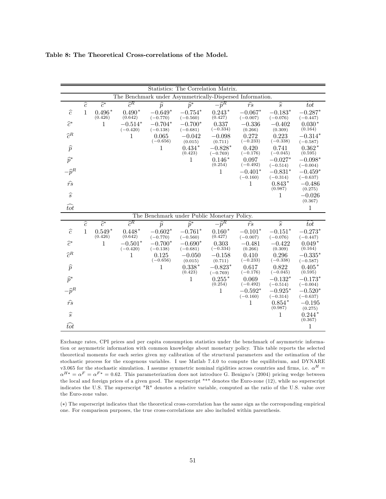|                  |                                                           |                         |                      |                         |                         | Statistics: The Correlation Matrix.         |                        |                          |                         |  |
|------------------|-----------------------------------------------------------|-------------------------|----------------------|-------------------------|-------------------------|---------------------------------------------|------------------------|--------------------------|-------------------------|--|
|                  | The Benchmark under Asymmetrically-Dispersed Information. |                         |                      |                         |                         |                                             |                        |                          |                         |  |
|                  | $\widehat{c}$                                             | $\widehat{c}^*$         | $\widehat{c}^R$      | $\widehat{p}$           | $\widehat{p}^*$         | $-\bar{p}^{\overline{R}}$                   | $\widehat{rs}$         | $\widehat{s}$            | $\widehat{tot}$         |  |
| $\widehat{c}$    | $\mathbf{1}$                                              | $0.496*$                | $0.490*$             | $-0.649*$               | $-0.754*$               | $0.243*$                                    | $-0.067*$              | $-0.183*$                | $-0.287*$               |  |
| $\widehat{c}^*$  |                                                           | (0.426)<br>$\mathbf{1}$ | (0.642)<br>$-0.514*$ | $(-0.770)$<br>$-0.704*$ | $(-0.560)$<br>$-0.700*$ | (0.427)<br>0.337                            | $(-0.007)$<br>$-0.336$ | $(-0.076)$<br>$-0.402$   | $(-0.447)$<br>$0.030*$  |  |
|                  |                                                           |                         | $(-0.420)$           | $(-0.138)$              | $(-0.681)$              | $(-0.334)$                                  | (0.266)                | (0.309)                  | (0.164)                 |  |
| $\hat{c}^R$      |                                                           |                         | 1                    | 0.065<br>$(-0.656)$     | $-0.042$                | $-0.098$                                    | 0.272<br>$(-0.233)$    | 0.223<br>$(-0.338)$      | $-0.314*$               |  |
| $\widehat{p}$    |                                                           |                         |                      | 1                       | (0.015)<br>$0.434*$     | (0.711)<br>$-0.828*$                        | 0.420                  | 0.741                    | $(-0.587)$<br>$0.362*$  |  |
|                  |                                                           |                         |                      |                         | (0.423)                 | $(-0.769)$                                  | $(-0.176)$             | $(-0.045)$               | (0.595)                 |  |
| $\widehat{p}^*$  |                                                           |                         |                      |                         | 1                       | $0.146*$<br>(0.254)                         | 0.097<br>$(-0.492)$    | $-0.027*$<br>$(-0.514)$  | $-0.098*$<br>$(-0.004)$ |  |
| $-\widehat{p}^R$ |                                                           |                         |                      |                         |                         | 1                                           | $-0.401*$              | $-0.831*$                | $-0.459*$               |  |
| $\widehat{rs}$   |                                                           |                         |                      |                         |                         |                                             | $(-0.160)$<br>1        | $(-0.314)$<br>$0.843*$   | $(-0.637)$<br>$-0.486$  |  |
|                  |                                                           |                         |                      |                         |                         |                                             |                        | (0.987)                  | (0.275)                 |  |
| $\widehat{s}$    |                                                           |                         |                      |                         |                         |                                             |                        | 1                        | $-0.026$<br>(0.367)     |  |
| $\widehat{tot}$  |                                                           |                         |                      |                         |                         |                                             |                        |                          | $\mathbf{1}$            |  |
|                  |                                                           |                         |                      |                         |                         | The Benchmark under Public Monetary Policy. |                        |                          |                         |  |
|                  | $\widehat{c}$                                             | $\widehat{c}^*$         | $\widehat{c}^R$      | $\overline{\hat{p}}$    | $\widehat{p}^*$         | $-\overline{\hat{p}^R}$                     | $\widehat{rs}$         | $\overline{\widehat{s}}$ | tot                     |  |
| $\widehat{c}$    | $\mathbf{1}$                                              | $0.549*$<br>(0.426)     | $0.448*$             | $-0.602*$               | $-0.761*$               | $0.160*$                                    | $-0.101*$              | $-0.151*$                | $-0.273*$               |  |
| $\widehat{c}^*$  |                                                           | 1                       | (0.642)<br>$-0.501*$ | $(-0.770)$<br>$-0.700*$ | $(-0.560)$<br>$-0.690*$ | (0.427)<br>0.303                            | $(-0.007)$<br>$-0.481$ | $(-0.076)$<br>$-0.422$   | $(-0.447)$<br>$0.049*$  |  |
|                  |                                                           |                         | $(-0.420)$           | $(-0.138)$              | $(-0.681)$              | $(-0.334)$                                  | (0.266)                | (0.309)                  | (0.164)                 |  |
| $\widehat{c}^R$  |                                                           |                         | 1                    | 0.125<br>$(-0.656)$     | $-0.050$<br>(0.015)     | $-0.158$<br>(0.711)                         | 0.410<br>$(-0.233)$    | 0.296<br>$(-0.338)$      | $-0.335*$<br>$(-0.587)$ |  |
| $\widehat{p}$    |                                                           |                         |                      | 1                       | $0.338*$                | $-0.823*$                                   | 0.617                  | 0.822                    | $0.405*$                |  |
|                  |                                                           |                         |                      |                         | (0.423)                 | $(-0.769)$                                  | $(-0.176)$             | $(-0.045)$               | (0.595)                 |  |
| $\widehat{p}^*$  |                                                           |                         |                      |                         | 1                       | $0.255*$<br>(0.254)                         | 0.069<br>$(-0.492)$    | $-0.132*$<br>$(-0.514)$  | $-0.173*$<br>$(-0.004)$ |  |
| $-\widehat{p}^R$ |                                                           |                         |                      |                         |                         | 1                                           | $-0.592*$              | $-0.925*$                | $-0.520*$               |  |
| $\widehat{rs}$   |                                                           |                         |                      |                         |                         |                                             | $(-0.160)$<br>1        | $(-0.314)$<br>$0.854*$   | $(-0.637)$<br>$-0.195$  |  |
|                  |                                                           |                         |                      |                         |                         |                                             |                        | (0.987)                  | (0.275)                 |  |
| $\widehat{s}$    |                                                           |                         |                      |                         |                         |                                             |                        | 1                        | $0.244*$<br>(0.367)     |  |
| $\widehat{tot}$  |                                                           |                         |                      |                         |                         |                                             |                        |                          | 1                       |  |

Table 8: The Theoretical Cross-correlations of the Model.

Exchange rates, CPI prices and per capita consumption statistics under the benchmark of asymmetric information or asymmetric information with common knowledge about monetary policy. This table reports the selected theoretical moments for each series given my calibration of the structural parameters and the estimation of the stochastic process for the exogenous variables. I use Matlab 7.4.0 to compute the equilibrium, and DYNARE v3.065 for the stochastic simulation. I assume symmetric nominal rigidities across countries and firms, i.e.  $\alpha^H$  =  $\alpha^{H*} = \alpha^F = \alpha^{F*} = 0.62$ . This parameterization does not introduce G. Benigno's (2004) pricing wedge between the local and foreign prices of a given good. The superscript "\*" denotes the Euro-zone (12), while no superscript indicates the U.S. The superscript "R" denotes a relative variable, computed as the ratio of the U.S. value over the Euro-zone value.

(∗) The superscript indicates that the theoretical cross-correlation has the same sign as the corresponding empirical one. For comparison purposes, the true cross-correlations are also included within parenthesis.